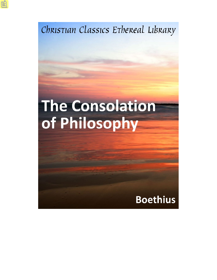Christian Classics Ethereal Library

# **The Consolation** of Philosophy

## **Boethius**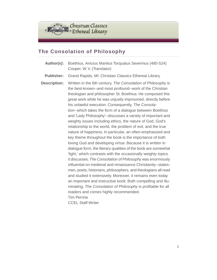

## **The Consolation of Philosophy**

**Author(s):** Boethius, Anicius Manlius Torquatus Severinus (480-524) Cooper, W. V. (Translator) **Publisher:** Grand Rapids, MI: Christian Classics Ethereal Library **Description:** Written in the 6th century, *The Consolation of Philosophy* is the best-known--and most profound--work of the Christian theologian and philosopher St. Boethius. He composed this great work while he was unjustly imprisoned, directly before his unlawful execution. Consequently, *The Consolation*--which takes the form of a dialogue between Boethius and 'Lady Philosophy'--discusses a variety of important and weighty issues including ethics, the nature of God, God's relationship to the world, the problem of evil, and the true nature of happiness. In particular, an often-emphasized and key theme throughout the book is the importance of both loving God and developing virtue. Because it is written in dialogue form, the literary qualities of the book are somewhat 'light,' which contrasts with the occasionally weighty topics it discusses.*The Consolation of Philosophy* was enormously influential on medieval and renaissance Christianity--statesmen, poets, historians, philosophers, and theologians all read and studied it extensively. Moreover, it remains even today an important and instructive book. Both compelling and illuminating, *The Consolation of Philosophy* is profitable for all readers and comes highly recommended. Tim Perrine CCEL Staff Writer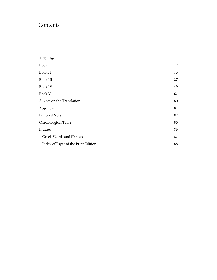## Contents

| Title Page                          | $\mathbf{1}$   |
|-------------------------------------|----------------|
| Book I                              | $\overline{2}$ |
| <b>Book II</b>                      | 13             |
| <b>Book III</b>                     | 27             |
| Book IV                             | 49             |
| <b>Book V</b>                       | 67             |
| A Note on the Translation           | 80             |
| Appendix                            | 81             |
| <b>Editorial Note</b>               | 82             |
| Chronological Table                 | 85             |
| Indexes                             | 86             |
| Greek Words and Phrases             | 87             |
| Index of Pages of the Print Edition | 88             |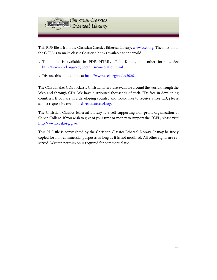

This PDF file is from the Christian Classics Ethereal Library, [www.ccel.org.](http://www.ccel.org) The mission of the CCEL is to make classic Christian books available to the world.

- This book is available in PDF, HTML, ePub, Kindle, and other formats. See [http://www.ccel.org/ccel/boethius/consolation.html.](http://www.ccel.org/ccel/boethius/consolation.html)
- Discuss this book online at [http://www.ccel.org/node/3026.](http://www.ccel.org/node/3026)

The CCEL makes CDs of classic Christian literature available around the world through the Web and through CDs. We have distributed thousands of such CDs free in developing countries. If you are in a developing country and would like to receive a free CD, please send a request by email to [cd-request@ccel.org.](mailto:cd-request@ccel.org)

The Christian Classics Ethereal Library is a self supporting non-profit organization at Calvin College. If you wish to give of your time or money to support the CCEL, please visit [http://www.ccel.org/give.](http://www.ccel.org/give)

This PDF file is copyrighted by the Christian Classics Ethereal Library. It may be freely copied for non-commercial purposes as long as it is not modified. All other rights are reserved. Written permission is required for commercial use.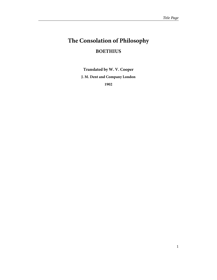## <span id="page-4-0"></span>**The Consolation of Philosophy BOETHIUS**

**Translated by W. V. Cooper J. M. Dent and Company London 1902**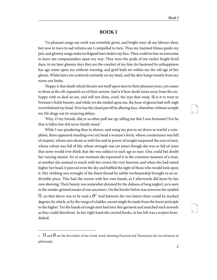3

### **BOOK I**

<span id="page-5-0"></span>'To pleasant songs my work was erstwhile given, and bright were all my labours then; but now in tears to sad refrains am I compelled to turn. Thus my maimed Muses guide my pen, and gloomy songs make no feigned tears bedew my face. Then could no fear so overcome to leave me companionless upon my way. They were the pride of my earlier bright-lived days: in my later gloomy days they are the comfort of my fate; for hastened by unhappiness has age come upon me without warning, and grief hath set within me the old age of her gloom. White hairs are scattered untimely on my head, and the skin hangs loosely from my worn-out limbs.

'Happy is that death which thrusts not itself upon men in their pleasant years, yet comes to them at the oft-repeated cry of their sorrow. Sad is it how death turns away from the unhappy with so deaf an ear, and will not close, cruel, the eyes that weep. Ill is it to trust to Fortune's fickle bounty, and while yet she smiled upon me, the hour of gloom had well-nigh overwhelmed my head. Now has the cloud put off its alluring face, wherefore without scruple my life drags out its wearying delays.

'Why, O my friends, did ye so often puff me up, telling me that I was fortunate? For he that is fallen low did never firmly stand.'

While I was pondering thus in silence, and using my pen to set down so tearful a complaint, there appeared standing over my head a woman's form, whose countenance was full of majesty, whose eyes shone as with fire and in power of insight surpassed the eyes of men, whose colour was full of life, whose strength was yet intact though she was so full of years that none would ever think that she was subject to such age as ours. One could but doubt her varying stature, for at one moment she repressed it to the common measure of a man, at another she seemed to touch with her crown the very heavens: and when she had raised higher her head, it pierced even the sky and baffled the sight of those who would look upon it. Her clothing was wrought of the finest thread by subtle workmanship brought to an indivisible piece. This had she woven with her own hands, as I afterwards did learn by her own shewing. Their beauty was somewhat dimmed by the dulness of long neglect, as is seen in the smoke-grimed masks of our ancestors. On the border below was inwoven the symbol  $\Pi$ , on that above was to be read a  $\Theta^1$  And between the two letters there could be marked degrees, by which, as by the rungs of a ladder, ascent might be made from the lower principle to the higher. Yet the hands of rough men had torn this garment and snatched such morsels as they could therefrom. In her right hand she carried books, in her left was a sceptre brandished.

<sup>1</sup>  $\Pi$  and  $\Theta$  are the first letters of the Greek words denoting Practical and Theoretical, the two divisions of philosophy.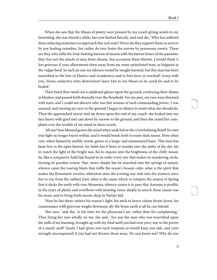5

When she saw that the Muses of poetry were present by my couch giving words to my lamenting, she was stirred a while; her eyes flashed fiercely, and said she, 'Who has suffered these seducing mummers to approach this sick man? Never do they support those in sorrow by any healing remedies, but rather do ever foster the sorrow by poisonous sweets. These are they who stifle the fruit-bearing harvest of reason with the barren briars of the passions: they free not the minds of men from disease, but accustom them thereto. I would think it less grievous if your allurements drew away from me some uninitiated man, as happens in the vulgar herd. In such an one my labours would be naught harmed, but this man has been nourished in the lore of Eleatics and Academics; and to him have ye reached? Away with you, Sirens, seductive unto destruction! leave him to my Muses to be cared for and to be healed.'

Their band thus rated cast a saddened glance upon the ground, confessing their shame in blushes, and passed forth dismally over the threshold. For my part, my eyes were dimmed with tears, and I could not discern who was this woman of such commanding power. I was amazed, and turning my eyes to the ground I began in silence to await what she should do. Then she approached nearer and sat down upon the end of my couch: she looked into my face heavy with grief and cast down by sorrow to the ground, and then she raised her complaint over the trouble of my mind in these words.

'Ah me! how blunted grows the mind when sunk below the o'erwhelming flood! Its own true light no longer burns within, and it would break forth to outer dark nesses. How often care, when fanned by earthly winds, grows to a larger and unmeasured bane. This man has been free to the open heaven: his habit has it been to wander into the paths of the sky: his to watch the light of the bright sun, his to inquire into the brightness of the chilly moon; he, like a conqueror, held fast bound in its order every star that makes its wandering circle, turning its peculiar course. Nay, more, deeply has he searched into the springs of nature, whence came the roaring blasts that ruffle the ocean's bosom calm: what is the spirit that makes the firmament revolve; wherefore does the evening star sink into the western wave but to rise from the radiant East; what is the cause which so tempers the season of Spring that it decks the earth with rose-blossoms; whence comes it to pass that Autumn is prolific in the years of plenty and overflows with teeming vines: deeply to search these causes was his wont, and to bring forth secrets deep in Nature hid.

'Now he lies there; extinct his reason's light, his neck in heavy chains thrust down, his countenance with grievous weight downcast; ah! the brute earth is all he can behold.

'But now,' said she, 'is the time for the physician's art, rather than for complaining.' Then fixing her eyes wholly on me, she said, 'Are you the man who was nourished upon the milk of my learning, brought up with my food until you had won you r way to the power of a manly soul? Surely I had given you such weapons as would keep you safe, and your strength unconquered; if you had not thrown them away. Do you know me? Why do you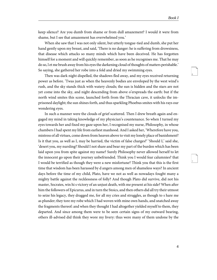7

keep silence? Are you dumb from shame or from dull amazement? I would it were from shame, but I see that amazement has overwhelmed you.'

When she saw that I was not only silent, but utterly tongue-tied and dumb, she put her hand gently upon my breast, and said, 'There is no danger: he is suffering from drowsiness, that disease which attacks so many minds which have been deceived. He has forgotten himself for a moment and will quickly remember, as soon as he recognises me. That he may do so, l et me brush away from his eyes the darkening cloud of thoughts of matters perishable.' So saying, she gathered her robe into a fold and dried my swimming eyes.

Then was dark night dispelled, the shadows fled away, and my eyes received returning power as before. 'Twas just as when the heavenly bodies are enveloped by the west wind's rush, and the sky stands thick with watery clouds; the sun is hidden and the stars are not yet come into the sky, and night descending from above o'erspreads the earth: but if the north wind smites this scene, launched forth from the Thracian cave, it unlocks the imprisoned daylight; the sun shines forth, and thus sparkling Phoebus smites with his rays our wondering eyes.

In such a manner were the clouds of grief scattered. Then I drew breath again and engaged my mind in taking knowledge of my physician's countenance. So when I turned my eyes towards her and fixed my gaze upon her, I recognised my nurse, Philosophy, in whose chambers I had spent my life from earliest manhood. And I asked her, 'Wherefore have you, mistress of all virtues, come down from heaven above to visit my lonely place of banishment? Is it that you, as well as I, may be harried, the victim of false charges?' 'Should I,' said she, 'desert you, my nursling? Should I not share and bear my part of the burden which has been laid upon you from spite against my name? Surely Philosophy never allowed herself to let the innocent go upon their journey unbefriended. Think you I would fear calumnies? that I would be terrified as though they were a new misfortune? Think you that this is the first time that wisdom has been harassed by d angers among men of shameless ways? In ancient days before the time of my child, Plato, have we not as well as nowadays fought many a mighty battle against the recklessness of folly? And though Plato did survive, did not his master, Socrates, win hi s victory of an unjust death, with me present at his side? When after him the followers of Epicurus, and in turn the Stoics, and then others did all try their utmost to seize his legacy, they dragged me, for all my cries and struggles, as though to s hare me as plunder; they tore my robe which I had woven with mine own hands, and snatched away the fragments thereof: and when they thought I had altogether yielded myself to them, they departed. And since among them were to be seen certain signs of my outward bearing, others ill-advised did think they wore my livery: thus were many of them undone by the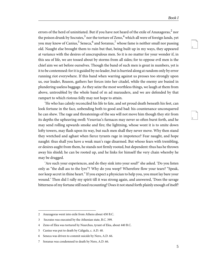errors of the herd of uninitiated. But if you have not heard of the exile of Anaxagoras, $^2$  nor the poison drunk by Socrates, $^3$  nor the torture of Zeno, $^4$  which all were of foreign lands, yet you may know of Canius, $^5$  Seneca, $^6$  and Soranus, $^7$  whose fame is neither small nor passing old. Naught else brought them to ruin but that, being built up in my ways, they appeared at variance with the desires of unscrupulous men. So it is no matter for your wonder if, in this sea of life, we are tossed about by storms from all sides; for to oppose evil men is the chief aim we set before ourselves. Though the band of such men is great in numbers, yet is it to be contemned: for it is guided by no leader, but is hurried along at random only by error running riot everywhere. If this band when warring against us presses too strongly upon us, our leader, Reason, gathers her forces into her citadel, while the enemy are busied in plundering useless baggage. As they seize the most worthless things, we laugh at them from above, untroubled by the whole band of m ad marauders, and we are defended by that rampart to which riotous folly may not hope to attain.

'He who has calmly reconciled his life to fate, and set proud death beneath his feet, can look fortune in the face, unbending both to good and bad: his countenance unconquered he can shew. The rage and threatenings of the sea will not move him though they stir from its depths the upheaving swell: Vesuvius's furnaces may never so often burst forth, and he may send rolling upwards smoke and fire; the lightning, whose wont it is to smite down lofty towers, may flash upon its way, but such men shall they never move. Why then stand they wretched and aghast when fierce tyrants rage in impotence? Fear naught, and hope naught: thus shall you have a weak man's rage disarmed. But whoso fears with trembling, or desires aught from them, he stands not firmly rooted, but dependent: thus has he thrown away his shield; he can be rooted up, and he links for himself the very chain whereby he may be dragged.

'Are such your experiences, and do they sink into your soul?' she asked. 'Do you listen only as "the dull ass to the lyre"? Why do you weep? Wherefore flow your tears? "Speak, nor keep secret in thine heart." If you expect a physician to help you, you must lay bare your wound.' Then did I rally my spirit till it was strong again, and answered, 'Does the savage bitterness of my fortune still need recounting? Does it not stand forth plainly enough of itself?

<sup>2</sup> Anaxagoras went into exile from Athens about 450 B.C.

<sup>3</sup> Socrates was executed by the Athenian state, B.C. 399.

<sup>4</sup> Zeno of Elea was tortured by Nearchus, tyrant of Elea, about 440 B.C.

<sup>5</sup> Canius was put to death by Caligula, c. A.D. 40.

<sup>6</sup> Seneca was driven to commit suicide by Nero, A.D. 66.

<sup>7</sup> Soranus was condemned to death by Nero, A.D. 66.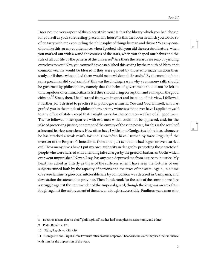11

Does not the very aspect of this place strike you? Is this the library which you had chosen for yourself as your sure resting-place in my house? Is this the room in which you would so often tarry with me expounding the philosophy of things human and divine? Was my condition like this, or my countenance, when I probed with your aid the secrets of nature, when you marked out with a wand the courses of the stars, when you shaped our habits and the rule of all our life by the pattern of the universe?<sup>8</sup> Are these the rewards we reap by yielding ourselves to you? Nay, you yourself have established this saying by the mouth of Plato, that commonwealths would be blessed if they were guided by those who made wisdom their study, or if those who guided them would make wisdom their study.<sup>9</sup> By the mouth of that same great man did you teach that this was the binding reason why a commonwealth should be governed by philosophers, namely that the helm of government should not be left to unscrupulous or criminal citizens lest they should bring corruption and ruin upon the good citizens.<sup>10</sup> Since, then, I had learned from you in quiet and inaction of this view, I followed it further, for I desired to practise it in public government. You and God Himself, who has grafted you in the minds of philosophers, are my witnesses that never have I applied myself to any office of state except that I might work for the common welfare of all good men. Thence followed bitter quarrels with evil men which could not be appeased, and, for the sake of preserving justice, contempt of the enmity of those in power, for this is the result of a free and fearless conscience. How often have I withstood Conigastus to his face, whenever he has attacked a weak man's fortune! How often have I turned by force Trigulla, $^{11}$  the overseer of the Emperor's household, from an unjust act that he had begun or even carried out! How many times have I put my own authority in danger by protecting those wretched people who were harried with unending false charges by the greed of barbarian Goths which ever went unpunished! Never, I say, has any man depraved me from justice to injustice. My heart has ached as bitterly as those of the sufferers when I have seen the fortunes of our subjects ruined both by the rapacity of persons and the taxes of the state. Again, in a time of severe famine, a grievous, intolerable sale by compulsion was decreed in Campania, and devastation threatened that province. Then I undertook for the sake of the common welfare a struggle against the commander of the Imperial guard; though the king was aware of it, I fought against the enforcement of the sale, and fought successfully. Paulinus was a man who

<sup>8</sup> Boethius means that his chief 'philosophical' studies had been physics, astronomy, and ethics.

<sup>9</sup> Plato, Repub. v. 473.

<sup>10</sup> Plato, Repub. vi. 488, 489.

<sup>11</sup> Conigastus and Trigulla were favourite officers of the Emperor, Theodoric, the Goth: they used their influence with him for the oppression of the weak.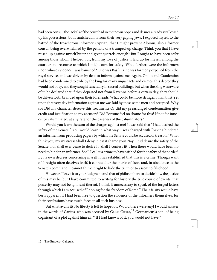13

14

had been consul: the jackals of the court had in their own hopes and desires already swallowed up his possessions, but I snatched him from their very gaping jaws. I exposed myself to the hatred of the treacherous informer Cyprian, that I might prevent Albinus, also a former consul, being overwhelmed by the penalty of a trumped-up charge. Think you that I have raised up against myself bitter and great quarrels enough? But I ought to have been safer among those whom I helped; for, from my love of justice, I laid up for myself among the courtiers no resource to which I might turn for safety. Who, further, were the informers upon whose evidence I was banished? One was Basilius: he was formerly expelled from the royal service, and was driven by debt to inform against me. Again, Opilio and Gaudentius had been condemned to exile by the king for many unjust acts and crimes: this decree they would not obey, and they sought sanctuary in sacred buildings, but when the king was aware of it, he declared that if they departed not from Ravenna before a certain day, they should be driven forth branded upon their foreheads. What could be more stringent than this? Yet upon that very day information against me was laid by these same men and accepted. Why so? Did my character deserve this treatment? Or did my prearranged condemnation give credit and justification to my accusers? Did Fortune feel no shame for this? If not for innocence calumniated, at any rate for the baseness of the calumniators?

'Would you learn the sum of the charges against me? It was said that "I had desired the safety of the Senate." You would learn in what way. I was charged with "having hindered an informer from producing papers by which the Senate could be accused of treason." What think you, my mistress? Shall I deny it lest it shame you? Nay, I did desire the safety of the Senate, nor shall ever cease to desire it. Shall I confess it? Then there would have been no need to hinder an informer. Shall I call it a crime to have wished for the safety of that order? By its own decrees concerning myself it has established that this is a crime. Though want of foresight often deceives itself, it cannot alter the merits of facts, and, in obedience to the Senate's command, I cannot think it right to hide the truth or to assent to falsehood.

'However, I leave it to your judgment and that of philosophers to decide how the justice of this may be; but I have committed to writing for history the true course of events, that posterity may not be ignorant thereof. I think it unnecessary to speak of the forged letters through which I am accused of " hoping for the freedom of Rome." Their falsity would have been apparent if I had been free to question the evidence of the informers themselves, for their confessions have much force in all such business.

'But what avails it? No liberty is left to hope for. Would there were any! I would answer in the words of Canius, who was accused by Gaius Cæsar,  $^{12}$  Germanicus's son, of being cognisant of a plot against himself: " If I had known of it, you would not have."

<sup>12</sup> The Emperor Caligula.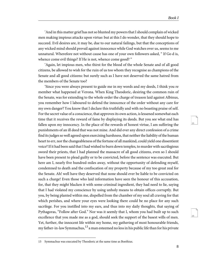'And in this matter grief has not so blunted my powers that I should complain of wicked men making impious attacks upon virtue: but at this I do wonder, that they should hope to succeed. Evil desires are, it may be, due to our natural failings, but that the conceptions of any wicked mind should prevail against innocence while God watches over us, seems to me unnatural. Wherefore not without cause has one of your own followers asked, " If Go d is, whence come evil things? If He is not, whence come good? "

'Again, let impious men, who thirst for the blood of the whole Senate and of all good citizens, be allowed to wish for the ruin of us too whom they recognise as champions of the Senate and all good citizens: but surely such as I have not deserved the same hatred from the members of the Senate too?

'Since you were always present to guide me in my words and my deeds, I think you re member what happened at Verona. When King Theodoric, desiring the common ruin of the Senate, was for extending to the whole order the charge of treason laid against Albinus, you remember how I laboured to defend the innocence of the order without any care for my own danger? You know that I declare this truthfully and with no boasting praise of self. For the secret value of a conscience, that approves its own action, is lessened somewhat each time that it receives the reward of fame by displaying its deeds. But you see what end has fallen upon my innocency. In the place of the rewards of honest virtue, I am suffering the punishments of an ill deed that was not mine. And did ever any direct confession of a crime find its judges so well agreed upon exercising harshness, that neither the liability of the human heart to err, nor the changeableness of the fortune of all mankind, could yield one dissentient voice? If it had been said that I had wished to burn down temples, to murder with sacrilegious sword their priests, that I had planned the massacre of all good citizens, even so I should have been present to plead guilty or to be convicted, before the sentence was executed. But here am I, nearly five hundred-miles away, without the opportunity of defending myself, condemned to death and the confiscation of my property because of my too great zeal for the Senate. Ah! well have they deserved that none should ever be liable to be convicted on such a charge! Even those who laid information have seen the honour of this accusation, for, that they might blacken it with some criminal ingredient, they had need to lie, saying that I had violated my conscience by using unholy means to obtain offices corruptly. But you, by being planted within me, dispelled from the chamber of my soul all craving for that which perishes, and where your eyes were looking there could be no place for any such sacrilege. For you instilled into my ears, and thus into my daily thoughts, that saying of Pythagoras, "Follow after God." Nor was it seemly that I, whom you had built up to such excellence that you made me as a god, should seek the support of the basest wills of men. Yet, further, the innocent life within my home, my gathering of most honourable friends, my father-in-law Symmachus,<sup>13</sup> a man esteemed no less in his public life than for his private

15

<sup>13</sup> Symmachus was executed by Theodoric at the same time as Boethius.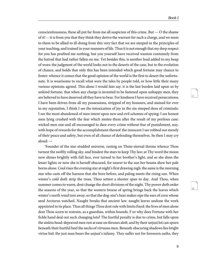18

conscientiousness, these all put far from me all suspicion of this crime. But  $-$  O the shame of it! -- it is from you that they think they derive the warrant for such a charge, and we seem to them to be allied to ill-doing from this very fact that we are steeped in the principles of your teaching, and trained in your manners of life. Thus it is not enough that my deep respect for you has profited me nothing, but you yourself have received wanton contumely from the hatred that had rather fallen on me. Yet besides this, is another load added to my heap of woes: the judgment of the world looks not to the deserts of the case, but to the evolution of chance, and holds that only this has been intended which good fortune may chance to foster: whence it comes that the good opinion of the world is the first to desert the unfortunate. It is wearisome to recall what were the tales by people told, or how little their many various opinions agreed. This alone I would fain say: it is the last burden laid upon us by unkind fortune, that when any charge is invented to be fastened upon unhappy men, they are believed to have deserved all they have to bear. For kindness I have received persecutions; I have been driven from all my possessions, stripped of my honours, and stained for ever in my reputation. I think I see the intoxication of joy in the sin-steeped dens of criminals: I see the most abandoned of men intent upon new and evil schemes of spying: I see honest men lying crushed with the fear which smites them after the result of my perilous case: wicked men one and all encouraged to dare every crime without fear of punishment, nay, with hope of rewards for the accomplishment thereof: the innocent I see robbed not merely of their peace and safety, but even of all chance of defending themselves. So then I may cry  $aloud·$ 

'Founder of the star-studded universe, resting on Thine eternal throne whence Thou turnest the swiftly rolling sky, and bindest the stars to keep Thy law; at Thy word the moon now shines brightly with full face, ever turned to her brother's light, and so she dims the lesser lights; or now she is herself obscured, for nearer to the sun her beams shew her pale horns alone. Cool rises the evening star at night's first drawing nigh: the same is the morning star who casts off the harness that she bore before, and paling meets the rising sun. When winter's cold doth strip the trees, Thou settest a shorter span to day. And Thou, when summer comes to warm, dost change the short divisions of the night. Thy power doth order the seasons of the year, so that the western breeze of spring brings back the leaves which winter's north wind tore away; so that the dog-star's heat makes ripe the ears of corn whose seed Arcturus watched. Naught breaks that ancient law: naught leaves undone the work appointed to its place. Thus all things Thou dost rule with limits fixed: the lives of men alone dost Thou scorn to restrain, as a guardian, within bounds. F or why does Fortune with her fickle hand deal out such changing lots? The hurtful penalty is due to crime, but falls upon the sinless head: depraved men rest at ease on thrones aloft, and by their unjust lot can spurn beneath their hurtful heel the necks of virtuous men. Beneath obscuring shadows lies bright virtue hid: the just man bears the unjust's infamy. They suffer not for forsworn oaths, they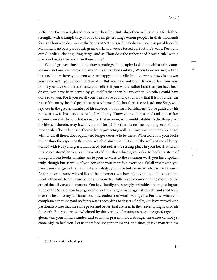20

suffer not for crimes glozed over with their lies. But when their will is to put forth their strength, with triumph they subdue the mightiest kings whom peoples in their thousands fear. O Thou who dost weave the bonds of Nature's self, look down upon this pitiable earth! Mankind is no base part of this great work, and we are tossed on Fortune's wave. Rest rain, our Guardian, the engulfing surge, and as Thou dost the unbounded heaven rule, with a like bond make true and firm these lands.'

While I grieved thus in long-drawn pratings, Philosophy looked on with a calm countenance, not one whit moved by my complaints Then said she, 'When I saw you in grief and in tears I knew thereby that you were unhappy and in exile, but I knew not how distant was your exile until your speech declare d it. But you have not been driven so far from your home; you have wandered thence yourself: or if you would rather hold that you have been driven, you have been driven by yourself rather than by any other. No other could have done so to you. For if you recall your true native country, you know that it is not under the rule of the many-headed people, as was Athens of old, but there is one Lord, one King, who rejoices in the greater number of his subjects, not in their banishment. To be guided by his reins, to bow to his justice, is the highest liberty. Know you not that sacred and ancient law of your own state by which it is enacted that no man, who would establish a dwelling-place for himself therein, may lawfully be put forth? For there is no fear that any man should merit exile, if he be kept safe therein by its protecting walls. But any man that may no longer wish to dwell there, does equally no longer deserve to be there. Wherefore it is your looks rather than the aspect of this place which disturb me.<sup>14</sup> It is not the walls of your library, decked with ivory and glass, that I need, but rather the resting-place in your heart, wherein I have not stored books, but I have of old put that which gives value to books, a store of thoughts from books of mine. As to your services to the common weal, you have spoken truly, though but scantily, if you consider your manifold exertions. Of all wherewith you have been charged either truthfully or falsely, you have but recorded what is well known. As for the crimes and wicked lies of the informers, you have rightly thought fit to touch but shortly thereon, for they are better and more fruitfully made common in the mouth of the crowd that discusses all matters. You have loudly and strongly upbraided the unjust ingratitude of the Senate: you have grieved over the charges made against myself, and shed tears over the insult to my fair fame: your last outburst of wrath was against Fortune, when you complained that she paid no fair rewards according to deserts: finally, you have prayed with passionate Muse that the same peace and order, that are seen in the heavens, might also rule the earth. But you are overwhelmed by this variety of mutinous passions: grief, rage, and gloom tear your mind asunder, and so in this present mood stronger measures cannot yet come nigh to heal you. Let us therefore use gentler means, and since, just as matter in the

<sup>14</sup> Cp. Prose iv. of this book, p. 9.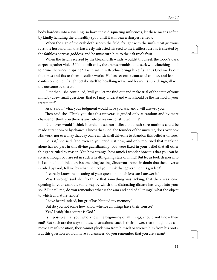22

body hardens into a swelling, so have these disquieting influences, let these means soften by kindly handling the unhealthy spot, until it will bear a sharper remedy.

'When the sign of the crab doth scorch the field, fraught with the sun's most grievous rays, the husbandman that has freely intrusted his seed to the fruitless furrow, is cheated by the faithless harvest-goddess; and he must turn him to the oak tree's fruit.

'When the field is scarred by the bleak north winds, wouldst thou seek the wood's dark carpet to gather violets? If thou wilt enjoy the grapes, wouldst thou seek with clutching hand to prune the vines in spring? 'Tis in autumn Bacchus brings his gifts. Thus God marks out the times and fits to them peculiar works: He has set out a course of change, and lets no confusion come. If aught betake itself to headlong ways, and leaves its sure design, ill will the outcome be thereto.

'First then,' she continued, 'will you let me find out and make trial of the state of your mind by a few small questions, that so I may understand what should be the method of your treatment?'

'Ask,' said I, 'what your judgment would have you ask, and I will answer you.'

Then said she, 'Think you that this universe is guided only at random and by mere chance? or think you there is any rule of reason constituted in it?'

'No, never would I think it could be so, nor believe that such sure motions could be made at random or by chance. I know that God, the founder of the universe, does overlook His work; nor ever may that day come which shall drive me to abandon this belief as untrue.'

'So is it,' she said, 'and even so you cried just now, and only mourned that mankind alone has no part in this divine guardianship: you were fixed in your belief that all other things are ruled by reason. Yet, how strange! how much I wonder how it is that you can be so sick though you are set in such a health-giving state of mind! But let us look deeper into it: I cannot but think there is something lacking. Since you are not in doubt that the universe is ruled by God, tell me by what method you think that government is guided?'

'I scarcely know the meaning of your question; much less can I answer it.'

'Was I wrong,' said she, 'to think that something was lacking, that there was some opening in your armour, some way by which this distracting disease has crept into your soul? But tell me, do you remember what is the aim and end of all things? what the object to which all nature tends?'

'I have heard indeed, but grief has blunted my memory.'

'But do you not some how know whence all things have their source?'

'Yes,' I said; 'that source is God.'

'Is it possible that you, who know the beginning of all things, should not know their end? But such are the ways of these distractions, such is their power, that though they can move a man's position, they cannot pluck him from himself or wrench him from his roots. But this question would I have you answer: do you remember that you are a man?'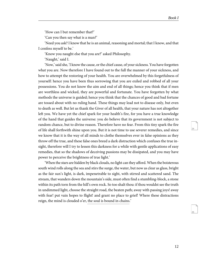'How can I but remember that?'

'Can you then say what is a man?'

'Need you ask? I know that he is an animal, reasoning and mortal; that I know, and that I confess myself to be.'

'Know you naught else that you are?' asked Philosophy.

'Naught,' said I.

'Now,' said she, 'I know the cause, or the chief cause, of your sickness. You have forgotten what you are. Now therefore I have found out to the full the manner of your sickness, and how to attempt the restoring of your health. You are overwhelmed by this forgetfulness of yourself: hence you have been thus sorrowing that you are exiled and robbed of all your possessions. You do not know the aim and end of all things; hence you think that if men are worthless and wicked, they are powerful and fortunate. You have forgotten by what methods the universe is guided; hence you think that the chances of good and bad fortune are tossed about with no ruling hand. These things may lead not to disease only, but even to death as well. But let us thank the Giver of all health, that your nature has not altogether left you. We have yet the chief spark for your health's fire, for you have a true knowledge of the hand that guides the universe: you do believe that its government is not subject to random chance, but to divine reason. Therefore have no fear. From this tiny spark the fire of life shall forthwith shine upon you. But it is not time to use severer remedies, and since we know that it is the way of all minds to clothe themselves ever in false opinions as they throw off the true, and these false ones breed a dark distraction which confuses the true insight, therefore will I try to lessen this darkness for a while with gentle applications of easy remedies, that so the shadows of deceiving passions may be dissipated, and you may have power to perceive the brightness of true light.'

'When the stars are hidden by black clouds, no light can they afford. When the boisterous south wind rolls along the sea and stirs the surge, the water, but now as clear as glass, bright as the fair sun's light, is dark, impenetrable to sight, with stirred and scattered sand. The stream, that wanders down the mountain's side, must often find a stumbling-block, a stone within its path torn from the hill's own rock. So too shalt thou: if thou wouldst see the truth in undimmed light, choose the straight road, the beaten path; away with passing joys! away with fear! put vain hopes to flight! and grant no place to grief! Where these distractions reign, the mind is clouded o'er, the soul is bound in chains.'

24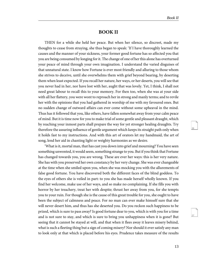### **BOOK II**

<span id="page-16-0"></span>THEN for a while she held her peace. But when her silence, so discreet, made my thoughts to cease from straying, she thus began to speak: 'If I have thoroughly learned the causes and the manner of your sickness, your former good fortune has so affected you that you are being consumed by longing for it. The change of one of her this alone has overturned your peace of mind through your own imagination. I understand the varied disguises of that unnatural state. I know how Fortune is ever most friendly and alluring to those whom she strives to deceive, until she overwhelms them with grief beyond bearing, by deserting them when least expected. If you recall her nature, her ways, or her deserts, you will see that you never had in her, nor have lost with her, aught that was lovely. Yet, I think, I shall not need great labour to recall this to your memory. For then too, when she was at your side with all her flattery, you were wont to reproach her in strong and manly terms; and to revile her with the opinions that you had gathered in worship of me with my favoured ones. But no sudden change of outward affairs can ever come without some upheaval in the mind. Thus has it followed that you, like others, have fallen somewhat away from your calm peace of mind. But it is time now for you to make trial of some gentle and pleasant draught, which by reaching your inmost parts shall prepare the way for yet stronger healing draughts. Try therefore the assuring influence of gentle argument which keeps its straight path only when it holds fast to my instructions. And with this art of orators let my handmaid, the art of song, lend her aid in chanting light or weighty harmonies as we desire.

'What is it, mortal man, that has cast you down into grief and mourning? You have seen something unwonted, it would seem, something strange to you. But if you think that Fortune has changed towards you, you are wrong. These are ever her ways: this is her very nature. She has with you preserved her own constancy by her very change. She was ever changeable at the time when she smiled upon you, when she was mocking you with the allurements of false good fortune. You have discovered both the different faces of the blind goddess. To the eyes of others she is veiled in part: to you she has made herself wholly known. If you find her welcome, make use of her ways, and so make no complaining. If she fills you with horror by her treachery, treat her with despite; thrust her away from you, for she tempts you to your ruin. For though she is the cause of this great trouble for you, she ought to have been the subject of calmness and peace. For no man can ever make himself sure that she will never desert him, and thus has she deserted you. Do you reckon such happiness to be prized, which is sure to pass away? Is good fortune dear to you, which is with you for a time and is not sure to stay, and which is sure to bring you unhappiness when it is gone? But seeing that it cannot be stayed at will, and that when it flees away it leaves misery behind, what is such a fleeting thing but a sign of coming misery? Nor should it ever satisfy any man to look only at that which is placed before his eyes. Prudence takes measure of the results

26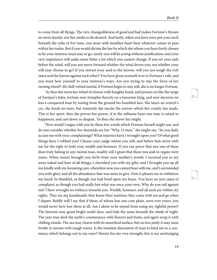29

to come from all things. The very changeableness of good and bad makes Fortune's threats no more fearful, nor her smiles to be desired. And lastly, when you have once put your neck beneath the yoke of For tune, you must with steadfast heart bear whatever comes to pass within her realm. But if you would dictate the law by which she whom you have freely chosen to be your mistress must stay or go, surely you will be acting without justification; and your very impatience will make more bitter a lot which you cannot change. If you set your sails before the wind, will you not move forward whither the wind drives you, not whither your will may choose to go? If you intrust your seed to the furrow, will you not weigh the rich years and the barren against each other? You have given yourself over to Fortune's rule, and you must bow yourself to your mistress's ways. Are you trying to stay the force of her turning wheel? Ah! dull-witted mortal, if Fortune begin to stay still, she is no longer Fortune.

'As thus she turns her wheel of chance with haughty hand, and presses on like the surge of Euripus's tides, fortune now tramples fiercely on a fearsome king, and now deceives no less a conquered man by raising from the ground his humbled face. She hears no wretch's cry, she heeds no tears, but wantonly she mocks the sorrow which her cruelty has made. This is her sport: thus she proves her power; if in the selfsame hour one man is raised to happiness, and cast down in despair, 'tis thus she shews her might.

'Now would I argue with you by these few words which Fortune herself might use: and do you consider whether her demands are fair "Why, O man," she might say, "do you daily accuse me with your complainings? What injustice have I wrought upon you? Of what good things have I robbed you? Choose your judge whom you will, and before him strive with me for the right to hold your wealth and honours. If you can prove that any one of these does truly belong to any mortal man, readily will I grant that these you seek to regain were yours. When nature brought you forth from your mother's womb, I received you in my arms naked and bare of all things; I cherished you with my gifts, and I brought you up all too kindly with my favouring care, wherefore now you cannot bear with me, and I surrounded you with glory and all the abundance that was mine to give. Now it pleases me to withdraw my hand: be thankful, as though you had lived upon my loans. You have no just cause of complaint, as though you had really lost what was once your own. Why do you rail against me? I have wrought no violence towards you. Wealth, honours, and all such are within my rights. They are my handmaids; they know their mistress; they come with me and go when I depart. Boldly will I say that if these, of whose loss you com plain, were ever yours, you would never have lost them at all. Am I alone to be stayed from using my rightful power? The heavens may grant bright sunlit days, and hide the same beneath the shade of night. The year may deck the earth's countenance with flowers and fruits, and again wrap it with chilling clouds. The sea may charm with its smoothed surface, but no less justly it may soon bristle in storms with rough waves. Is the insatiate discontent of man to bind me to a constancy which belongs not to my ways? Herein lies my very strength; this is my unchanging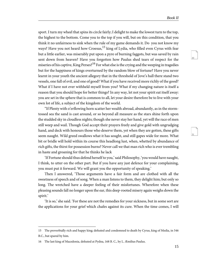31

sport. I turn my wheel that spins its circle fairly; I delight to make the lowest turn to the top, the highest to the bottom. Come you to the top if you will, but on this condition, that you think it no unfairness to sink when the rule of my game demands it. Do you not know my ways? Have you not heard how Croesus,<sup>15</sup> king of Lydia, who filled even Cyrus with fear but a little earlier, was miserably put upon a pyre of burning faggots, but was saved by rain sent down from heaven? Have you forgotten how Paulus shed tears of respect for the miseries of his captive, King Perses?<sup>16</sup> For what else is the crying and the weeping in tragedies but for the happiness of kings overturned by the random blow of fortune? Have you never learnt in your youth the ancient allegory that in the threshold of Jove's hall there stand two vessels, one full of evil, and one of good? What if you have received more richly of the good? What if I have not ever withheld myself from you? What if my changing nature is itself a reason that you should hope for better things? In any way, let not your spirit eat itself away: you are set in the sphere that is common to all, let your desire therefore be to live with your own lot of life, a subject of the kingdom of the world.

"If Plenty with o'erflowing horn scatter her wealth abroad, abundantly, as in the stormtossed sea the sand is cast around, or so beyond all measure as the stars shine forth upon the studded sky in cloudless nights; though she never stay her hand, yet will the race of men still weep and wail. Though God accept their prayers freely and give gold with ungrudging hand, and deck with honours those who deserve them, yet when they are gotten, these gifts seem naught. Wild greed swallows what it has sought, and still gapes wide for more. What bit or bridle will hold within its course this headlong lust, when, whetted by abundance of rich gifts, the thirst for possession burns? Never call we that man rich who is ever trembling in haste and groaning for that he thinks he lack

'If Fortune should thus defend herself to you,' said Philosophy, 'you would have naught, I think, to utter on the other part. But if you have any just defence for your complaining, you must put it forward. We will grant you the opportunity of speaking.'

Then I answered, 'Those arguments have a fair form and are clothed with all the sweetness of speech and of song. When a man listens to them, they delight him; but only so long. The wretched have a deeper feeling of their misfortunes. Wherefore when these pleasing sounds fall no longer upon the ear, this deep-rooted misery again weighs down the spirit.'

'It is so,' she said. 'For these are not the remedies for your sickness, but in some sort are the applications for your grief which chafes against its cure. When the time comes, I will

<sup>15</sup> The proverbially rich and happy king; defeated and condemned to death by Cyrus, king of Media, in 546 B.C., but spared by him.

<sup>16</sup> The last king of Macedonia, defeated at Pydna, 168 B. C., by L. Æmilius Paulus.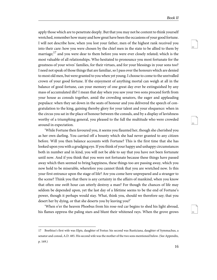33

34

apply those which are to penetrate deeply. But that you may not be content to think yourself wretched, remember how many and how great have been the occasions of your good fortune. I will not describe how, when you lost your father, men of the highest rank received you into their care: how you were chosen by the chief men in the state to be allied to them by marriage;<sup>17</sup> and you were dear to them before you were ever closely related; which is the most valuable of all relationships. Who hesitated to pronounce you most fortunate for the greatness of your wives' families, for their virtues, and for your blessings in your sons too? I need not speak of those things that are familiar, so I pass over the honours which are denied to most old men, but were granted to you when yet young. I choose to come to the unrivalled crown of your good fortune. If the enjoyment of anything mortal can weigh at all in the balance of good fortune, can your memory of one great day ever be extinguished by any mass of accumulated ills? I mean that day when you saw your two sons proceed forth from your house as consuls together, amid the crowding senators, the eager and applauding populace: when they sat down in the seats of honour and you delivered the speech of congratulation to the king, gaining thereby glory for your talent and your eloquence: when in the circus you sat in the place of honour between the consuls, and by a display of lavishness worthy of a triumphing general, you pleased to the full the multitude who were crowded around in expectation.

'While Fortune then favoured you, it seems you flaunted her, though she cherished you as her own darling. You carried off a bounty which she had never granted to any citizen before. Will you then balance accounts with Fortune? This is the first time that she has looked upon you with a grudging eye. If you think of your happy and unhappy circumstances both in number and in kind, you will not be able to say that you have not been fortunate until now. And if you think that you were not fortunate because these things have passed away which then seemed to bring happiness, these things too are passing away, which you now hold to be miserable, wherefore you cannot think that you are wretched now. Is this your first entrance upon the stage of life? Are you come here unprepared and a stranger to the scene? Think you that there is any certainty in the affairs of mankind, when you know that often one swift hour can utterly destroy a man? For though the chances of life may seldom be depended upon, yet the last day of a lifetime seems to be the end of Fortune's power, though it perhaps would stay. What, think you, should we therefore say; that you desert her by dying, or that she deserts you by leaving you?'

'When o'er the heaven Phoebus from his rose-red car begins to shed his light abroad, his flames oppress the paling stars and blunt their whitened rays. When the grove grows

<sup>17</sup> Boethius's first wife was Elpis, daughter of Festus: his second was Rusticiana, daughter of Symmachus, a senator and consul, A.D. 485. His second wife was the mother of the two sons mentioned below. (See Appendix, p. 169.)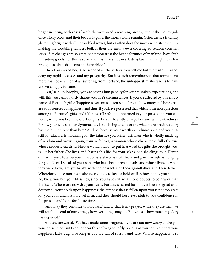36

bright in spring with roses 'neath the west wind's warming breath, let but the cloudy gale once wildly blow, and their beauty is gone, the thorns alone remain. Often the sea is calmly glistening bright with all untroubled waves, but as often does the north wind stir them up, making the troubling tempest boil. If then the earth's own covering so seldom constant stays, if its changes are so great, shalt thou trust the brittle fortunes of mankind, have faith in fleeting good? For this is sure, and this is fixed by everlasting law, that naught which is brought to birth shall constant here abide.'

Then I answered her, 'Cherisher of all the virtues, you tell me but the truth: I cannot deny my rapid successes and my prosperity. But it is such remembrances that torment me more than others. For of all suffering from Fortune, the unhappiest misfortune is to have known a happy fortune.'

'But,' said Philosophy, 'you are paying him penalty for your mistaken expectations, and with this you cannot justly charge your life's circumstances. If you are affected by this empty name of Fortune's gift of happiness, you must listen while I recall how many and how great are your sources of happiness: and thus, if you have possessed that which is the most precious among all Fortune's gifts, and if that is still safe and unharmed in your possession, you will never, while you keep these better gifts, be able to justly charge Fortune with unkindness. Firstly, your wife's father, Symmachus, is still living and hale; and what more precious glory has the human race than him? And he, because your worth is undiminished and your life still so valuable, is mourning for the injustice you suffer, this man who is wholly made up of wisdom and virtue. Again, your wife lives, a woman whose character is full of virtue, whose modesty excels its kind; a woman who (to put in a word the gifts she brought you) is like her father. She lives, and, hating this life, for your sake alone she clings to it. Herein only will I yield to allow you unhappiness; she pines with tears and grief through her longing for you. Need I speak of your sons who have both been consuls, and whose lives, as when they were boys, are yet bright with the character of their grandfather and their father? Wherefore, since mortals desire exceedingly to keep a hold on life, how happy you should be, knew you but your blessings, since you have still what none doubts to be dearer than life itself? Wherefore now dry your tears. Fortune's hatred has not yet been so great as to destroy all your holds upon happiness: the tempest that is fallen upon you is not too great for you: your anchors hold yet firm, and they should keep ever nigh to you confidence in the present and hope for future time.

'And may they continue to hold fast,' said I, 'that is my prayer: while they are firm, we will reach the end of our voyage, however things may be. But you see how much my glory has departed.'

And she answered, 'We have made some progress, if you are not now weary entirely of your present lot. But I cannot bear this dallying so softly, so long as you complain that your happiness lacks aught, so long as you are full of sorrow and care. Whose happiness is so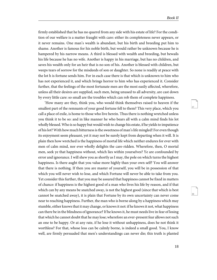firmly established that he has no quarrel from any side with his estate of life? For the condition of our welfare is a matter fraught with care: either its completeness never appears, or it never remains. One man's wealth is abundant, but his birth and breeding put him to shame. Another is famous for his noble birth, but would rather be unknown because he is hampered by his narrow means. A third is blessed with wealth and breeding, but bewails his life because he has no wife. Another is happy in his marriage, but has no children, and saves his wealth only for an heir that is no son of his. Another is blessed with children, but weeps tears of sorrow for the misdeeds of son or daughter. So none is readily at peace with the lot h is fortune sends him. For in each case there is that which is unknown to him who has not experienced it, and which brings horror to him who has experienced it. Consider further, that the feelings of the most fortunate men are the most easily affected, wherefore, unless all their desires are supplied, such men, being unused to all adversity, are cast down by every little care: so small are the troubles which can rob them of complete happiness.

'How many are they, think you, who would think themselves raised to heaven if the smallest part of the remnants of your good fortune fell to them? This very place, which you call a place of exile, is home to those who live herein. Thus there is nothing wretched unless you think it to be so: and in like manner he who bears all with a calm mind finds his lot wholly blessed. Who is so happy but would wish to change his estate, if he yields to impatience of his lot? With how much bitterness is the sweetness of man's life mingled! For even though its enjoyment seem pleasant, yet it may not be surely kept from departing when it will. It is plain then how wretched is the happiness of mortal life which neither endures for ever with men of calm mind, nor ever wholly delights the care-ridden. Wherefore, then, O mortal men, seek ye that happiness without, which lies within yourselves? Ye are confounded by error and ignorance. I will shew you as shortly as I may, the pole on which turns the highest happiness. Is there aught that you value more highly than your own self? You will answer that there is nothing. If then you are master of yourself, you will be in possession of that which you will never wish to lose, and which Fortune will never be able to take from you. Yet consider this further, that you may be assured that happiness cannot be fixed in matters of chance: if happiness is the highest good of a man who lives his life by reason, and if that which can by any means be snatched away, is not the highest good (since that which is best cannot be snatched away), it is plain that Fortune by its own uncertainty can never come near to reaching happiness. Further, the man who is borne along by a happiness which may stumble, either knows that it may change, or knows it not: if he knows it not, what happiness can there be in the blindness of ignorance? If he knows it, he must needs live in fear of losing that which he cannot doubt that he may lose; wherefore an ever-present fear allows not such an one to be happy. Or at any rate, if he lose it without unhappiness, does he not think it worthless? For that, whose loss can be calmly borne, is indeed a small good. You, I know well, are firmly persuaded that men's understandings can never die; this truth is planted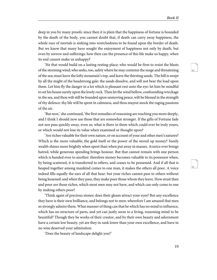deep in you by many proofs: since then it is plain that the happiness of fortune is bounded by the death of the body, you cannot doubt that, if death can carry away happiness, the whole race of mortals is sinking into wretchedness to be found upon the border of death. But we know that many have sought the enjoyment of happiness not only by death, but even by sorrow and sufferings: how then can the presence of this life make us happy, when its end cannot make us unhappy?

'He that would build on a lasting resting-place; who would be firm to resist the blasts of the storming wind; who seeks, too, safety where he may contemn the surge and threatening of the sea; must leave the lofty mountain's top, and leave the thirsting sands. The hill is swept by all the might of the headstrong gale: the sands dissolve, and will not bear the load upon them. Let him fly the danger in a lot which is pleasant rest unto the eye: let him be mindful to set his house surely upon the lowly rock. Then let the wind bellow, confounding wreckage in the sea, and thou wilt still be founded upon unmoving peace, wilt be blessed in the strength of thy defence: thy life will be spent in calmness, and thou mayest mock the raging passions of the air.

'But now,' she continued, 'the first remedies of reasoning are reaching you more deeply, and I think I should now use those that are somewhat stronger. If the gifts of Fortune fade not nor pass quickly away, even so, what is there in them which could ever be truly yours, or which would not lose its value when examined or thought upon?

'Are riches valuable for their own nature, or on account of your and other men's natures? Which is the more valuable, the gold itself or the power of the stored up money? Surely wealth shines more brightly when spent than when put away in masses. Avarice ever brings hatred, while generous spending brings honour. But that cannot remain with one person which is handed over to another: therefore money becomes valuable to its possessor when, by being scattered, it is transferred to others, and ceases to be possessed. And if all that is heaped together among mankind comes to one man, it makes the others all poor. A voice indeed fills equally the ears of all that hear: but your riches cannot pass to others without being lessened: and when they pass, they make poor those whom they leave. How strait then and poor are those riches, which most men may not have, and which can only come to one by making others poor!

'Think again of precious stones: does their gleam attract your eyes? But any excellence they have is their own brilliance, and belongs not to men: wherefore I am amazed that men so strongly admire them. What manner of thing can that be which has no mind to influence, which has no structure of parts, and yet can justly seem to a living, reasoning mind to be beautiful? Though they be works of their creator, and by their own beauty and adornment have a certain low beauty, yet are they in rank lower than your own excellence, and have in no wise deserved your admiration.

'Does the beauty of landscape delight you?'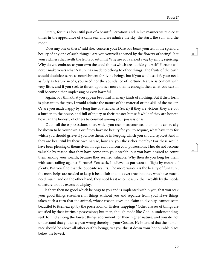42

'Surely, for it is a beautiful part of a beautiful creation: and in like manner we rejoice at times in the appearance of a calm sea, and we admire the sky, the stars, the sun, and the moon.

'Does any one of these,' said she, 'concern you? Dare you boast yourself of the splendid beauty of any one of such things? Are you yourself adorned by the flowers of spring? Is it your richness that swells the fruits of autumn? Why are you carried away by empty rejoicing. Why do you embrace as your own the good things which are outside yourself? Fortune will never make yours what Nature has made to belong to other things. The fruits of the earth should doubtless serve as nourishment for living beings, but if you would satisfy your need as fully as Nature needs, you need not the abundance of Fortune. Nature is content with very little, and if you seek to thrust upon her more than is enough, then what you cast in will become either unpleasing or even harmful

'Again, you think that you appear beautiful i n many kinds of clothing. But if their form is pleasant to the eyes, I would admire the nature of the material or the skill of the maker. Or are you made happy by a long line of attendants? Surely if they are vicious, they are but a burden to the house, and full of injury to their master himself; while if they are honest, how can the honesty of others be counted among your possessions?

'Out of all these possessions, then, which you reckon as your wealth, not one can re ally be shown to be your own. For if they have no beauty for you to acquire, what have they for which you should grieve if you lose them, or in keeping which you should rejoice? And if they are beautiful by their own nature, how are you the richer thereby? For these would have been pleasing of themselves, though cut out from your possessions. They do not become valuable by reason that they have come into your wealth; but you have desired to count them among your wealth, because they seemed valuable. Why then do you long for them with such railing against Fortune? You seek, I believe, to put want to flight by means of plenty. But you find that the opposite results. The more various is the beauty of furniture, the more helps are needed to keep it beautiful; and it is ever true that they who have much, need much; and on the other hand, they need least who measure their wealth by the needs of nature, not by excess of display.

Is there then no good which belongs to you and is implanted within you, that you seek your good things elsewhere, in things without you and separate from you? Have things taken such a turn that the animal, whose reason gives it a claim to divinity, cannot seem beautiful to itself except by the possession of. lifeless trappings? Other classes of things are satisfied by their intrinsic possessions; but men, though made like God in understanding, seek to find among the lowest things adornment for their higher nature: and you do not understand that you do a great wrong thereby to your Creator. He intended that the human race should be above all other earthly beings; yet you thrust down your honourable place below the lowest.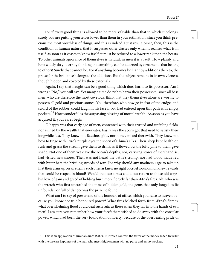44

45

For if every good thing is allowed to be more valuable than that to which it belongs, surely you are putting yourselves lower than them in your estimation, since you think precious the most worthless of things; and this is indeed a just result. Since, then, this is the condition of human nature, that it surpasses other classes only when it realises what is in itself; as soon as it ceases to know itself, it must be reduced to a lower rank than the beasts. To other animals ignorance of themselves is natural; in men it is a fault. How plainly and how widely do you err by thinking that anything can be adorned by ornaments that belong to others! Surely that cannot be. For if anything becomes brilliant by additions thereto, the praise for the brilliance belongs to the additions. But the subject remains in its own vileness, though hidden and covered by these externals.

'Again, I say that naught can be a good thing which does harm to its possessor. Am I wrong? "No," you will say. Yet many a time do riches harm their possessors, since all base men, who are therefore the most covetous, think that they themselves alone are worthy to possess all gold and precious stones. You therefore, who now go in fear of the cudgel and sword of the robber, could laugh in his face if you had entered upon this path with empty pockets.<sup>18</sup> How wonderful is the surpassing blessing of mortal wealth! As soon as you have acquired it, your cares begin!

'O happy was that early age of men, contented with their trusted and unfailing fields, nor ruined by the wealth that enervates. Easily was the acorn got that used to satisfy their longwhile fast. They knew not Bacchus' gifts, nor honey mixed therewith. They knew not how to tinge with Tyre's purple dyes the sheen of China's silks. Their sleep kept health on rush and grass; the stream gave them to drink as it flowed by: the lofty pine to them gave shade. Not one of them yet clave the ocean's depths, nor, carrying stores of merchandise, had visited new shores. Then was not heard the battle's trump, nor had blood made red with bitter hate the bristling swords of war. For why should any madness urge to take up first their arms up on an enemy such ones as knew no sight of cruel wounds nor knew rewards that could be reaped in blood? Would that our times could but return to those old ways! but love of gain and greed of holding burn more fiercely far than Ætna's fires. Ah! who was the wretch who first unearthed the mass of hidden gold, the gems that only longed to lie unfound? For full of danger was the prize he found.

'What am I to say of power and of the honours of office, which you raise to heaven because you know not true honoured power? What fires belched forth from Ætna's flames, what overwhelming flood could deal such ruin as these when they fall into the hands of evil men? I am sure you remember how your forefathers wished to do away with the consular power, which had been the very foundation of liberty, because of the overbearing pride of

<sup>18</sup> This is an application of Juvenal's lines (Sat. x. 19) which contrast the terror of the money-laden traveller with the careless happiness of the man who meets highwayman with no purse and empty pockets.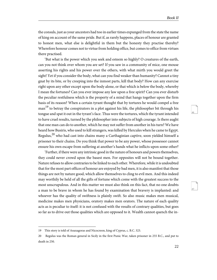47

the consuls, just as your ancestors had too in earlier times expunged from the state the name of king on account of the same pride. But if, as rarely happens, places of honour are granted to honest men, what else is delightful in them but the honesty they practise thereby? Wherefore honour comes not to virtue from holding office, but comes to office from virtues there practised.

'But what is the power which you seek and esteem so highly? O creatures of the earth, can you not think over whom you are set? If you saw in a community of mice, one mouse asserting his rights and his power over the others, with what mirth you would greet the sight! Yet if you consider the body, what can you find weaker than humanity? Cannot a tiny gnat by its bite, or by creeping into the inmost parts, kill that body? How can any exercise right upon any other except upon the body alone, or that which is below the body, whereby I mean the fortunes? Can you ever impose any law upon a free spirit? Can you ever disturb the peculiar restfulness which is the property of a mind that hangs together upon the firm basis of its reason? When a certain tyrant thought that by tortures he would compel a free man<sup>19</sup> to betray the conspirators in a plot against his life, the philosopher bit through his tongue and spat it out in the tyrant's face. Thus were the tortures, which the tyrant intended to have cruel results, turned by the philosopher into subjects of high courage. Is there aught that one man can do to another, which he may not suffer from another in his turn? We have heard how Busiris, who used to kill strangers, was killed by Hercules when he came to Egypt. Regulus, $^{20}$  who had cast into chains many a Carthaginian captive, soon yielded himself a prisoner to their chains. Do you think that power to be any power, whose possessor cannot ensure his own escape from suffering at another's hands what he inflicts upon some other?

'Further, if there were any intrinsic good in the nature of honours and powers themselves, they could never crowd upon the basest men. For opposites will not be bound together. Nature refuses to allow contraries to be linked to each other. Wherefore, while it is undoubted that for the most part offices of honour are enjoyed by bad men, it is also manifest that those things are not by nature good, which allow themselves to cling to evil men. And this indeed may worthily be held of all the gifts of fortune which come with the greatest success to the most unscrupulous. And in this matter we must also think on this fact, that no one doubts a man to be brave in whom he has found by examination that bravery is implanted: and whoever has the quality of swiftness is plainly swift. So also music makes men musical, medicine makes men physicians, oratory makes men orators. The nature of each quality acts as is peculiar to itself: it is not confused with the results of contrary qualities, but goes so far as to drive out those qualities which are opposed to it. Wealth cannot quench the in-

<sup>19</sup> This story is told of Anaxagoras and Nicocreon, king of Cyprus, c. B.C. 323.

<sup>20</sup> Regulus was the Roman general in Sicily in the first Punic War, taken prisoner in 255 B.C., and put to death in 250.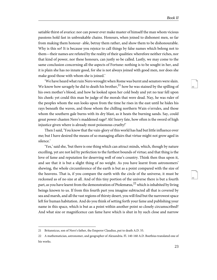49

satiable thirst of avarice: nor can power ever make master of himself the man whom vicious passions hold fast in unbreakable chains. Honours, when joined to dishonest men, so far from making them honour- able, betray them rather, and show them to be dishonourable. Why is this so? It is because you rejoice to call things by false names which belong not to them—their names are refuted by the reality of their qualities: wherefore neither riches, nor that kind of power, nor these honours, can justly so be called. Lastly, we may come to the same conclusion concerning all the aspects of Fortune: nothing is to be sought in her, and it is plain she has no innate good, for she is not always joined with good men, nor does she make good those with whom she is joined.'

'We have heard what ruin Nero wrought when Rome was burnt and senators were slain. We know how savagely he did to death his brother,  $^{21}$  how he was stained by the spilling of his own mother's blood, and how he looked upon her cold body and yet no tear fell upon his cheek: yet could this man be judge of the morals that were dead. Nay, he was ruler of the peoples whom the sun looks upon from the time he rises in the east until he hides his rays beneath the waves, and those whom the chilling northern Wain o'errules, and those whom the southern gale burns with its dry blast, as it heats the burning sands. Say, could great power chasten Nero's maddened rage? Ah! heavy fate, how often is the sword of high injustice given where is already most poisonous cruelty!'

Then I said, 'You know that the vain-glory of this world has had but little influence over me; but I have desired the means of so managing affairs that virtue might not grow aged in silence.'

'Yes,' said she, 'but there is one thing which can attract minds, which, though by nature excelling, yet are not led by perfection to the furthest bounds of virtue; and that thing is the love of fame and reputation for deserving well of one's country. Think then thus upon it, and see that it is but a slight thing of no weight. As you have learnt from astronomers' shewing, the whole circumference of the earth is but as a point compared with the size of the heavens. That is, if you compare the earth with the circle of the universe, it must be reckoned as of no size at all. And of this tiny portion of the universe there is but a fourth part, as you have learnt from the demonstration of Ptolemæus, $^{22}$  which is inhabited by living beings known to us. If from this fourth part you imagine subtracted all that is covered by sea and marsh, and all the vast regions of thirsty desert, you will find but the narrowest space left for human habitation. And do you think of setting forth your fame and publishing your name in this space, which is but as a point within another point so closely circumscribed? And what size or magnificence can fame have which is shut in by such close and narrow

<sup>21</sup> Britannicus, son of Nero's father, the Emperor Claudius, put to death A.D. 55.

<sup>22</sup> A mathematician, astronomer, and geographer of Alexandria. Fl. 140-160 A.D. Boethius translated one of his works.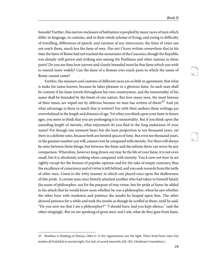51

bounds? Further, this narrow enclosure of habitation is peopled by many races of men which differ in language, in customs, and in their whole scheme of living; and owing to difficulty of travelling, differences of speech, and rareness of any intercourse, the fame of cities can not reach them, much less the fame of men. Has not Cicero written somewhere that in his time the fame of Rome had not reached the mountains of the Caucasus, though the Republic was already well grown and striking awe among the Parthians and other nations in those parts? Do you see then how narrow and closely bounded must be that fame which you wish to extend more widely? Can the fame of a Roman ever reach parts to which the name of Rome cannot come?

Further, the manners and customs of different races are so little in agreement, that what is make his name known, because he takes pleasure in a glorious fame. So each man shall be content if his fame travels throughout his own countrymen, and the immortality of his name shall be bounded by the limits of one nation. But how many men, the most famous of their times, are wiped out by oblivion because no man has written of them!<sup>23</sup> And yet what advantage is there in much that is written? For with their authors these writings are overwhelmed in the length and dimness of age. Yet when you think upon your fame in future ages, you seem to think that you are prolonging it to immortality. But if you think upon the unending length of eternity, what enjoyment do you find in the long endurance of your name? For though one moment bears but the least proportion to ten thousand years, yet there is a definite ratio, because both are limited spaces of time. But even ten thousand years, or the greatest number you will, cannot even be compared with eternity. For there will always be ratio between finite things, but between the finite and the infinite there can never be any comparison. Wherefore, however long drawn out may be the life of your fame, it is not even small, but it is absolutely nothing when compared with eternity. You k now not how to act rightly except for the breezes of popular opinion and for the sake of empty rumours; thus the excellence of conscience and of virtue is left behind, and you seek rewards from the tattle of other men. Listen to the witty manner in which one played once upon the shallowness of this pride. A certain man once bitterly attacked another who had taken to himself falsely the name of philosopher, not for the purpose of true virtue, but for pride of fame; he added to his attack that he would know soon whether he was a philosopher, when he saw whether the other bore with meekness and patience the insults he heaped upon him. The other showed patience for a while and took the insults as though he scoffed at them, until he said, "Do you now see that I am a philosopher?" "I should have, had you kept silence," said the other stingingly. But we are speaking of great men: and I ask, what do they gain from fame,

<sup>23</sup> Boethius is thinking of Horace, Odes iv. 9. Ere Agamemnon saw the light, There lived brave men: but tearless all Enfolded in eternal night, For lack of sacred minstrels, fall. (Mr. Gladstone's translation.)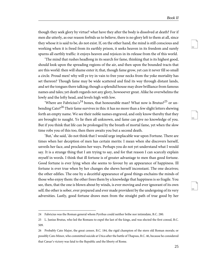53

54

though they seek glory by virtue? what have they after the body is dissolved at death? For if men die utterly, as our reason forbids us to believe, there is no glory left to them at all, since they whose it is said to be, do not exist. If, on the other hand, the mind is still conscious and working when it is freed from its earthly prison, it seeks heaven in its freedom and surely spurns all earthly traffic: it enjoys heaven and rejoices in its release from the of this world.

'The mind that rushes headlong in its search for fame, thinking that is its highest good, should look upon the spreading regions of the air, and then upon the bounded tracts that are this world: then will shame enter it; that, though fame grow, yet can it never fill so small a circle. Proud men! why will ye try in vain to free your necks from the yoke mortality has set thereon? Though fame may be wide scattered and find its way through distant lands, and set the tongues there talking; though a splendid house may draw brilliance from famous names and tales; yet death regards not any glory, howsoever great. Alike he overwhelms the lowly and the lofty head, and levels high with low.

'Where are Fabricius's<sup>24</sup> bones, that honourable man? What now is Brutus?<sup>25</sup> or unbending Cato?<sup>26</sup> Their fame survives in this: it has no more than a few slight letters shewing forth an empty name. We see their noble names engraved, and only know thereby that they are brought to naught. Ye lie then all unknown, and fame can give no knowledge of you. But if you think that life can be prolonged by the breath of mortal fame, yet when the slow time robs you of this too, then there awaits you but a second death.

'But,' she said, 'do not think that I would urge implacable war upon Fortune. There are times when her deception of men has certain merits: I mean when she discovers herself, unveils her face, and proclaims her ways. Perhaps you do not yet understand what I would say. It is a strange thing that I am trying to say, and for that reason I can scarcely explain myself in words. I think that ill fortune is of greater advantage to men than good fortune. Good fortune is ever lying when she seems to favour by an appearance of happiness. Ill fortune is ever true when by her changes she shews herself inconstant. The one deceives; the other edifies. The one by a deceitful appearance of good things enchains the minds of those who enjoy them: the other frees them by a knowledge that happiness is so fragile. You see, then, that the one is blown about by winds, is ever moving and ever ignorant of its own self; the other is sober, ever prepared and ever made provident by the undergoing of its very adversities. Lastly, good fortune draws men from the straight path of true good by her

<sup>24</sup> Fabricius was the Roman general whom Pyrrhus could neither bribe nor intimidate, B.C. 280.

<sup>25</sup> L. Junius Brutus, who led the Romans to expel the last of the kings, and was elected the first consul, B.C. 509.

<sup>26</sup> Probably Cato Major, the great censor, B.C. 184, the rigid champion of the stern old Roman morals; or possibly Cato Minor, who committed suicide at Utica after the battle of Thapsus, B.C. 46, because he considered that Cæsar's victory was fatal to the Republic and the liberty of Rome.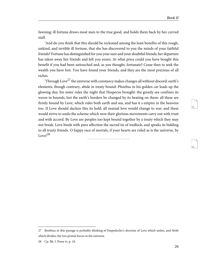56

fawning: ill fortune draws most men to the true good, and holds them back by her curved staff.

'And do you think that this should be reckoned among the least benefits of this rough, unkind, and terrible ill fortune, that she has discovered to you the minds of your faithful friends? Fortune has distinguished for you your sure and your doubtful friends; her departure has taken away her friends and left you yours. At what price could you have bought this benefit if you had been untouched and, as you thought, fortunate? Cease then to seek the wealth you have lost. You have found your friends, and they are the most precious of all riches.

'Through Love<sup>27</sup> the universe with constancy makes changes all without discord: earth's elements, though contrary, abide in treaty bound: Phoebus in his golden car leads up the glowing day; his sister rules the night that Hesperus brought: the greedy sea confines its waves in bounds, lest the earth's borders be changed by its beating on them: all these are firmly bound by Love, which rules both earth and sea, and has it s empire in the heavens too. If Love should slacken this its hold, all mutual love would change to war; and these would strive to undo the scheme which now their glorious movements carry out with trust and with accord. By Love are peoples too kept bound together by a treaty which they may not break. Love binds with pure affection the sacred tie of wedlock, and speaks its bidding to all trusty friends. O happy race of mortals, if your hearts are ruled as is the universe, by  $Lovel^{28}$ 

<sup>27</sup> Boethius in this passage is probably thinking of Empedocles's doctrine of Love which unites, and Strife which divides, the two primal forces in the universe.

<sup>28</sup> Cp. Bk. I. Prose iv, p. 10.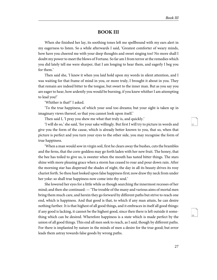#### **BOOK III**

<span id="page-30-0"></span>When she finished her lay, its soothing tones left me spellbound with my ears alert in my eagerness to listen. So a while afterwards I said, 'Greatest comforter of weary minds, how have you cheered me with your deep thoughts and sweet singing too! No more shall I doubt my power to meet the blows of Fortune. So far am I from terror at the remedies which you did lately tell me were sharper, that I am longing to hear them, and eagerly I beg you for them.'

Then said she, 'I knew it when you laid hold upon my words in silent attention, and I was waiting for that frame of mind in you, or more truly, I brought it about in you. They that remain are indeed bitter to the tongue, but sweet to the inner man. But as you say you are eager to hear, how ardently you would be burning, if you knew whither I am attempting to lead you!'

'Whither is that?' I asked.

'To the true happiness, of which your soul too dreams; but your sight is taken up in imaginary views thereof, so that you cannot look upon itself.'

Then said I, 'I pray you shew me what that truly is, and quickly.'

'I will do so,' she said, 'for your sake willingly. But first I will try to picture in words and give you the form of the cause, which is already better known to you, that so, when that picture is perfect and you turn your eyes to the other side, you may recognise the form of true happiness.

'When a man would sow in virgin soil, first he clears away the bushes, cuts the brambles and the ferns, that the corn-goddess may go forth laden with her new fruit. The honey, that the bee has toiled to give us, is sweeter when the mouth has tasted bitter things. The stars shine with more pleasing grace when a storm has ceased to roar and pour down rain. After the morning star has dispersed the shades of night, the day in all its beauty drives its rosy chariot forth. So thou hast looked upon false happiness first; now draw thy neck from under her yoke: so shall true happiness now come into thy soul.'

She lowered her eyes for a little while as though searching the innermost recesses of her mind; and then she continued: — 'The trouble of the many and various aims of mortal men bring them much care, and herein they go forward by different paths but strive to reach one end, which is happiness. And that good is that, to which if any man attain, he can desire nothing further. It is that highest of all good things, and it embraces in itself all good things: if any good is lacking, it cannot be the highest good, since then there is left outside it something which can be desired. Wherefore happiness is a state which is made perfect by the union of all good things. This end all men seek to reach, as I said, though by different paths. For there is implanted by nature in the minds of men a desire for the true good; but error leads them astray towards false goods by wrong paths.

57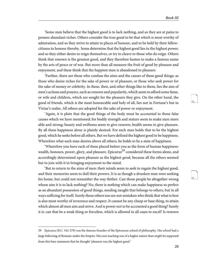'Some men believe that the highest good is to lack nothing, and so they are at pains to possess abundant riches. Others consider the true good to be that which is most worthy of admiration, and so they strive to attain to places of honour, and to be held by their fellowcitizens in honour thereby. Some determine that the highest good lies in the highest power; and so they either desire to reign themselves, or try to cleave to those who do reign. Others think that renown is the greatest good, and they therefore hasten to make a famous name by the arts of peace or of war. But more than all measure the fruit of good by pleasure and enjoyment, and these think that the happiest man is abandoned to pleasure.

'Further, there are those who confuse the aims and the causes of these good things: as those who desire riches for the sake of power or of pleasure, or those who seek power for the sake of money or celebrity. In these, then, and other things like to them, lies the aim of men's actions and prayers, such as renown and popularity, which seem to afford some fame, or wife and children, which are sought for the pleasure they give. On the other hand, the good of friends, which is the most honourable and holy of all, lies not in Fortune's but in Virtue's realm. All others are adopted for the sake of power or enjoyment.

'Again, it is plain that the good things of the body must be accounted to those false causes which we have mentioned; for bodily strength and stature seem to make men more able and strong; beauty and swiftness seem to give renown; health seems to give pleasure. By all these happiness alone is plainly desired. For each man holds that to be the highest good, which he seeks before all others. But we have defined the highest good to be happiness. Wherefore what each man desires above all others, he holds to be a state of happiness.

'Wherefore you have each of these placed before you as the form of human happiness: wealth, honours, power, glory, and pleasure. Epicurus<sup>29</sup> considered these forms alone, and accordingly determined upon pleasure as the highest good, because all the others seemed but to join with it in bringing enjoyment to the mind.

'But to return to the aims of men: their minds seem to seek to regain the highest good, and their memories seem to dull their powers. It is as though a drunken man were seeking his home, but could not remember the way thither. Can those people be altogether wrong whose aim it is to lack nothing? No, there is nothing which can make happiness so perfect as an abundant possession of good things, needing naught that belongs to others, but in all ways sufficing for itself. Surely those others too are not mistaken who think that what is best is also most worthy of reverence and respect. It cannot be any cheap or base thing, to attain which almost all men aim and strive. And is power not to be accounted a good thing? Surely it is: can that be a weak thing or forceless, which is allowed in all cases to excel? Is renown

<sup>29</sup> Epicurus (B.C. 342-270) was the famous founder of the Epicurean school of philosophy. His school had a large following of Romans under the Empire. His own teaching was of a higher nature than might be supposed from this bare statement that he thought 'pleasure was the highest good.'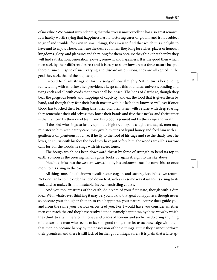62

of no value ? We cannot surrender this; that whatever is most excellent, has also great renown. It is hardly worth saying that happiness has no torturing cares or gloom, and is not subject to grief and trouble; for even in small things, the aim is to find that which it is a delight to have and to enjoy. These, then, are the desires of men: they long for riches, places of honour, kingdoms, glory, and pleasure; and they long for them because they think that thereby they will find satisfaction, veneration, power, renown, and happiness. It is the good then which men seek by their different desires; and it is easy to shew how great a force nature has put therein, since in spite of such varying and discordant opinions, they are all agreed in the goal they seek, that of the highest good.

'I would to pliant strings set forth a song of how almighty Nature turns her guiding reins, telling with what laws her providence keeps safe this boundless universe, binding and tying each and all with cords that never shall be loosed. The lions of Carthage, though they bear the gorgeous bonds and trappings of captivity, and eat the food that is given them by hand, and though they fear their harsh master with his lash they know so well; yet if once blood has touched their bristling jaws, their old, their latent wills return; with deep roaring they remember their old selves; they loose their bands and free their necks, and their tamer is the first torn by their cruel teeth, and his blood is poured out by their rage and wrath.

'If the bird who sings so lustily upon the high tree-top, be caught and caged, men may minister to him with dainty care, may give him cups of liquid honey and feed him with all gentleness on plenteous food; yet if he fly to the roof of his cage and see the shady trees he loves, he spurns with his foot the food they have put before him; the woods are all his sorrow calls for, for the woods he sings with his sweet tones.

'The bough which has been downward thrust by force of strength to bend its top to earth, so soon as the pressing hand is gone, looks up again straight to the sky above.

'Phoebus sinks into the western waves, but by his unknown track he turns his car once more to his rising in the east.

'All things must find their own peculiar course again, and each rejoices in his own return. Not one can keep the order handed down to it, unless in some way it unites its rising to its end, and so makes firm, immutable, its own encircling course.

'And you too, creatures of the earth, do dream of your first state, though with a dim idea. With whatsoever thinking it may be, you look to that goal of happiness, though never so obscure your thoughts: thither, to true happiness, your natural course does guide you, and from the same your various errors lead you. For I would have you consider whether men can reach the end they have resolved upon, namely happiness, by these ways by which they think to attain thereto. If money and places of honour and such-like do bring anything of that sort to a man who seems to lack no good thing, then let us acknowledge with them that men do become happy by the possession of these things. But if they cannot perform their promises, and there is still lack of further good things, surely it is plain that a false ap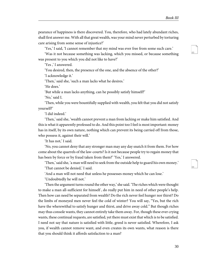pearance of happiness is there discovered. You, therefore, who had lately abundant riches, shall first answer me. With all that great wealth, was your mind never perturbed by torturing care arising from some sense of injustice?'

'Yes,' I said, 'I cannot remember that my mind was ever free from some such care.'

'Was it not because something was lacking, which you missed, or because something was present to you which you did not like to have?'

'Yes ,' I answered.

'You desired, then, the presence of the one, and the absence of the other?'

'I acknowledge it.'

'Then,' said she, 'such a man lacks what he desires.'

'He does.'

'But while a man lacks anything, can he possibly satisfy himself?' 'No,' said I.

'Then, while you were bountifully supplied with wealth, you felt that you did not satisfy yourself?'

'I did indeed.'

'Then,' said she, 'wealth cannot prevent a man from lacking or make him satisfied. And this is what it apparently professed to do. And this point too I feel is most important: money has in itself, by its own nature, nothing which can prevent its being carried off from those, who possess it, against their will.'

'It has not,' I said.

'No, you cannot deny that any stronger man may any day snatch it from them. For how come about the quarrels of the law-courts? Is it not because people try to regain money that has been by force or by fraud taken from them?' 'Yes,' I answered.

'Then,' said she, 'a man will need to seek from the outside help to guard his own money.' 'That cannot be denied,' I said.

'And a man will not need that unless he possesses money which he can lose.'

'Undoubtedly he will not.'

'Then the argument turns round the other way,' she said. 'The riches which were thought to make a man all-sufficient for himself , do really put him in need of other people's help. Then how can need be separated from wealth? Do the rich never feel hunger nor thirst? Do the limbs of moneyed men never feel the cold of winter? You will say, "Yes, but the rich have the wherewithal to satisfy hunger and thirst, and drive away cold." But though riches may thus console wants, they cannot entirely take them away. For, though these ever crying wants, these continual requests, are satisfied, yet there must exist that which is to be satisfied. I need not say that nature is satisfied with little, greed is never satisfied. Wherefore, I ask you, if wealth cannot remove want, and even creates its own wants, what reason is there that you should think it affords satisfaction to a man?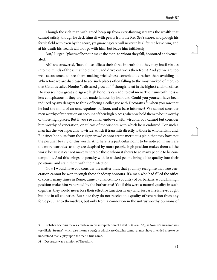'Though the rich man with greed heap up from ever-flowing streams the wealth that cannot satisfy, though he deck himself with pearls from the Red Sea's shore, and plough his fertile field with oxen by the score, yet gnawing care will never in his lifetime leave him, and at his death his wealth will not go with him, but leave him faithlessly.'

'But,' I urged, 'places of honour make the man, to whom they fall, honoured and venerated.'

'Ah!' she answered, 'have those offices their force in truth that they may instil virtues into the minds of those that hold them, and drive out vices therefrom? And yet we are too well accustomed to see them making wickedness conspicuous rather than avoiding it. Wherefore we are displeased to see such places often falling to the most wicked of men, so that Catullus called Nonius "a diseased growth,"<sup>30</sup> though he sat in the highest chair of office. Do you see how great a disgrace high honours can add to evil men? Their unworthiness is less conspicuous if they are not made famous by honours. Could you yourself have been induced by any dangers to think of being a colleague with Decoratus, $31$  when you saw that he had the mind of an unscrupulous buffoon, and a base informer? We cannot consider men worthy of veneration on account of their high places, when we hold them to be unworthy of those high places. But if you see a man endowed with wisdom, you cannot but consider him worthy of veneration, or at least of the wisdom with which he is endowed. For such a man has the worth peculiar to virtue, which it transmits directly to those in whom it is found. But since honours from the vulgar crowd cannot create merit, it is plain that they have not the peculiar beauty of this worth. And here is a particular point to be noticed: if men are the more worthless as they are despised by more people, high position makes them all the worse because it cannot make venerable those whom it shews to so many people to be contemptible. And this brings its penalty with it: wicked people bring a like quality into their positions, and stain them with their infection.

'Now I would have you consider the matter thus, that you may recognise that true veneration cannot be won through these shadowy honours. If a man who had filled the office of consul many times in Rome, came by chance into a country of barbarians, would his high position make him venerated by the barbarians? Yet if this were a natural quality in such dignities, they would never lose their effective function in any land, just as fire is never aught but hot in all countries. But since they do not receive this quality of veneration from any force peculiar to themselves, but only from a connexion in the untrustworthy opinions of

<sup>30</sup> Probably Boethius makes a mistake in his interpretation of Catullus (Carm. 52), as Nonius's surname was very likely 'Struma' (which also means a wen); in which case Catullus cannot at most have intended more to be understood than a play upon the man's true name.

<sup>31</sup> Decoratus was a minion of Theodoric.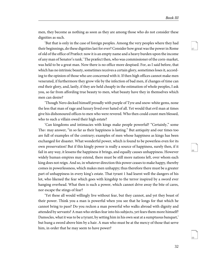68

69

men, they become as nothing as soon as they are among those who do not consider these dignities as such.

'But that is only in the case of foreign peoples. Among the very peoples where they had their beginnings, do these dignities last for ever? Consider how great was the power in Rome of old of the office of Præfect: now it is an empty name and a heavy burden upon the income of any man of Senator's rank.' The præfect then, who was commissioner of the corn-market, was held to be a great man. Now there is no office more despised. For, as I said before, that which has no intrinsic beauty, sometimes receives a certain glory, sometimes loses it, according to the opinion of those who are concerned with it. If then high offices cannot make men venerated, if furthermore they grow vile by the infection of bad men, if changes of time can end their glory, and, lastly, if they are held cheaply in the estimation of whole peoples, I ask you, so far from affording true beauty to men, what beauty have they in themselves which men can desire?

'Though Nero decked himself proudly with purple of Tyre and snow-white gems, none the less that man of rage and luxury lived ever hated of all. Yet would that evil man at times give his dishonoured offices to men who were revered. Who then could count men blessed, who to such a villain owed their high estate?

'Can kingdoms and intimacies with kings make people powerful? "Certainly," some Thee may answer, "in so far as their happiness is lasting." But antiquity and our times too are full of examples of the contrary; examples of men whose happiness as kings has been exchanged for disaster. What wonderful power, which is found to be powerless even for its own preservation! But if this kingly power is really a source of happiness, surely then, if it fail in any way, it lessens the happiness it brings, and equally causes unhappiness. However widely human empires may extend, there must be still more nations left, over whom each king does not reign. And so, in whatever direction this power ceases to make happy, thereby comes in powerlessness, which makes men unhappy; thus therefore there must be a greater part of unhappiness in every king's estate. That tyrant 1 had learnt well the dangers of his lot, who likened the fear which goes with kingship to the terror inspired by a sword ever hanging overhead. What then is such a power, which cannot drive away the bite of cares, nor escape the stings of fear?

'Yet these all would willingly live without fear, but they cannot, and yet they boast of their power. Think you a man is powerful when you see that he longs for that which he cannot bring to pass? Do you reckon a man powerful who walks abroad with dignity and attended by servants? A man who strikes fear into his subjects, yet fears them more himself? Damocles, what it was to be a tyrant, by setting him in his own seat at a sumptuous banquet,' but hung a sword above him by a hair. A man who must be at the mercy of those that serve him, in order that he may seem to have power?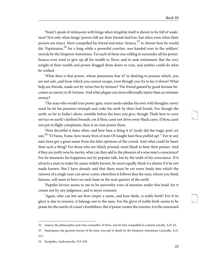71

'Need I speak of intimacies with kings when kingship itself is shewn to be full of weakness? Not only when kings' powers fall are their friends laid low, but often even when their powers are intact. Nero compelled his friend and tutor, Seneca,  $32$  to choose how he would die. Papinianus,  $33$  for a long while a powerful courtier, was handed over to the soldiers' swords by the Emperor Antoninus. Yet each of these was willing to surrender all his power. Seneca even tried to give up all his wealth to Nero, and to seek retirement. But the very weight of their wealth and power dragged them down to ruin, and neither could do what he wished.

'What then is that power, whose possessors fear it? in desiring to possess which, you are not safe, and from which you cannot escape, even though you try to lay it down? What help are friends, made not by virtue but by fortune? The friend gained by good fortune becomes an enemy in ill-fortune. And what plague can more effectually injure than an intimate enemy?

'The man who would true power gain, must needs subdue his own wild thoughts: never must he let his passions triumph and yoke his neck by their foul bonds. For though the earth, as far as India's shore, tremble before the laws you give, though Thule bow to your service on earth's farthest bounds, yet if thou canst not drive away black cares, if thou canst not put to flight complaints, then is no true power thine.

'How deceitful is fame often, and how base a thing it is! Justly did the tragic poet cry out,<sup>34</sup> "O Fame, Fame, how many lives of men Of naught hast thou puffed up! " For m any men have got a great name from the false opinions of the crowd. And what could be baser than such a thing? For those who are falsely praised, must blush to hear their praises. And if they are justly won by merits, what can they add to the pleasure of a wise man's conscience? For he measures his happiness not by popular talk, but by the truth of his conscience. If it attracts a man to make his name widely known, he must equally think it a shame if it be not made known. But I have already said that there must be yet more lands into which the renown of a single man can never come; wherefore it follows that the man, whom you think famous, will seem to have no such fame in the next quarter of the earth.

'Popular favour seems to me to be unworthy even of mention under this head, for it comes not by any judgment, and is never constant.

'Again, who can but see how empty a name, and how futile, is noble birth? For if its glory is due to renown, it belongs not to the man. For the glory of noble birth seems to be praise for the merits of a man's forefathers. But if praise creates the renown, it is the renowned

<sup>32</sup> Seneca, the philosopher and wise counsellor of Nero, was by him compelled to commit suicide, A.D. 65.

<sup>33</sup> Papinianus, the greatest lawyer of his time, was put to death by the Emperor Antoninus Caracalla, A.D. 212.

<sup>34</sup> Euripides, Andromache, 319-320.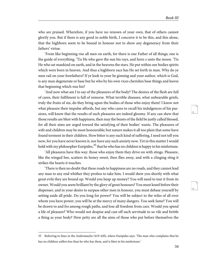73

who are praised. Wherefore, if you have no renown of your own, that of others cannot glorify you. But if there is any good in noble birth, I conceive it to be this, and this alone, that the highborn seem to be bound in honour not to show any degeneracy from their fathers' virtue.

'From like beginning rise all men on earth, for there is one Father of all things; one is the guide of everything. 'Tis He who gave the sun his rays, and horn s unto the moon. 'Tis He who set mankind on earth, and in the heavens the stars. He put within our bodies spirits which were born in heaven. And thus a highborn race has He set forth in man. Why do ye men rail on your forefathers? If ye look to your be ginning and your author, which is God, is any man degenerate or base but he who by his own vices cherishes base things and leaves that beginning which was his?

'And now what am I to say of the pleasures of the body? The desires of the flesh are full of cares, their fulfilment is full of remorse. What terrible diseases, what unbearable griefs, truly the fruits of sin, do they bring upon the bodies of those who enjoy them! I know not what pleasure their impulse affords, but any who cares to recall his indulgences of his passions, will know that the results of such pleasures are indeed gloomy. If any can shew that those results are blest with happiness, then may the beasts of the field be justly called blessed, for all their aims are urged toward the satisfying of their bodies' wants. The pleasures of wife and children may be most honourable; but nature makes it all too plain that some have found torment in their children. How bitter is any such kind of suffering, I need not tell you now, for you have never known it, nor have any such anxiety now. Yet in this matter I would hold with my philosopher Euripides,  $35$  that he who has no children is happy in his misfortune.

'All pleasures have this way: those who enjoy them they drive on with stings. Pleasure, like the winged bee, scatters its honey sweet, then flies away, and with a clinging sting it strikes the hearts it touches.

'There is then no doubt that these roads to happiness are no roads, and they cannot lead any man to any end whither they profess to take him. I would shew you shortly with what great evils they are bound up. Would you heap up money? You will need to tear it from its owner. Would you seem brilliant by the glory of great honours? You must kneel before their dispenser, and in your desire to surpass other men in honour, you must debase yourself by setting aside all pride. Do you long for power? You will be subject to the wiles of all over whom you have power, you will be at the mercy of many dangers. You seek fame? You will be drawn to and fro among rough paths, and lose all freedom from care. Would you spend a life of pleasure? Who would not despise and cast off such servitude to so vile and brittle a thing as your body? How petty are all the aims of those who put before themselves the

<sup>35</sup> Referring to lines in the Andromache (419-420), where Euripides says: 'The man who complains that he has no children suffers less than he who has them, and is blest in his misfortune.'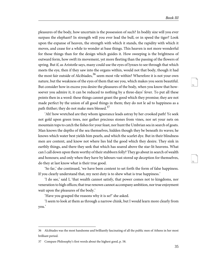75

pleasures of the body, how uncertain is the possession of such? In bodily size will you ever surpass the elephant? In strength will you ever lead the bull, or in speed the tiger? Look upon the expanse of heaven, the strength with which it stands, the rapidity with which it moves, and cease for a while to wonder at base things. This heaven is not more wonderful for those things than for the design which guides it. How sweeping is the brightness of outward form, how swift its movement, yet more fleeting than the passing of the flowers of spring. But if, as Aristotle says, many could use the eyes of lynxes to see through that which meets the eye, then if they saw into the organs within, would not that body, though it had the most fair outside of Alcibiades,  $36$  seem most vile within? Wherefore it is not your own nature, but the weakness of the eyes of them that see you, which makes you seem beautiful. But consider how in excess you desire the pleasures of the body, when you know that howsoever you admire it, it can be reduced to nothing by a three-days' fever. To put all these points then in a word: these things cannot grant the good which they promise; they are not made perfect by the union of all good things in them; they do not le ad to happiness as a path thither; they do not make men blessed.<sup>37</sup>

'Ah! how wretched are they whom ignorance leads astray by her crooked path! Ye seek not gold upon green trees, nor gather precious stones from vines, nor set your nets on mountain tops to catch the fishes for your feast, nor hunt the Umbrian sea in search of goats. Man knows the depths of the sea themselves, hidden though they be beneath its waves; he knows which water best yields him pearls, and which the scarlet dye. But in their blindness men are content, and know not where lies hid the good which they desire. They sink in earthly things, and there they seek that which has soared above the star-lit heavens. What can I call down upon them worthy of their stubborn folly? They go about in search of wealth and honours; and only when they have by labours vast stored up deception for themselves, do they at last know what is their true good.

'So far,' she continued, 'we have been content to set forth the form of false happiness. If you clearly understand that, my next duty is to shew what is true happiness.'

'I do see,' said I, 'that wealth cannot satisfy, that power comes not to kingdoms, nor veneration to high offices; that true renown cannot accompany ambition, nor true enjoyment wait upon the pleasures of the body.'

'Have you grasped the reasons why it is so?' she asked.

'I seem to look at them as through a narrow chink, but I would learn more clearly from you.'

<sup>36</sup> Alcibiades was the most handsome and brilliantly fascinating of all the public men of Athens in her most brilliant period.

<sup>37</sup> Compare Philosophy's first words about the highest good, p. 58.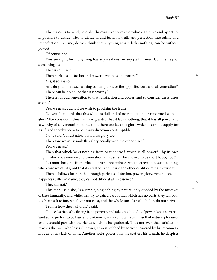'The reason is to hand,' said she; 'human error takes that which is simple and by nature impossible to divide, tries to divide it, and turns its truth and perfection into falsity and imperfection. Tell me, do you think that anything which lacks nothing, can be without power?'

'Of course not.'

'You are right; for if anything has any weakness in any part, it must lack the help of something else.'

'That is so,' I said.

'Then perfect satisfaction and power have the same nature?'

'Yes, it seems so.'

'And do you think such a thing contemptible, or the opposite, worthy of all veneration?' 'There can be no doubt that it is worthy.'

'Then let us add veneration to that satisfaction and power, and so consider these three as one.'

'Yes, we must add it if we wish to proclaim the truth.'

'Do you then think that this whole is dull and of no reputation, or renowned with all glory? For consider it thus: we have granted that it lacks nothing, that it has all power and is worthy of all veneration; it must not therefore lack the glory which it cannot supply for itself, and thereby seem to be in any direction contemptible.'

'No,' I said, 'I must allow that it has glory too.'

'Therefore we must rank this glory equally with the other three.'

'Yes, we must.'

'Then that which lacks nothing from outside itself, which is all-powerful by its own might, which has renown and veneration, must surely be allowed to be most happy too?'

'I cannot imagine from what quarter unhappiness would creep into such a thing, wherefore we must grant that it is full of happiness if the other qualities remain existent.'

'Then it follows further, that though perfect satisfaction, power, glory, veneration, and happiness differ in name, they cannot differ at all in essence?'

'They cannot.'

'This then,' said she, 'is a simple, single thing by nature, only divided by the mistakes of base humanity; and while men try to gain a part of that which has no parts, they fail both to obtain a fraction, which cannot exist, and the whole too after which they do not strive.'

'Tell me how they fail thus,' I said.

'One seeks riches by fleeing from poverty, and takes no thought of power,' she answered, 'and so he prefers to be base and unknown, and even deprives himself of natural pleasures lest he should part with the riches which he has gathered. Thus not even that satisfaction reaches the man who loses all power, who is stabbed by sorrow, lowered by his meanness, hidden by his lack of fame. Another seeks power only: he scatters his wealth, he despises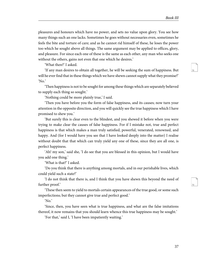pleasures and honours which have no power, and sets no value upon glory. You see how many things such an one lacks. Sometimes he goes without necessaries even, sometimes he feels the bite and torture of care; and as he cannot rid himself of these, he loses the power too which he sought above all things. The same argument may be applied to offices, glory, and pleasure. For since each one of these is the same as each other, any man who seeks one without the others, gains not even that one which he desires.'

'What then?' I asked.

'If any man desires to obtain all together, he will be seeking the sum of happiness. But will he ever find that in these things which we have shewn cannot supply what they promise?' 'No.'

'Then happiness is not to be sought for among these things which are separately believed to supply each thing so sought.'

'Nothing could be more plainly true,' I said.

'Then you have before you the form of false happiness, and its causes; now turn your attention in the opposite direction, and you will quickly see the true happiness which I have promised to shew you.'

'But surely this is clear even to the blindest, and you shewed it before when you were trying to make clear the causes of false happiness. For if I mistake not, true and perfect happiness is that which makes a man truly satisfied, powerful, venerated, renowned, and happy. And (for I would have you see that I have looked deeply into the matter) I realise without doubt that that which can truly yield any one of these, since they are all one, is perfect happiness.

'Ah! my son,' said she, 'I do see that you are blessed in this opinion, but I would have you add one thing.'

'What is that?' I asked.

'Do you think that there is anything among mortals, and in our perishable lives, which could yield such a state?'

'I do not think that there is, and I think that you have shewn this beyond the need of further proof.'

'These then seem to yield to mortals certain appearances of the true good, or some such imperfections; but they cannot give true and perfect good.'

'No.'

'Since, then, you have seen what is true happiness, and what are the false imitations thereof, it now remains that you should learn whence this true happiness may be sought.'

'For that,' said I, 'I have been impatiently waiting.'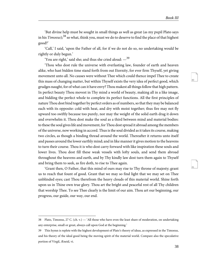'But divine help must be sought in small things as well as great (as my pupil Plato says in his Timoeus); $38$  so what, think you, must we do to deserve to find the place of that highest good?'

'Call,' I said, 'upon the Father of all, for if we do not do so, no undertaking would be rightly or duly begun.'

'You are right,' said she; and thus she cried aloud:  $-$ <sup>39</sup>

'Thou who dost rule the universe with everlasting law, founder of earth and heaven alike, who hast bidden time stand forth from out Eternity, for ever firm Thyself, yet giving movement unto all. No causes were without Thee which could thence impel Thee to create this mass of changing matter, but within Thyself exists the very idea of perfect good, which grudges naught, for of what can it have envy? Thou makest all things follow that high pattern. In perfect beauty Thou movest in Thy mind a world of beauty, making all in a like image, and bidding the perfect whole to complete its perfect functions. All the first principles of nature Thou dost bind together by perfect orders as of numbers, so that they may be balanced each with its opposite: cold with heat, and dry with moist together; thus fire may not fly upward too swiftly because too purely, nor may the weight of the solid earth drag it down and overwhelm it. Thou dost make the soul as a third between mind and material bodies: to these the soul gives life and movement, for Thou dost spread it abroad among the members of the universe, now working in accord. Thus is the soul divided as it takes its course, making two circles, as though a binding thread around the world. Thereafter it returns unto itself and passes around the lower earthly mind; and in like manner it gives motion to the heavens to turn their course. Thou it is who dost carry forward with like inspiration these souls and lower lives. Thou dost fill these weak vessels with lofty souls, and send them abroad throughout the heavens and earth, and by Thy kindly law dost turn them again to Thyself and bring them to seek, as fire doth, to rise to Thee again.

'Grant then, O Father, that this mind of ours may rise to Thy throne of majesty; grant us to reach that fount of good. Grant that we may so find light that we may set on Thee unblinded eyes; cast Thou therefrom the heavy clouds of this material world. Shine forth upon us in Thine own true glory. Thou art the bright and peaceful rest of all Thy children that worship Thee. To see Thee clearly is the limit of our aim. Thou art our beginning, our progress, our guide, our way, our end.

<sup>38</sup> Plato, Timoeus, 27 C. (ch. v.) — 'All those who have even the least share of moderation, on undertaking any enterprise, small or great, always call upon God at the beginning.'

<sup>39</sup> This hymn is replete with the highest development of Plato's theory of ideas, as expressed in the Timoeus, and his theory of the ideal good being the moving spirit of the material world. Compare also the speculative portion of Virgil, Æneid, vi.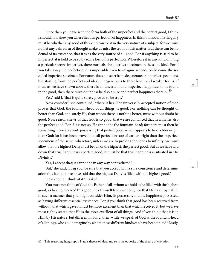'Since then you have seen the form both of the imperfect and the perfect good, I think I should now shew you where lies this perfection of happiness. In this I think our first inquiry must be whether any good of this kind can exist in the very nature of a subject; for we must not let any vain form of thought make us miss the truth of this matter. But there can be no denial of its existence, that it is as the very source of all good. For if anything is said to be imperfect, it is held to be so by some loss of its perfection. Wherefore if in any kind of thing a particular seems imperfect, there must also be a perfect specimen in the same kind. For if you take away the perfection, it is impossible even to imagine whence could come the socalled imperfect specimen. For nature does not start from degenerate or imperfect specimens, but starting from the perfect and ideal, it degenerates to these lower and weaker forms. If then, as we have shewn above, there is an uncertain and imperfect happiness to be found in the good, then there must doubtless be also a sure and perfect happiness therein.<sup>40</sup>

'Yes,' said I, 'that is quite surely proved to be true.'

'Now consider,' she continued, 'where it lies. The universally accepted notion of men proves that God, the fountain-head of all things, is good. For nothing can be thought of better than God, and surely He, than whom there is nothing better, must without doubt be good. Now reason shews us that God is so good, that we are convinced that in Him lies also the perfect good. For if it is not so, He cannot be the fountain-head; for there must then be something more excellent, possessing that perfect good, which appears to be of older origin than God: for it has been proved that all perfections are of earlier origin than the imperfect specimens of the same: wherefore, unless we are to prolong the series to infinity, we must allow that the highest Deity must be full of the highest, the perfect good. But as we have laid down that true happiness is perfect good, it must be that true happiness is situated in His Divinity.'

'Yes, I accept that; it cannot be in any way contradicted.'

'But,' she said, 'I beg you, be sure that you accept with a sure conscience and determination this fact, that we have said that the highest Deity is filled with the highest good.'

'How should I think of it?' I asked.

'You must not think of God, the Father of all , whom we hold to be filled with the highest good, as having received this good into Himself from without, nor that He has it by nature in such a manner that you might consider Him, its possessor, and the happiness possessed, as having different essential existences. For if you think that good has been received from without, that which gave it must be more excellent than that which received it; but we have most rightly stated that He is the most excellent of all things. And if you think that it is in Him by His nature, but different in kind, then, while we speak of God as the fountain-head of all things, who could imagine by whom these different kinds can have been united? Lastly,

<sup>40</sup> This reasoning hangs upon Plato's theory of ideas and so is the opposite of the theory of evolution.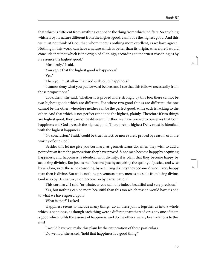85

that which is different from anything cannot be the thing from which it differs. So anything which is by its nature different from the highest good, cannot be the highest good. And this we must not think of God, than whom there is nothing more excellent, as we have agreed. Nothing in this world can have a nature which is better than its origin, wherefore I would conclude that that which is the origin of all things, according to the truest reasoning, is by its essence the highest good.'

'Most truly,' I said.

'You agree that the highest good is happiness?'

'Yes.'

'Then you must allow that God is absolute happiness?'

'I cannot deny what you put forward before, and I see that this follows necessarily from those propositions.'

'Look then,' she said, 'whether it is proved more strongly by this too: there cannot be two highest goods which are different. For where two good things are different, the one cannot be the other; wherefore neither can be the perfect good, while each is lacking to the other. And that which is not perfect cannot be the highest, plainly. Therefore if two things are highest good, they cannot be different. Further, we have proved to ourselves that both happiness and God are each the highest good. Therefore the highest Deity must be identical with the highest happiness.'

'No conclusion,' I said, 'could be truer in fact, or more surely proved by reason, or more worthy of our God.'

'Besides this let me give you corollary, as geometricians do, when they wish to add a point drawn from the propositions they have proved. Since men become happy by acquiring happiness, and happiness is identical with divinity, it is plain that they become happy by acquiring divinity. But just as men become just by acquiring the quality of justice, and wise by wisdom, so by the same reasoning, by acquiring divinity they become divine. Every happy man then is divine. But while nothing prevents as many men as possible from being divine, God is so by His nature, men become so by participation.'

'This corollary,' I said, 'or whatever you call it, is indeed beautiful and very precious.'

'Yes, but nothing can be more beautiful than this too which reason would have us add to what we have agreed upon.'

'What is that?' I asked.

'Happiness seems to include many things: do all these join it together as into a whole which is happiness, as though each thing were a different part thereof, or is any one of them a good which fulfils the essence of happiness, and do the others merely bear relations to this one?'

'I would have you make this plain by the enunciation of these particulars.'

'Do we not,' she asked, 'hold that happiness is a good thing?'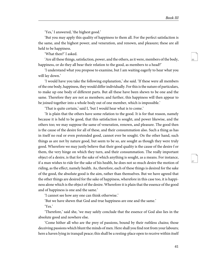87

'Yes,' I answered, 'the highest good.'

'But you may apply this quality of happiness to them all. For the perfect satisfaction is the same, and the highest power, and veneration, and renown, and pleasure; these are all held to be happiness.

'What then?' I asked.

'Are all these things, satisfaction, power, and the others, as it were, members of the body, happiness, or do they all bear their relation to the good, as members to a head?'

'I understand what you propose to examine, but I am waiting eagerly to hear what you will lay down.'

'I would have you take the following explanation,' she said. 'If these were all members of the one body, happiness, they would differ individually. For this is the nature of particulars, to make up one body of different parts. But all these have been shewn to be one and the same. Therefore they are not as members; and further, this happiness will then appear to be joined together into a whole body out of one member, which is impossible.'

'That is quite certain,' said I, 'but I would hear what is to come.'

'It is plain that the others have some relation to the good. It is for that reason, namely because it is held to be good, that this satisfaction is sought, and power likewise, and the others too; we may suppose the same of veneration, renown, and pleasure. The good then is the cause of the desire for all of these, and their consummation also. Such a thing as has in itself no real or even pretended good, cannot ever be sought. On the other hand, such things as are not by nature good, but seem to be so, are sought as though they were truly good. Wherefore we may justly believe that their good quality is the cause of the desire f or them, the very hinge on which they turn, and their consummation. The really important object of a desire, is that for the sake of which anything is sought, as a means. For instance, if a man wishes to ride for the sake of his health, he does not so much desire the motion of riding, as the effect, namely health. As, therefore, each of these things is desired for the sake of the good, the absolute good is the aim, rather than themselves. But we have agreed that the other things are desired for the sake of happiness, wherefore in this case too, it is happiness alone which is the object of the desire. Wherefore it is plain that the essence of the good and of happiness is one and the same.'

'I cannot see how any one can think otherwise.'

'But we have shewn that God and true happiness are one and the same.'

'Yes.'

'Therefore,' said she, 'we may safely conclude that the essence of God also lies in the absolute good and nowhere else.

'Come hither all who are the prey of passions, bound by their ruthless chains; those deceiving passions which blunt the minds of men. Here shall you find rest from your labours; here a haven lying in tranquil peace; this shall be a resting-place open to receive within itself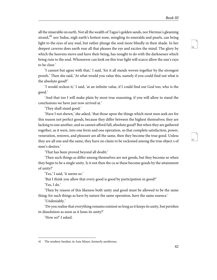89

all the miserable on earth. Not all the wealth of Tagus's golden sands, nor Hermus's gleaming strand,<sup>41</sup> nor Indus, nigh earth's hottest zone, mingling its emeralds and pearls, can bring light to the eyes of any soul, but rather plunge the soul more blindly in their shade. In her deepest caverns does earth rear all that pleases the eye and excites the mind. The glory by which the heavens move and have their being, has nought to do with the darknesses which bring ruin to the soul. Whosoever can look on this true light will scarce allow the sun's rays to be clear.'

'I cannot but agree with that,' I said, 'for it all stands woven together by the strongest proofs.' Then she said, 'At what would you value this, namely if you could find out what is the absolute good?'

'I would reckon it,' I said, 'at an infinite value, if I could find out God too, who is the good.'

'And that too I will make plain by most true reasoning, if you will allow to stand the conclusions we have just now arrived at.'

'They shall stand good.'

'Have I not shewn,' she asked, 'that those upon the things which most men seek are for this reason not perfect goods, because they differ between the highest themselves; they are lacking to one another, and so cannot afford full, absolute good? But when they are gathered together, as it were, into one form and one operation, so that complete satisfaction, power, veneration, renown, and pleasure are all the same, then they become the true good. Unless they are all one and the same, they have no claim to be reckoned among the true object s of men's desires.'

'That has been proved beyond all doubt.'

'Then such things as differ among themselves are not goods, but they become so when they begin to be a single unity. Is it not then the ca se these become goods by the attainment of unity?'

'Yes,' I said, 'it seems so.'

'But I think you allow that every good is good by participation in good?'

'Yes, I do.'

'Then by reason of this likeness both unity and good must be allowed to be the same thing; for such things as have by nature the same operation, have the same essence.'

'Undeniably.'

'Do you realise that everything remains existent so long as it keeps its unity, but perishes in dissolution as soon as it loses its unity?'

'How so?' I asked.

<sup>41</sup> The modern Sarabat, in Asia Minor, formerly auriferous.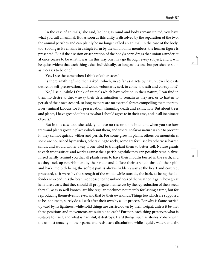91

'In the case of animals,' she said, 'so long as mind and body remain united, you have what you call an animal. But as soon as this unity is dissolved by the separation of the two, the animal perishes and can plainly be no longer called an animal. In the case of the body, too, so long as it remains in a single form by the union of its members, the human figure is presented. But if the division or separation of the body's parts drags that union asunder, it at once ceases to be what it was. In this way one may go through every subject, and it will be quite evident that each thing exists individually, so long as it is one, but perishes so soon as it ceases to be one.'

'Yes, I see the same when I think of other cases.'

'Is there anything,' she then asked, 'which, in so far as it acts by nature, ever loses its desire for self-preservation, and would voluntarily seek to come to death and corruption?'

'No,' I said; 'while I think of animals which have volition in their nature, I can find in them no desire to throw away their determination to remain as they are, or to hasten to perish of their own accord, so long as there are no external forces compelling them thereto. Every animal labours for its preservation, shunning death and extinction. But about trees and plants, I have great doubts as to what I should agree to in their case, and in all inanimate objects.'

'But in this case too,' she said, 'you have no reason to be in doubt, when you see how trees and plants grow in places which suit them, and where, so far as nature is able to prevent it, they cannot quickly wither and perish. For some grow in plains, others on mountain s; some are nourished by marshes, others cling to rocks; some are fertilised by otherwise barren sands, and would wither away if one tried to transplant them to better soil. Nature grants to each what suits it, and works against their perishing while they can possibly remain alive. I need hardly remind you that all plants seem to have their mouths buried in the earth, and so they suck up nourishment by their roots and diffuse their strength through their pith and bark: the pith being the softest part is always hidden away at the heart and covered, protected, as it were, by the strength of the wood; while outside, the bark, as being the defender who endures the best, is opposed to the unkindness of the weather. Again, how great is nature's care, that they should all propagate themselves by the reproduction of their seed; they all, as is so well known, are like regular machines not merely for lasting a time, but for reproducing themselves for ever, and that by their own kinds. Things too which are supposed to be inanimate, surely do all seek after their own by a like process. For why is flame carried upward by its lightness, while solid things are carried down by their weight, unless it be that these positions and movements are suitable to each? Further, each thing preserves what is suitable to itself, and what is harmful, it destroys. Hard things, such as stones, cohere with the utmost tenacity of their parts, and resist easy dissolution; while liquids, water, and air,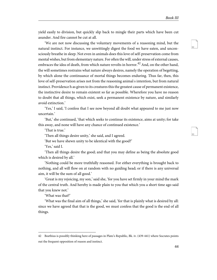93

yield easily to division, but quickly slip back to mingle their parts which have been cut asunder. And fire cannot be cut at all.

'We are not now discussing the voluntary movements of a reasoning mind, but the natural instinct. For instance, we unwittingly digest the food we have eaten, and unconsciously breathe in sleep. Not even in animals does this love of self-preservation come from mental wishes, but from elementary nature. For often the will, under stress of external causes, embraces the idea of death, from which nature revolts in horror.<sup>42</sup> And, on the other hand, the will sometimes restrains what nature always desires, namely the operation of begetting, by which alone the continuance of mortal things becomes enduring. Thus far, then, this love of self-preservation arises not from the reasoning animal s intention, but from natural instinct. Providence h as given to its creatures this the greatest cause of permanent existence, the instinctive desire to remain existent so far as possible. Wherefore you have no reason to doubt that all things, which exist, seek a permanent existence by nature, and similarly avoid extinction.'

'Yes,' I said, 'I confess that I see now beyond all doubt what appeared to me just now uncertain.'

'But,' she continued, 'that which seeks to continue its existence, aims at unity; for take this away, and none will have any chance of continued existence.'

'That is true.'

'Then all things desire unity,' she said, and I agreed.

'But we have shewn unity to be identical with the good?'

'Yes,' said I.

'Then all things desire the good; and that you may define as being the absolute good which is desired by all.'

'Nothing could be more truthfully reasoned. For either everything is brought back to nothing, and all will flow on at random with no guiding head; or if there is any universal aim, it will be the sum of all good.'

'Great is my rejoicing, my son,' said she, 'for you have set firmly in your mind the mark of the central truth. And hereby is made plain to you that which you a short time ago said that you knew not.'

'What was that?'

'What was the final aim of all things,' she said, 'for that is plainly what is desired by all: since we have agreed that that is the good, we must confess that the good is the end of all things.

<sup>42</sup> Boethius is possibly thinking here of passages in Plato's Republic, Bk. iv. (439-441) where Socrates points out the frequent opposition of reason and instinct.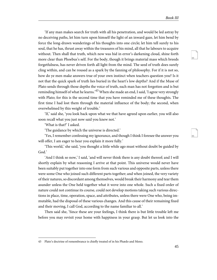95

'If any man makes search for truth with all his penetration, and would be led astray by no deceiving paths, let him turn upon himself the light of an inward gaze, let him bend by force the long-drawn wanderings of his thoughts into one circle; let him tell surely to his soul, that he has, thrust away within the treasures of his mind, all that he labours to acquire without. Then shall that truth, which now was hid in error's darkening cloud, shine forth more clear than Phoebus's self. For the body, though it brings material mass which breeds forgetfulness, has never driven forth all light from the mind. The seed of truth does surely cling within, and can be roused as a spark by the fanning of philosophy. For if it is not so, how do ye men make answers true of your own instinct when teachers question you? Is it not that the quick spark of truth lies buried in the heart's low depths? And if the Muse of Plato sends through those depths the voice of truth, each man has not forgotten and is but reminding himself of what he learns.<sup>43</sup> When she made an end, I said, 'I agree very strongly with Plato; for this is the second time that you have reminded me of these thoughts. The first time I had lost them through the material influence of the body; the second, when overwhelmed by this weight of trouble.'

'If,' said she, 'you look back upon what we that have agreed upon earlier, you will also soon recall what you just now said you knew not.'

'What is that?' I asked.

'The guidance by which the universe is directed.'

'Yes, I remember confessing my ignorance, and though I think I foresee the answer you will offer, I am eager to hear you explain it more fully.'

'This world,' she said, 'you thought a little while ago must without doubt be guided by God.'

'And I think so now,' I said, 'and will never think there is any doubt thereof; and I will shortly explain by what reasoning I arrive at that point. This universe would never have been suitably put together into one form from such various and opposite parts, unless there were some One who joined such different parts together; and when joined, the very variety of their natures, so discordant among themselves, would break their harmony and tear them asunder unless the One held together what it wove into one whole. Such a fixed order of nature could not continue its course, could not develop motions taking such various directions in place, time, operation, space, and attributes, unless there were One who, being immutable, had the disposal of these various changes. And this cause of their remaining fixed and their moving, I call God, according to the name familiar to all.'

Then said she, 'Since these are your feelings, I think there is but little trouble left me before you may revisit your home with happiness in your grasp. But let us look into the

<sup>43</sup> Plato's doctrine of remembrance is chiefly treated of in his Phædo and Meno.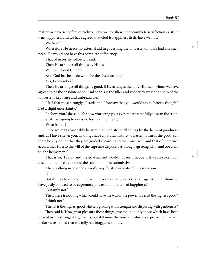97

matter we have set before ourselves. Have we not shewn that complete satisfaction exists in true happiness, and we have agreed that God is happiness itself, have we not?'

'We have.'

'Wherefore He needs no external aid in governing the universe, or, if He had any such need, He would not have this complete sufficiency.'

'That of necessity follows,' I said.

'Then He arranges all things by Himself.'

'Without doubt He does.'

'And God has been shewn to be the absolute good.'

'Yes, I remember.'

'Then He arranges all things by good, if He arranges them by Him self, whom we have agreed to be the absolute good. And so this is the tiller and rudder by which the ship of the universe is kept sure and unbreakable.'

'I feel that most strongly,' I said; 'and I foresaw that you would say so before, though I had a slight uncertainty.'

'I believe you,' she said, 'for now you bring your eyes more watchfully to scan the truth. But what I am going to say is no less plain to the sight.'

'What is that?'

'Since we may reasonably be sure that God steers all things by the helm of goodness, and, as I have shewn you, all things have a natural instinct to hasten towards the good, can there be any doubt that they are guided according to their own will: and that of their own accord they turn to the will of the supreme disposer, as though agreeing with, and obedient to, the helmsman?'

'That is so,' I said, 'and the government would not seem happy if it was a yoke upon discontented necks, and not the salvation of the submissive.'

'Then nothing need oppose God's way for its own nature's preservation.' 'No.'

'But if it try to oppose Him, will it ever have any success at all against One whom we have justly allowed to be supremely powerful in matters of happiness?'

'Certainly not.'

'Then there is nothing which could have the will or the power to resist the highest good?' 'I think not.'

'Then it is the highest good which is guiding with strength and disposing with gentleness?'

Then said I, 'How great pleasure these things give me! not only those which have been proved by the strongest arguments, but still more the words in which you prove them, which make me ashamed that my folly has bragged so loudly.'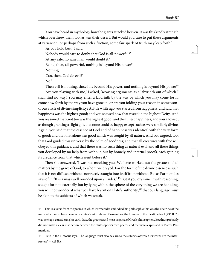'You have heard in mythology how the giants attacked heaven. It was this kindly strength which overthrew them too, as was their desert. But would you care to put these arguments at variance? For perhaps from such a friction, some fair spark of truth may leap forth.'

'As you hold best,' I said.

'Nobody would care to doubt that God is all-powerful?'

'At any rate, no sane man would doubt it.'

'Being, then, all-powerful, nothing is beyond His power?'

'Nothing.'

'Can, then, God do evil?'

'No.'

'Then evil is nothing, since it is beyond His power, and nothing is beyond His power?'

'Are you playing with me,' I asked, 'weaving arguments as a labyrinth out of which I shall find no way? You may enter a labyrinth by the way by which you may come forth: come now forth by the way you have gone in: or are you folding your reason in some wondrous circle of divine simplicity? A little while ago you started from happiness, and said that happiness was the highest good; and you shewed how that rested in the highest Deity. And you reasoned that God too was the highest good, and the fullest happiness; and you allowed, as though granting a slight gift, that none could be happy except such as were similarly divine. Again, you said that the essence of God and of happiness was identical with the very form of good; and that that alone was good which was sought by all nature. And you argued, too, that God guided this universe by the helm of goodness; and that all creatures with free will obeyed this guidance, and that there was no such thing as natural evil; and all these things you developed by no help from without, but by homely and internal proofs, each gaining its credence from that which went before it.'

Then she answered, 'I was not mocking you. We have worked out the greatest of all matters by the grace of God, to whom we prayed. For the form of the divine essence is such that it is not diffused without, nor receives aught into itself from without. But as Parmenides says of it, "It is a mass well rounded upon all sides."<sup>44</sup> But if you examine it with reasoning, sought for not externally but by lying within the sphere of the very thing we are handling, you will not wonder at what you have learnt on Plato's authority, <sup>45</sup> that our language must be akin to the subjects of which we speak.

<sup>44</sup> This is a verse from the poems in which Parmenides embodied his philosophy: this was the doctrine of the unity which must have been in Boethius's mind above. Parmenides, the founder of the Eleatic school (495 B.C.) was perhaps, considering his early date, the greatest and most original of Greek philosophers. Boethius probably did not make a clear distinction between the philosopher's own poems and the views expressed in Plato's Parmenides.

<sup>45</sup> Plato in the Timoeus says, 'The language must also be akin to the subjects of which its words are the interpreters'  $-$  (29 B.).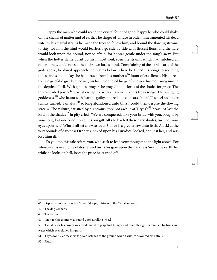101

102

'Happy the man who could reach the crystal fount of good: happy he who could shake off the chains of matter and of earth. The singer of Thrace in olden time lamented his dead wife: by his tearful strains he made the trees to follow him, and bound the flowing streams to stay: for him the hind would fearlessly go side by side with fiercest lions, and the hare would look upon the hound, nor be afraid, for he was gentle under the song's sway. But when the hotter flame burnt up his inmost soul, even the strains, which had subdued all other things, could not soothe their own lord's mind. Complaining of the hard hearts of the gods above, he dared approach the realms below. There he tuned his songs to soothing tones, and sang the lays he had drawn from his mother's<sup>46</sup> fount of excellence. His unrestrained grief did give him power, his love redoubled his grief's power: his mourning moved the depths of hell. With gentlest prayers he prayed to the lords of the shades for grace. The three-headed porter<sup>47</sup> was taken captive with amazement at his fresh songs. The avenging goddesses,  $^{48}$  who haunt with fear the guilty, poured out sad tears. Ixion's  $^{49}$  wheel no longer swiftly turned. Tantalus,<sup>50</sup> so long abandoned unto thirst, could then despise the flowing stream. The vulture, satisfied by his strains, tore not awhile at Tityos's<sup>51</sup> heart. At last the lord of the shades<sup>52</sup> in pity cried: "We are conquered; take your bride with you, bought by your song; but one condition binds our gift: till s he has left these dark abodes, turn not your eyes upon her." Who shall set a law to lovers? Love is a greater law unto itself. Alack! at the very bounds of darkness Orpheus looked upon his Eurydice; looked, and lost her, and was lost himself.

'To you too this tale refers; you, who seek to lead your thoughts to the light above. For whosoever is overcome of desire, and turns his gaze upon the darkness 'neath the earth, he, while he looks on hell, loses the prize he carried off.'

<sup>46</sup> Orpheus's mother was the Muse Calliope, mistress of the Castalian fount.

<sup>47</sup> The dog Cerberus.

<sup>48</sup> The Furies.

<sup>49</sup> Ixion for his crimes was bound upon a rolling wheel

<sup>50</sup> Tantalus for his crimes was condemned to perpetual hunger and thirst though surrounded by fruits and water which ever eluded his grasp.

<sup>51</sup> Tityos for his crimes was for ever fastened to the ground while a vulture devoured his entrails.

<sup>52</sup> Pluto.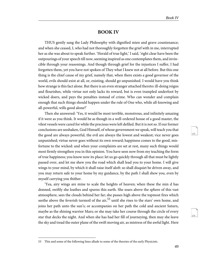## **BOOK IV**

THUS gently sang the Lady Philosophy with dignified mien and grave countenance; and when she ceased, I, who had not thoroughly forgotten the grief with in me, interrupted her as she was about to speak further. 'Herald of true light,' I said, 'right clear have been the outpourings of your speech till now, seeming inspired as one contemplates them, and invincible through your reasonings. And though through grief for the injustices I suffer, I had forgotten them, yet you have not spoken of They what I knew not at all before. But this one thing is the chief cause of my grief, namely that, when there exists a good governor of the world, evils should exist at all, or, existing, should go unpunished. I would have you think how strange is this fact alone. But there is an even stranger attached thereto: ill-doing reigns and flourishes, while virtue not only lacks its reward, but is even trampled underfoot by wicked doers, and pays the penalties instead of crime. Who can wonder and complain enough that such things should happen under the rule of One who, while all-knowing and all-powerful, wills good alone?'

Then she answered: 'Yes, it would be most terrible, monstrous, and infinitely amazing if it were as you think. It would be as though in a well-ordered house of a good master, the vilest vessels were cared for while the precious were left defiled. But it is not so. If our former conclusions are unshaken, God Himself, of whose government we speak, will teach you that the good are always powerful, the evil are always the lowest and weakest; vice never goes unpunished; virtue never goes without its own reward; happiness comes to the good, misfortune to the wicked: and when your complaints are set at rest, many such things would most firmly strengthen you in this opinion. You have seen now from my teaching the form of true happiness; you know now its place: let us go quickly through all that must be lightly passed over, and let me shew you the road which shall lead you to your home. I will give wings to your mind, by which it shall raise itself aloft: so shall disquiet be driven away, and you may return safe to your home by my guidance, by the path I shall shew you, even by myself carrying you thither.

'Yea, airy wings are mine to scale the heights of heaven; when these the min d has donned, swiftly she loathes and spurns this earth. She soars above the sphere of this vast atmosphere, sees the clouds behind her far; she passes high above the topmost fires which seethe above the feverish turmoil of the  $\sin^{53}$  until she rises to the stars' own home, and joins her path unto the sun's; or accompanies on her path the cold and ancient Saturn, maybe as the shining warrior Mars; or she may take her course through the circle of every star that decks the night. And when she has had her fill of journeying, then may she leave the sky and tread the outer plane of the swift moving air, as mistress of the awful light. Here 103

<sup>53</sup> This and some of the following lines allude to some of the theories of the early Physicists.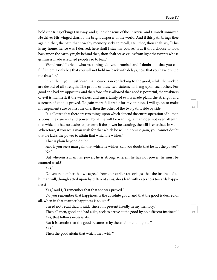106

holds the King of kings His sway, and guides the reins of the universe, and Himself unmoved He drives His winged chariot, the bright disposer of the world. And if this path brings thee again hither, the path that now thy memory seeks to recall, I tell thee, thou shalt say, "This is my home, hence was I derived, here shall I stay my course." But if thou choose to look back upon the earthly night behind thee, thou shalt see as exiles from light the tyrants whose grimness made wretched peoples so to fear.'

'Wondrous,' I cried; 'what vast things do you promise! and I doubt not that you can fulfil them. I only beg that you will not hold me back with delays, now that you have excited me thus far.'

'First, then, you must learn that power is never lacking to the good, while the wicked are devoid of all strength. The proofs of these two statements hang upon each other. For good and bad are opposites, and therefore, if it is allowed that good is powerful, the weakness of evil is manifest: if the weakness and uncertainty of evil is made plain, the strength and sureness of good is proved. To gain more full credit for my opinion, I will go on to make my argument sure by first the one, then the other of the two paths, side by side.

'It is allowed that there are two things upon which depend the entire operation of human actions: they are will and power. For if the will be wanting, a man does not even attempt that which he has no desire to perform; if the power be wanting, the will is exercised in vain. Wherefore, if you see a man wish for that which he will in no wise gain, you cannot doubt that he lacks the power to attain that which he wishes.'

'That is plain beyond doubt.'

'And if you see a man gain that which he wishes, can you doubt that he has the power?' 'No.'

'But wherein a man has power, he is strong; wherein he has not power, he must be counted weak?'

'Yes.'

'Do you remember that we agreed from our earlier reasonings, that the instinct of all human will, though acted upon by different aims, does lead with eagerness towards happiness?'

'Yes,' said I, 'I remember that that too was proved.'

'Do you remember that happiness is the absolute good, and that the good is desired of all, when in that manner happiness is sought?'

'I need not recall that,' I said, 'since it is present fixedly in my memory.'

'Then all men, good and bad alike, seek to arrive at the good by no different instincts?' 'Yes, that follows necessarily.'

'But it is certain that the good become so by the attainment of good?' 'Yes.'

'Then the good attain that which they wish?'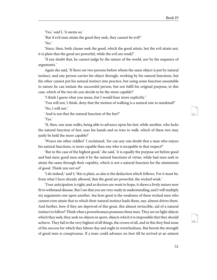108

'Yes,' said I, 'it seems so.'

'But if evil men attain the good they seek, they cannot be evil?'

'No.'

'Since, then, both classes seek the good, which the good attain, but the evil attain not, it is plain that the good are powerful, while the evil are weak?'

'If any doubt that, he cannot judge by the nature of the world, nor by the sequence of arguments.'

Again she said, 'If there are two persons before whom the same object is put by natural instinct, and one person carries his object through, working by his natural functions, but the other cannot put his natural instinct into practice, but using some function unsuitable to nature he can imitate the successful person, but not fulfil his original purpose, in this case, which of the two do you decide to be the more capable?'

'I think I guess what you mean, but I would hear more explicitly.'

'You will not, I think, deny that the motion of walking is a natural one to mankind?' 'No, I will not.'

'And is not that the natural function of the feet?'

'Yes.'

'If, then, one man walks, being able to advance upon his feet, while another, who lacks the natural function of feet, uses his hands and so tries to walk, which of these two may justly be held the more capable?'

'Weave me other riddles!' I exclaimed, 'for can any one doubt that a man who enjoys his natural functions, is more capable than one who is incapable in that respect?'

'But in the case of the highest good,' she said, 'it is equally the purpose set before good and bad men; good men seek it by the natural functions of virtue, while bad men seek to attain the same through their cupidity, which is not a natural function for the attainment of good. Think you not so?'

'I do indeed,' said I; 'this is plain, as also is the deduction which follows. For it must be, from what I have already allowed, that the good are powerful, the wicked weak.'

'Your anticipation is right; and as doctors are wont to hope, it shews a lively nature now fit to withstand disease. But I see that you are very ready in understanding, and I will multiply my arguments one upon another. See how great is the weakness of these wicked men who cannot even attain that to which their natural instinct leads them, nay, almost drives them. And further, how if they are deprived of this great, this almost invincible, aid of a natural instinct to follow? Think what a powerlessness possesses these men. They are no light objects which they seek; they seek no objects in sport, objects which it is impossible that they should achieve. They fail in the very highest of all things, the crown of all, and in this they find none of the success for which they labour day and night in wretchedness. But herein the strength of good men is conspicuous. If a man could advance on foot till he arrived at an utmost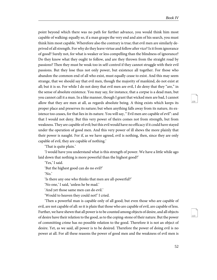110

point beyond which there was no path for further advance, you would think him most capable of walking: equally so, if a man grasps the very end and aim of his search, you must think him most capable. Wherefore also the contrary is true; that evil men are similarly deprived of all strength. For why do they leave virtue and follow after vice? Is it from ignorance of good? Surely not, for what is weaker or less compelling than the blindness of ignorance? Do they know what they ought to follow, and are they thrown from the straight road by passions? Then they must be weak too in self-control if they cannot struggle with their evil passions. But they lose thus not only power, but existence all together. For those who abandon the common end of all who exist, must equally cease to exist. And this may seem strange, that we should say that evil men, though the majority of mankind, do not exist at all; but it is so. For while I do not deny that evil men are evil, I do deny that they "are," in the sense of absolute existence. You may say, for instance, that a corpse is a dead man, but you cannot call it a man. In a like manner, though I grant that wicked men are bad, I cannot allow that they are men at all, as regards absolute being. A thing exists which keeps its proper place and preserves its nature; but when anything falls away from its nature, its existence too ceases, for that lies in its nature. You will say, " Evil men are capable of evil": and that I would not deny. But this very power of theirs comes not from strength, but from weakness. They are capable of evil; but this evil would have no efficacy if it could have stayed under the operation of good men. And this very power of ill shews the more plainly that their power is naught. For if, as we have agreed, evil is nothing, then, since they are only capable of evil, they are capable of nothing.'

'That is quite plain.'

'I would have you understand what is this strength of power. We have a little while ago laid down that nothing is more powerful than the highest good?'

'Yes,' I said.

'But the highest good can do no evil?'

'No.'

'Is there any one who thinks that men are all-powerful?'

'No one,' I said, 'unless he be mad.'

'And yet those same men can do evil.'

'Would to heaven they could not!' I cried.

'Then a powerful man is capable only of all good; but even those who are capable of evil, are not capable of all: so it is plain that those who are capable of evil, are capable of less. Further, we have shewn that all power is to be counted among objects of desire, and all objects of desire have their relation to the good, as to the coping-stone of their nature. But the power of committing crime has no possible relation to the good. Therefore it is not an object of desire. Yet, as we said, all power is to be desired. Therefore the power of doing evil is no power at all. For all these reasons the power of good men and the weakness of evil men is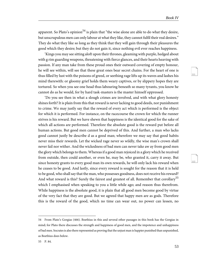112

apparent. So Plato's opinion<sup>54</sup> is plain that "the wise alone are able to do what they desire, but unscrupulous men can only labour at what they like, they cannot fulfil their real desires." They do what they like so long as they think that they will gain through their pleasures the good which they desire; but they do not gain it, since nothing evil ever reaches happiness.

'Kings you may see sitting aloft upon their thrones, gleaming with purple, hedged about with g rim guarding weapons, threatening with fierce glances, and their hearts heaving with passion. If any man take from these proud ones their outward covering of empty honour, he will see within, will see that these great ones bear secret chains. For the heart of one is thus filled by lust with the poisons of greed, or seething rage lifts up its waves and lashes his mind therewith: or gloomy grief holds them weary captives, or by slippery hopes they are tortured. So when you see one head thus labouring beneath so many tyrants, you know he cannot do as he would, for by hard task-masters is the master himself oppressed.

'Do you see then in what a slough crimes are involved, and with what glory honesty shines forth? It is plain from this that reward is never lacking to good deeds, nor punishment to crime. We may justly say that the reward of every act which is performed is the object for which it is performed. For instance, on the racecourse the crown for which the runner strives is his reward. But we have shewn that happiness is the identical good for the sake of which all actions are performed. Therefore the absolute good is the reward put before all human actions. But good men cannot be deprived of this. And further, a man who lacks good cannot justly be describe d as a good man; wherefore we may say that good habits never miss their rewards. Let the wicked rage never so wildly, the wise man's crown shall never fail nor wither. And the wickedness of bad men can never take aw ay from good men the glory which belongs to them. Whereas if a good man rejoiced in a glory which he received from outside, then could another, or even he, may be, who granted it, carry it away. But since honesty grants to every good man its own rewards, he will only lack his reward when he ceases to be good. And lastly, since every reward is sought for the reason that it is held to be good, who shall say that the man, who possesses goodness, does not receive his reward? And what reward is this? Surely the fairest and greatest of all. Remember that corollary<sup>55</sup> which I emphasised when speaking to you a little while ago; and reason thus therefrom. While happiness is the absolute good, it is plain that all good men become good by virtue of the very fact that they are good. But we agreed that happy men are as gods. Therefore this is the reward of the good, which no time can wear out, no power can lessen, no

<sup>54</sup> From Plato's Gorgias (466). Boethius in this and several other passages in this book has the Gorgias in mind; for Plato there discusses the strength and happiness of good men, and the impotence and unhappiness of bad men. Socrates is also there represented as proving that the unjust man is happier punished than unpunished, as Boethius does below.

<sup>55</sup> P. 84.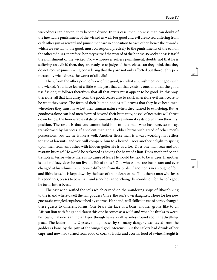114

wickedness can darken; they become divine. In this case, then, no wise man can doubt of the inevitable punishment of the wicked as well. For good and evil are so set, differing from each other just as reward and punishment are in opposition to each other: hence the rewards, which we see fall to the good, must correspond precisely to the punishments of the evil on the other side. As, therefore, honesty is itself the reward of the honest, so wickedness is itself the punishment of the wicked. Now whosoever suffers punishment, doubts not that he is suffering an evil: if, then, they are ready so to judge of themselves, can they think that they do not receive punishment, considering that they are not only affected but thoroughly permeated by wickedness, the worst of all evils?

'Then, from the other point of view of the good, see what a punishment ever goes with the wicked. You have learnt a little while past that all that exists is one, and that the good itself is one; it follows therefrom that all that exists must appear to be good. In this way, therefore, all that falls away from the good, ceases also to exist, wherefore evil men cease to be what they were. The form of their human bodies still proves that they have been men; wherefore they must have lost their human nature when they turned to evil-doing. But as goodness alone can lead men forward beyond their humanity, so evil of necessity will thrust down be low the honourable estate of humanity those whom it casts down from their first position. The result is that you cannot hold him to be a man who has been, so to say, transformed by his vices. If a violent man and a robber burns with greed of other men's possessions, you say he is like a wolf. Another fierce man is always working his restless tongue at lawsuits, and you will compare him to a hound. Does another delight to spring upon men from ambushes with hidden guile? He is as a fox. Does one man roar and not restrain his rage? He would be reckoned as having the heart of a lion. Does another flee and tremble in terror where there is no cause of fear? He would be held to be as deer. If another is dull and lazy, does he not live the life of an ass? One whose aims are inconstant and ever changed at his whims, is in no wise different from the birds. If another is in a slough of foul and filthy lusts, he is kept down by the lusts of an unclean swine. Thus then a man who loses his goodness, ceases to be a man, and since he cannot change his condition for that of a god, he turns into a beast.

'The east wind wafted the sails which carried on the wandering ships of Ithaca's king to the island where dwelt the fair goddess Circe, the sun's own daughter. There for her new guests she mingled cups bewitched by charms. Her hand, well skilled in use of herbs, changed these guests to different forms. One bears the face of a boar; another grows like to an African lion with fangs and claws; this one becomes as a wolf, and when he thinks to weep, he howls; that one is an Indian tiger, though he walks all harmless round about the dwellingplace. The leader alone, Ulysses, though beset by so many dangers, was saved from the goddess's bane by the pity of the winged god, Mercury. But the sailors had drunk of her cups, and now had turned from food of corn to husks and acorns, food of swine. Naught is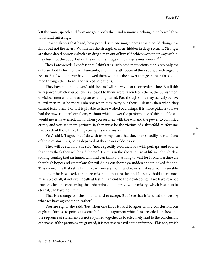116

117

left the same, speech and form are gone; only the mind remains unchanged, to bewail their unnatural sufferings.

'How weak was that hand, how powerless those magic herbs which could change the limbs but not the he art! Within lies the strength of men, hidden in deep security. Stronger are those dread poisons which can drag a man out of himself, which work their way within: they hurt not the body, but on the mind their rage inflicts a grievous wound.<sup>56</sup>

Then I answered: 'I confess that I think it is justly said that vicious men keep only the outward bodily form of their humanity, and, in the attributes of their souls, are changed to beasts. But I would never have allowed them willingly the power to rage in the ruin of good men through their fierce and wicked intentions.'

'They have not that power,' said she, 'as I will shew you at a convenient time. But if this very power, which you believe is allowed to them, were taken from them, the punishment of vicious men would be to a great extent lightened. For, though some may scarcely believe it, evil men must be more unhappy when they carry out their ill desires than when they cannot fulfil them. For if it is pitiable to have wished bad things, it is more pitiable to have had the power to perform them, without which power the performance of this pitiable will would never have effect. Thus, when you see men with the will and the power to commit a crime, and you see them perform it, they must be the victims of a threefold misfortune, since each of those three things brings its own misery.

'Yes,' said I, 'I agree; but I do wish from my heart that they may speedily be rid of one of these misfortunes, being deprived of this power of doing evil.'

'They will be rid of it,' she said, 'more speedily even than you wish perhaps, and sooner than they think they will be rid thereof. There is in the short course of life naught which is so long coming that an immortal mind can think it has long to wait for it. Many a time are their high hopes and great plans for evil-doing cut short by a sudden and unlooked-for end. This indeed it is that sets a limit to their misery. For if wickedness makes a man miserable, the longer he is wicked, the more miserable must he be; and I should hold them most miserable of all, if not even death at last put an end to their evil-doing. If we have reached true conclusions concerning the unhappiness of depravity, the misery, which is said to be eternal, can have no limit.'

'That is a strange conclusion and hard to accept. But I see that it is suited too well by what we have agreed upon earlier.'

'You are right,' she said; 'but when one finds it hard to agree with a conclusion, one ought in fairness to point out some fault in the argument which has preceded, or shew that the sequence of statements is not so joined together as to effectively lead to the conclusion; otherwise, if the premises are granted, it is not just to cavil at the inference. This too, which

<sup>56</sup> Cf. St. Matthew x. 28.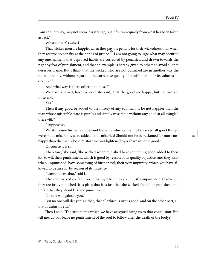I am about to say, may not seem less strange, but it follows equally from what has been taken as fact.'

'What is that?' I asked.

'That wicked men are happier when they pay the penalty for their wickedness than when they receive no penalty at the hands of justice.<sup>57</sup> I am not going to urge what may occur to any one, namely, that depraved habits are corrected by penalties, and drawn towards the right by fear of punishment, and that an example is hereby given to others to avoid all that deserves blame. But I think that the wicked who are not punished are in another way the more unhappy, without regard to the corrective quality of punishment, nor its value as an example.'

'And what way is there other than these?'

'We have allowed, have we not,' she said, 'that the good are happy, but the bad are miserable.'

'Yes.'

'Then if any good be added to the misery of any evil man, is he not happier than the man whose miserable state is purely and simply miserable without any good at all mingled therewith?'

'I suppose so.'

'What if some further evil beyond those by which a man, who lacked all good things, were made miserable, were added to his miseries? Should not he be reckoned far more unhappy than the man whose misfortune was lightened by a share in some good?'

'Of course it is so.'

'Therefore,' she said, 'the wicked when punished have something good added to their lot, to wit, their punishment, which is good by reason of its quality of justice; and they also, when unpunished, have something of further evil, their very impunity, which you have allowed to be an evil, by reason of its injustice.'

'I cannot deny that,' said I.

'Then the wicked are far more unhappy when they are unjustly unpunished, than when they are justly punished. It is plain that it is just that the wicked should be punished, and unfair that they should escape punishment.'

'No one will gainsay you.'

'But no one will deny this either, that all which is just is good; and on the other part, all that is unjust is evil.'

Then I said: 'The arguments which we have accepted bring us to that conclusion. But tell me, do you leave no punishment of the soul to follow after the death of the body?'

<sup>57</sup> Plato, Gorgias, 472 and ff.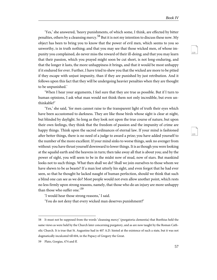120

'Yes,' she answered, 'heavy punishments, of which some, I think, are effected by bitter penalties, others by a cleansing mercy.<sup>58</sup> But it is not my intention to discuss these now. My object has been to bring you to know that the power of evil men, which seems to you so unworthy, is in truth nothing; and that you may see that those wicked men, of whose impunity you complained, do never miss the reward of their ill-doing; and that you may learn that their passion, which you prayed might soon be cut short, is not long-enduring, and that the longer it lasts, the more unhappiness it brings, and that it would be most unhappy if it endured for ever. Further, I have tried to shew you that the wicked are more to be pitied if they escape with unjust impunity, than if they are punished by just retribution. And it follows upon this fact that they will be undergoing heavier penalties when they are thought to be unpunished.'

'When I hear your arguments, I feel sure that they are true as possible. But if I turn to human opinions, I ask what man would not think them not only incredible, but even unthinkable?'

'Yes,' she said, 'for men cannot raise to the transparent light of truth their eyes which have been accustomed to darkness. They are like those birds whose sight is clear at night, but blinded by daylight. So long as they look not upon the true course of nature, but upon their own feelings, they think that the freedom of passion and the impunity of crime are happy things. Think upon the sacred ordinances of eternal law. If your mind is fashioned after better things, there is no need of a judge to award a prize; you have added yourself to the number of the more excellent. If your mind sinks to worse things, seek no avenger from without: you have thrust yourself downward to lower things. It is as though you were looking at the squalid earth and the heavens in turn; then take away all that is about you; and by the power of sight, you will seem to be in the midst now of mud, now of stars. But mankind looks not to such things. What then shall we do? Shall we join ourselves to those whom we have shewn to be as beasts? If a man lost utterly his sight, and even forgot that he had ever seen, so that he thought he lacked naught of human perfection, should we think that such a blind one can see as we do? Most people would not even allow another point, which rests no less firmly upon strong reasons, namely, that those who do an injury are more unhappy than those who suffer one.'<sup>59</sup>

'I would hear those strong reasons,' I said.

'You do not deny that every wicked man deserves punishment?'

<sup>58</sup> It must not be supposed from the words 'cleansing mercy' (purgatoria clementia) that Boethius held the same views as were held by the Church later concerning purgatory, and as are now taught by the Roman Catholic Church. It is true that St. Augustine had in 407 A.D. hinted at the existence of such a state, but it was not dogmatically inculcated till 604, in the Papacy of Gregory the Great.

<sup>59</sup> Plato, Gorgias, 474 and ff.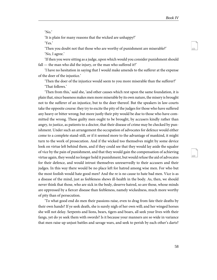122

'No.'

'It is plain for many reasons that the wicked are unhappy?'

'Yes.'

'Then you doubt not that those who are worthy of punishment are miserable?' 'No, I agree.'

'If then you were sitting as a judge, upon which would you consider punishment should fall — the man who did the injury, or the man who suffered it?'

'I have no hesitation in saying that I would make amends to the sufferer at the expense of the doer of the injustice.'

'Then the doer of the injustice would seem to you more miserable than the sufferer?' 'That follows.'

'Then from this,' said she, 'and other causes which rest upon the same foundation, it is plain that, since baseness makes men more miserable by its own nature, the misery is brought not to the sufferer of an injustice, but to the doer thereof. But the speakers in law-courts take the opposite course: they try to excite the pity of the judges for those who have suffered any heavy or bitter wrong; but more justly their pity would be due to those who have committed the wrong. These guilty men ought to be brought, by accusers kindly rather than angry, to justice, as patients to a doctor, that their disease of crime may be checked by punishment. Under such an arrangement the occupation of advocates for defence would either come to a complete stand-still, or if it seemed more to the advantage of mankind, it might turn to the work of prosecution. And if the wicked too themselves might by some device look on virtue left behind them, and if they could see that they would lay aside the squalor of vice by the pain of punishment, and that they would gain the compensation of achieving virtue again, they would no longer hold it punishment, but would refuse the aid of advocates for their defence, and would intrust themselves unreservedly to their accusers and their judges. In this way there would be no place left for hatred among wise men. For who but the most foolish would hate good men? And the re is no cause to hate bad men. Vice is as a disease of the mind, just as feebleness shews ill-health in the body. As, then, we should never think that those, who are sick in the body, deserve hatred, so are those, whose minds are oppressed by a fiercer disease than feebleness, namely wickedness, much more worthy of pity than of persecution.

'To what good end do men their passions raise, even to drag from fate their deaths by their own hands? If ye seek death, she is surely nigh of her own will; and her winged horses she will not delay. Serpents and lions, bears, tigers and boars, all seek your lives with their fangs, yet do ye seek them with swords? Is it because your manners are so wide in variance that men raise up unjust battles and savage wars, and seek to perish by each other's darts?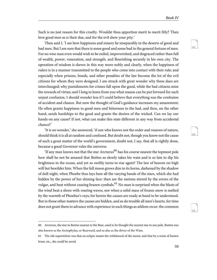124

125

Such is no just reason for this cruelty. Wouldst thou apportion merit to merit fitly? Then love good men as is their due, and for the evil shew your pity.'

Then said I, 'I see how happiness and misery lie inseparably in the deserts of good and bad men. But I am sure that there is some good and some bad in the general fortune of men. For no wise man even would wish to be exiled, impoverished, and disgraced rather than full of wealth, power, veneration, and strength, and flourishing securely in his own city. The operation of wisdom is shewn in this way more nobly and clearly, when the happiness of rulers is in a manner transmitted to the people who come into contact with their rule; and especially when prisons, bonds, and other penalties of the law become the lot of the evil citizens for whom they were designed. I am struck with great wonder why these dues are interchanged; why punishments for crimes fall upon the good, while the bad citizens seize the rewards of virtue; and I long to learn from you what reason can be put forward for such unjust confusion. I should wonder less if I could believe that everything was the confusion of accident and chance. But now the thought of God's guidance increases my amazement; He often grants happiness to good men and bitterness to the bad, and then, on the other hand, sends hardships to the good and grants the desires of the wicked. Can we lay our hands on any cause? If not, what can make this state different in any way from accidental chance?'

'It is no wonder,' she answered, 'if one who knows not the order and reasons of nature, should think it is all at random and confused. But doubt not, though you know not the cause of such a great matter of the world's government, doubt not, I say, that all is rightly done, because a good Governor rules the universe.

'If any man knows not that the star Arcturus<sup>60</sup> has his course nearest the topmost pole how shall he not be amazed that Boötes so slowly takes his wain and is so late to dip his brightness in the ocean, and yet so swiftly turns to rise again? The law of heaven on high will but bewilder him. When the full moon grows dim to its horns, darkened by the shadow of dull night, when Phoebe thus lays bare all the varying bands of the stars, which she had hidden by the power of her shining face: then are the nations stirred by the errors of the vulgar, and beat without ceasing brazen cymbals.<sup>61</sup> No man is surprised when the blasts of the wind beat a shore with roaring waves, nor when a solid mass of frozen snow is melted by the warmth of Phoebus's rays; for herein the causes are ready at hand to be understood. But in those other matters the causes are hidden, and so do trouble all men's hearts, for time does not grant them to advance with experience in such things as seldom recur: the common

<sup>60</sup> Arcturus, the star in Boötes nearest to the Bear, used to be thought the nearest star to our pole. Boötes was also known as the Arctophylax, or Bearward, and so also as the driver of the Wain.

<sup>61</sup> The old superstition was that an eclipse meant the withdrawal of the moon, and that by a noise of beaten brass, etc., she could be saved.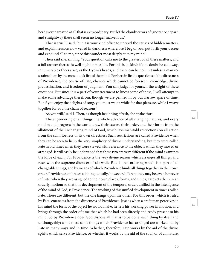127

herd is ever amazed at all that is extraordinary. But let the cloudy errors of ignorance depart, and straightway these shall seem no longer marvellous.'

'That is true,' I said; 'but it is your kind office to unravel the causes of hidden matters, and explain reasons now veiled in darkness; wherefore I beg of you, put forth your decree and expound all to me, since this wonder most deeply stirs my mind.'

Then said she, smiling, 'Your question calls me to the greatest of all these matters, and a full answer thereto is well-nigh impossible. For this is its kind: if one doubt be cut away, innumerable others arise, as the Hydra's heads; and there can be no limit unless a man restrains them by the most quick fire of the mind. For herein lie the questions of the directness of Providence, the course of Fate, chances which cannot be foreseen, knowledge, divine predestination, and freedom of judgment. You can judge for yourself the weight of these questions. But since it is a part of your treatment to know some of these, I will attempt to make some advantage therefrom, though we are penned in by our narrow space of time. But if you enjoy the delights of song, you must wait a while for that pleasure, while I weave together for you the chain of reasons.'

'As you will,' said I. Then, as though beginning afresh, she spake thus:

'The engendering of all things, the whole advance of all changing natures, and every motion and progress in the world, draw their causes, their order, and their forms from the allotment of the unchanging mind of God, which lays manifold restrictions on all action from the calm fortress of its own directness Such restrictions are called Providence when they can be seen to lie in the very simplicity of divine understanding; but they were called Fate in old times when they were viewed with reference to the objects which they moved or arranged. It will easily be understood that these two are very different if the mind examines the force of each. For Providence is the very divine reason which arranges all things, and rests with the supreme disposer of all; while Fate is that ordering which is a part of all changeable things, and by means of which Providence binds all things together in their own order. Providence embraces all things equally, however different they may be, even however infinite: when they are assigned to their own places, forms, and times, Fate sets them in an orderly motion; so that this development of the temporal order, unified in the intelligence of the mind of God, is Providence. The working of this unified development in time is called Fate. These are different, but the one hangs upon the other. For this order, which is ruled by Fate, emanates from the directness of Providence. Just as when a craftsman perceives in his mind the form of the object he would make, he sets his working power in motion, and brings through the order of time that which he had seen directly and ready present to his mind. So by Providence does God dispose all that is to be done, each thing by itself and unchangeably; while these same things which Providence has arranged are worked out by Fate in many ways and in time. Whether, therefore, Fate works by the aid of the divine spirits which serve Providence, or whether it works by the aid of the soul, or of all nature,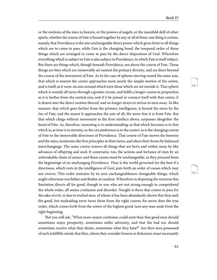129

or the motions of the stars in heaven, or the powers of angels, or the manifold skill of other spirits, whether the course of Fate is bound together by any or all of these, one thing is certain, namely that Providence is the one unchangeable direct power which gives form to all things which are to come to pass, while Fate is the changing bond, the temporal order of those things which are arranged to come to pass by the direct disposition of God. Wherefore everything which is subject to Fate is also subject to Providence, to which Fate is itself subject. But there are things which, though beneath Providence, are above the course of Fate. Those things are they which are immovably set nearest the primary divinity, and are there beyond the course of the movement of Fate. As in the case of spheres moving round the same axis, that which is nearest the centre approaches most nearly the simple motion of the centre, and is itself, as it were, an axis around which turn those which are set outside it. That sphere which is outside all turns through a greater circuit, and fulfils a longer course in proportion as it is farther from the central axis; and if it be joined or connect itself with that centre, it is drawn into the direct motion thereof, and no longer strays or strives to turn away. In like manner, that which goes farther from the primary intelligence, is bound the more by the ties of Fate, and the nearer it approaches the axis of all, the more free it is from Fate. But that which clings without movement to the firm intellect above, surpasses altogether the bond of Fate. As, therefore, reasoning is to understanding; as that which becomes is to that which is; as time is to eternity; as the circumference is to the centre: so is the changing course of Fate to the immovable directness of Providence. That course of Fate moves the heavens and the stars, moderates the first principles in their turns, and alters their forms by balanced interchangings. The same course renews all things that are born and wither away by like advances of offspring and seed. It constrains, too, the actions and fortunes of men by an unbreakable chain of causes: and these causes must be unchangeable, as they proceed from the beginnings of an unchanging Providence. Thus is the world governed for the best if a directness, which rests in the intelligence of God, puts forth an order of causes which may not swerve. This order restrains by its own unchangeableness changeable things, which might otherwise run hither and thither at random. Wherefore in disposing the universe this limitation directs all for good, though to you who are not strong enough to comprehend the whole order, all seems confusion and disorder. Naught is there that comes to pass for the sake of evil, or due to wicked men, of whom it has been abundantly shewn that they seek the good, but misleading error turns them from the right course; for never does the true order, which comes forth from the centre of the highest good, turn any man aside from the right beginning.

'But you will ask, "What more unjust confusion could exist than that good men should sometimes enjoy prosperity, sometimes suffer adversity, and that the bad too should sometimes receive what they desire, sometimes what they hate?" Are then men possessed of such infallible minds that they, whom they consider honest or dishonest, must necessarily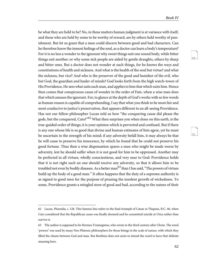131

be what they are held to be? No, in these matters human judgment is at variance with itself, and those who are held by some to be worthy of reward, are by others held worthy of punishment. But let us grant that a man could discern between good and bad characters. Can he therefore know the inmost feelings of the soul, as a doctor can learn a body's temperature? For it is no less a wonder to the ignorant why sweet things suit one sound body, while bitter things suit another; or why some sick people are aided by gentle draughts, others by sharp and bitter ones. But a doctor does not wonder at such things, for he knows the ways and constitutions of health and sickness. And what is the health of the soul but virtue? and what the sickness, but vice? And who is the preserver of the good and banisher of the evil, who but God, the guardian and healer of minds? God looks forth from the high watch-tower of His Providence, He sees what suits each man, and applies to him that which suits him. Hence then comes that conspicuous cause of wonder in the order of Fate, when a wise man does that which amazes the ignorant. For, to glance at the depth of God's works with so few words as human reason is capable of comprehending, I say that what you think to be most fair and most conducive to justice's preservation, that appears different to an all-seeing Providence. Has not our fellow-philosopher Lucan told us how "the conquering cause did please the gods, but the conquered, Cato?"<sup>62</sup> What then surprises you when done on this earth, is the true-guided order of things; it is your opinion which is perverted and confused. But if there is any one whose life is so good that divine and human estimates of him agree, yet he must be uncertain in the strength of his mind; if any adversity befall him, it may always be that he will cease to preserve his innocence, by which he found that he could not preserve his good fortune. Thus then a wise dispensation spares a man who might be made worse by adversity, lest he should suffer when it is not good for him to be oppressed. Another may be perfected in all virtues, wholly conscientious, and very near to God: Providence holds that it is not right such an one should receive any adversity, so that it allows him to be troubled not even by bodily diseases. As a better man<sup>63</sup> than I has said, "The powers of virtues build up the body of a good man." It often happens that the duty of a supreme authority is as signed to good men for the purpose of pruning the insolent growth of wickedness. To some, Providence grants a mingled store of good and bad, according to the nature of their

<sup>62</sup> Lucan, Pharsalia, i. 128. This famous line refers to the final triumph of Cæsar at Thapsus, B.C. 46, when Cato considered that the Republican cause was finally doomed and he committed suicide at Utica rather than survive it.

<sup>63</sup> The author is supposed to be Hermes Trismegistus, who wrote in the third century after Christ. The word 'powers' was used by many Neo-Platonic philosophers for those beings in the scale of nature, with which they filled the chasm between God and man. But Boethius does not seem to intend the word to have that definite meaning here.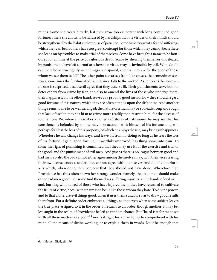133

134

minds. Some she treats bitterly, lest they grow too exuberant with long continued good fortune; others she allows to be harassed by hardships that the virtues of their minds should be strengthened by the habit and exercise of patience. Some have too great a fear of sufferings which they can bear; others have too great contempt for those which they cannot bear: these she leads on by troubles to make trial of themselves. Some have brought a name to be honoured for all time at the price of a glorious death. Some by shewing themselves undefeated by punishment, have left a proof to others that virtue may be invincible by evil. What doubt can there be of how rightly such things are disposed, and that they are for the good of those whom we see them befall? The other point too arises from like causes, that sometimes sorrows, sometimes the fulfilment of their desires, falls to the wicked. As concerns the sorrows, no one is surprised, because all agree that they deserve ill. Their punishments serve both to deter others from crime by fear, and also to amend the lives of those who undergo them; their happiness, on the other hand, serves as a proof to good men of how they should regard good fortune of this nature, which they see often attends upon the dishonest. And another thing seems to me to be well arranged: the nature of a man may be so headstrong and rough that lack of wealth may stir hi m to crime more readily than restrain him; for the disease of such an one Providence prescribes a remedy of stores of patrimony: he may see that his conscience is befouled by sin, he may take account with himself of his fortune, and will perhaps fear lest the loss of this property, of which he enjoys the use, may bring unhappiness. Wherefore he will change his ways, and leave off from ill-doing so long as he fears the loss of his fortune. Again, good fortune, unworthily improved, has flung some into ruin. To some the right of punishing is committed that they may use it for the exercise and trial of the good, and the punishment of evil men. And just as there is no league between good and bad men, so also the bad cannot either agree among themselves: nay, with their vices tearing their own consciences asunder, they cannot agree with themselves, and do often perform acts which, when done, they perceive that they should not have done. Wherefore high Providence has thus often shewn her strange wonder, namely, that bad men should make other bad men good. For some find themselves suffering injustice at the hands of evil men, and, burning with hatred of those who have injured them, they have returned to cultivate the fruits of virtue, because their aim is to be unlike those whom they hate. To divine power, and to that alone, are evil things good, when it uses them suitably so as to draw good results therefrom. For a definite order embraces all things, so that even when some subject leaves the true place assigned to it in the order, it returns to an order, though another, it may be, lest aught in the realm of Providence be left to random chance. But "ha rd is it for me to set forth all these matters as a god,<sup> $64$ </sup> nor is it right for a man to try to comprehend with his mind all the means of divine working, or to explain them in words. Let it be enough that

<sup>64</sup> Homer, Iliad, xii. 176.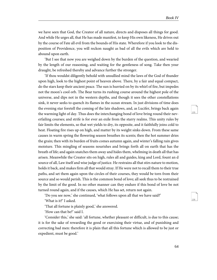136

we have seen that God, the Creator of all nature, directs and disposes all things for good. And while He urges all, that He has made manifest, to keep His own likeness, He drives out by the course of Fate all evil from the bounds of His state. Wherefore if you look to the disposition of Providence, you will reckon naught as bad of all the evils which are held to abound upon earth.

'But I see that now you are weighed down by the burden of the question, and wearied by the length of our reasoning, and waiting for the gentleness of song. Take then your draught, be refreshed thereby and advance further the stronger.

'If thou wouldst diligently behold with unsullied mind the laws of the God of thunder upon high, look to the highest point of heaven above. There, by a fair and equal compact, do the stars keep their ancient peace. The sun is hurried on by its whirl of fire, but impedes not the moon's cool orb. The Bear turns its rushing course around the highest pole of the universe, and dips not in the western depths, and though it sees the other constellations sink, it never seeks to quench its flames in the ocean stream. In just divisions of time does the evening star foretell the coming of the late shadows, and, as Lucifer, brings back again the warming light of day. Thus does the interchanging bond of love bring round their neverfailing courses; and strife is for ever an exile from the starry realms. This unity rules by fair limits the elements, so that wet yields to dry, its opposite, and it faithfully joins cold to heat. Floating fire rises up on high, and matter by its weight sinks down. From these same causes in warm spring the flowering season breathes its scents; then the hot summer dries the grain; then with its burden of fruits comes autumn again, and winter's falling rain gives moisture. This mingling of seasons nourishes and brings forth all on earth that has the breath of life; and again snatches them away and hides them, whelming in death all that has arisen. Meanwhile the Creator sits on high, rules all and guides, king and Lord, fount an d source of all, Law itself and wise judge of justice. He restrains all that stirs nature to motion, holds it back, and makes firm all that would stray. If He were not to recall them to their true paths, and set them again upon the circles of their courses, they would be torn from their source and so would perish. This is the common bond of love; all seek thus to be restrained by the limit of the good. In no other manner can they endure if this bond of love be not turned round again, and if the causes, which He has set, return not again.

'Do you see now,' she continued, 'what follows upon all that we have said?' 'What is it?' I asked.

'That all fortune is plainly good,' she answered.

'How can that be?' said I.

'Consider this,' she said: 'all fortune, whether pleasant or difficult, is due to this cause; it is for the sake of rewarding the good or exercising their virtue, and of punishing and correcting bad men: therefore it is plain that all this fortune which is allowed to be just or expedient, must be good.'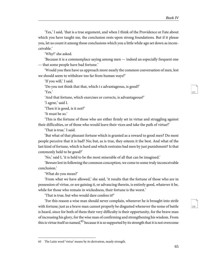138

'Yes,' I said, 'that is a true argument, and when I think of the Providence or Fate about which you have taught me, the conclusion rests upon strong foundations. But if it please you, let us count it among those conclusions which you a little while ago set down as inconceivable.'

'Why?' she asked.

'Because it is a commonplace saying among men — indeed an especially frequent one — that some people have bad fortune.'

'Would you then have us approach more nearly the common conversation of men, lest we should seem to withdraw too far from human ways?'

'If you will,' I said.

'Do you not think that that, which i s advantageous, is good?'

'Yes.'

'And that fortune, which exercises or corrects, is advantageous?'

'I agree,' said I.

'Then it is good, is it not?'

'It must be so.'

'This is the fortune of those who are either firmly set in virtue and struggling against their difficulties, or of those who would leave their vices and take the path of virtue?'

'That is true,' I said.

'But what of that pleasant fortune which is granted as a reward to good men? Do most people perceive that it is bad? No; but, as is true, they esteem it the best. And what of the last kind of fortune, which is hard and which restrains bad men by just punishment? Is that commonly held to be good?'

'No,' said I, 'it is held to be the most miserable of all that can be imagined.'

'Beware lest in following the common conception, we come to some truly inconceivable conclusion.'

'What do you mean?'

'From what we have allowed,' she said, 'it results that the fortune of those who are in possession of virtue, or are gaining it, or advancing therein, is entirely good, whatever it be, while for those who remain in wickedness, their fortune is the worst.'

'That is true, but who would dare confess it?'

'For this reason a wise man should never complain, whenever he is brought into strife with fortune; just as a brave man cannot properly be disgusted whenever the noise of battle is heard, since for both of them their very difficulty is their opportunity, for the brave man of increasing his glory, for the wise man of confirming and strengthening his wisdom. From this is virtue itself so named,<sup>65</sup> because it is so supported by its strength that it is not overcome

<sup>65</sup> The Latin word 'virtus' means by its derivation, manly strength.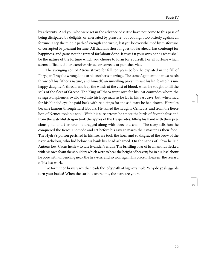140

by adversity. And you who were set in the advance of virtue have not come to this pass of being dissipated by delights, or enervated by pleasure; but you fight too bitterly against all fortune. Keep the middle path of strength and virtue, lest you be overwhelmed by misfortune or corrupted by pleasant fortune. All that falls short or goes too far ahead, has contempt for happiness, and gains not the reward for labour done. It rests i n your own hands what shall be the nature of the fortune which you choose to form for yourself. For all fortune which seems difficult, either exercises virtue, or corrects or punishes vice.

'The avenging son of Atreus strove for full ten years before he expiated in the fall of Phrygian Troy the wrong done to his brother's marriage. The same Agamemnon must needs throw off his father's nature, and himself, an unwilling priest, thrust his knife into his unhappy daughter's throat, and buy the winds at the cost of blood, when he sought to fill the sails of the fleet of Greece. The King of Ithaca wept sore for his lost comrades whom the savage Polyphemus swallowed into his huge maw as he lay in his vast cave; but, when mad for his blinded eye, he paid back with rejoicings for the sad tears he had drawn. Hercules became famous through hard labours. He tamed the haughty Centaurs, and from the fierce lion of Nemea took his spoil. With his sure arrows he smote the birds of Stymphalus; and from the watchful dragon took the apples of the Hesperides, filling his hand with their precious gold; and Cerberus he dragged along with threefold chain. The story tells how he conquered the fierce Diomede and set before his savage mares their master as their food. The Hydra's poison perished in his fire. He took the horn and so disgraced the brow of the river Achelous, who hid below his bank his head ashamed. On the sands of Libya he laid Antæus low; Cacus he slew to sate Evander's wrath. The bristling boar of Erymanthus flecked with his own foam the shoulders which were to bear the height of heaven; for in his last labour he bore with unbending neck the heavens, and so won again his place in heaven, the reward of his last work.

'Go forth then bravely whither leads the lofty path of high example. Why do ye sluggards turn your backs? When the earth is overcome, the stars are yours.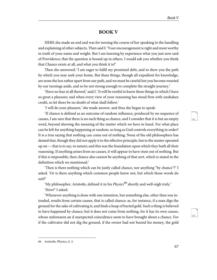142

## **BOOK V**

HERE she made an end and was for turning the course of her speaking to the handling and explaining of other subjects. Then said I: 'Your encouragement is right and most worthy in truth of your name and weight. But I am learning by experience what you just now said of Providence; that the question is bound up in others. I would ask you whether you think that Chance exists at all, and what you think it is?'

Then she answered: 'I am eager to fulfil my promised debt, and to shew you the path by which you may seek your home. But these things, though all-expedient for knowledge, are none the less rather apart from our path, and we must be careful lest you become wearied by our turnings aside, and so be not strong enough to complete the straight journey.'

'Have no fear at all thereof,' said I.' It will be restful to know these things in which I have so great a pleasure; and when every view of your reasoning has stood firm with unshaken credit, so let there be no doubt of what shall follow.'

'I will do your pleasure,' she made answer, and thus she began to speak:

'If chance is defined as an outcome of random influence, produced by no sequence of causes, I am sure that there is no such thing as chance, and I consider that it is but an empty word, beyond shewing the meaning of the matter which we have in hand. For what place can be left for anything happening at random, so long as God controls everything in order? It is a true saying that nothing can come out of nothing. None of the old philosophers has denied that, though they did not apply it to the effective principle, but to the matter operated up on — that is to say, to nature; and this was the foundation upon which they built all their reasoning. If anything arises from no causes, it will appear to have risen out of nothing. But if this is impossible, then chance also cannot be anything of that sort, which is stated in the definition which we mentioned.'

'Then is there nothing which can be justly called chance, nor anything "by chance"?' I asked. 'Or is there anything which common people know not, but which those words do suit?'

'My philosopher, Aristotle, defined it in his  $Physics^{66}$  shortly and well-nigh truly.' 'How?' I asked.

'Whenever anything is done with one intention, but something else, other than was intended, results from certain causes, that is called chance: as, for instance, if a man digs the ground for the sake of cultivating it, and finds a heap of buried gold. Such a thing is believed to have happened by chance, but it does not come from nothing, for it has its own causes, whose unforeseen an d unexpected coincidence seem to have brought about a chance. For if the cultivator did not dig the ground, if the owner had not buried his money, the gold

<sup>66</sup> Aristotle, Physics, ii. 3.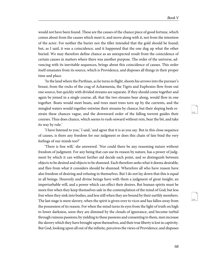$1/12$ 

144

would not have been found. These are the causes of the chance piece of good fortune, which comes about from the causes which meet it, and move along with it, not from the intention of the actor. For neither the burier nor the tiller intended that the gold should be found; but, as I said, it was a coincidence, and it happened that the one dug up what the other buried. We may therefore define chance as an unexpected result from the coincidence of certain causes in matters where there was another purpose. The order of the universe, advancing with its inevitable sequences, brings about this coincidence of causes. This order itself emanates from its source, which is Providence, and disposes all things in their proper time and place.

'In the land where the Parthian, as he turns in flight, shoots his arrows into the pursuer's breast, from the rocks of the crag of Achæmenia, the Tigris and Euphrates flow from out one source, but quickly with divided streams are separate. If they should come together and again be joined in a single course, all, that the two streams bear along, would flow in one together. Boats would meet boats, and trees meet trees torn up by the currents, and the mingled waters would together entwine their streams by chance; but their sloping beds restrain these chances vague, and the downward order of the falling torrent guides their courses. Thus does chance, which seems to rush onward without rein, bear the bit, and take its way by rule.'

'I have listened to you,' I said, 'and agree that it is as you say. But in this close sequence of causes, is there any freedom for our judgment or does this chain of fate bind the very feelings of our minds too?'

'There is free will,' she answered. 'Nor could there be any reasoning nature without freedom of judgment. For any being that can use its reason by nature, has a power of judgment by which it can without further aid decide each point, and so distinguish between objects to be desired and objects to be shunned. Each therefore seeks what it deems desirable, and flies from what it considers should be shunned. Wherefore all who have reason have also freedom of desiring and refusing in themselves. But I do not lay down that this is equal in all beings. Heavenly and divine beings have with them a judgment of great insight, an imperturbable will, and a power which can effect their desires. But human spirits must be more free when they keep themselves safe in the contemplation of the mind of God; but less free when they sink into bodies, and less still when they are bound by their earthly members. The last stage is mere slavery, when the spirit is given over to vices and has fallen away from the possession of its reason. For when the mind turns its eyes from the light of truth on high to lower darkness, soon they are dimmed by the clouds of ignorance, and become turbid through ruinous passions; by yielding to these passions and consenting to them, men increase the slavery which they have brought upon themselves, and their true liberty is lost in captivity. But God, looking upon all out of the infinite, perceives the views of Providence, and disposes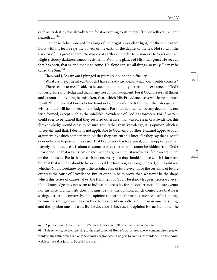<span id="page-72-1"></span><span id="page-72-0"></span>146

each as its destiny has already fated for it according to its merits: "He looketh over all and heareth all."<sup>67</sup>

'Homer with his honeyed lips sang of the bright sun's clear light; yet the sun cannot burst with his feeble rays the bowels of the earth or the depths of the sea. Not so with the Creator of this great sphere. No masses of earth can block His vision as He looks over all. Night's cloudy darkness cannot resist Him. With one glance of His intelligence He sees all that has been, that is, and that is to come. He alone can see all things, so truly He may be called the Sun.'68

Then said I, 'Again am I plunged in yet more doubt and difficulty.'

'What are they,' she asked, 'though I have already my idea of what your trouble consists?' 'There seems to me,' I said, 'to be such incompatibility between the existence of God's universal foreknowledge and that of any freedom of judgment. For if God foresees all things and cannot in anything be mistaken, that, which His Providence sees will happen, must result. Wherefore if it knows beforehand not only men's deeds but even their designs and wishes, there will be no freedom of judgment For there can neither be any deed done, nor wish formed, except such as the infallible Providence of God has foreseen. For if matters could ever so be turned that they resulted otherwise than was foreseen of Providence, this foreknowledge would cease to be sure. But, rather than knowledge, it is opinion which is uncertain; and that, I deem, is not applicable to God. And, further, I cannot approve of an argument by which some men think that they can cut this knot; for they say that a result does not come to pass for the reason that Providence has foreseen it, but the opposite rather, namely, that because it is about to come to pass, therefore it cannot be hidden from God's Providence. In that way it seems to me that the argument must resolve itself into an argument on the other side. For in that case it is not necessary that that should happen which is foreseen, but that that which is about to happen should be foreseen; as though, indeed, our doubt was whether God's foreknowledge is the certain cause of future events, or the certainty of future events is the cause of Providence. But let our aim be to prove that, whatever be the shape which this series of causes takes, the fulfilment of God's foreknowledge is necessary, even if this knowledge may not seem to induce the necessity for the occurrence of future events. For instance, if a man sits down, it must be that the opinion, which conjectures that he is sitting, is true; but conversely, if the opinion concerning the man is true because he is sitting, he must be sitting down. There is therefore necessity in both cases: the man must be sitting, and the opinion must be true. But he does not sit because the opinion is true, but rather the

<sup>67</sup> A phrase from Homer (Iliad, iii. 277, and Odyssey, xi. 109), where it is said of the sun.

<sup>68</sup> This sentence, besides referring to the application of Homer's words used above, contains also a play on words in the Latin, which can only be clumsily reproduced in English by some such words as 'The sole power which can see all is justly to be called the solar.'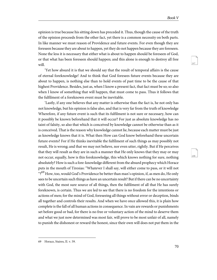<span id="page-73-1"></span><span id="page-73-0"></span>148

opinion is true because his sitting down has preceded it. Thus, though the cause of the truth of the opinion proceeds from the other fact, yet there is a common necessity on both parts. In like manner we must reason of Providence and future events. For even though they are foreseen because they are about to happen, yet they do not happen because they are foreseen. None the less it is necessary that either what is about to happen should be foreseen of God, or that what has been foreseen should happen; and this alone is enough to destroy all free will.

'Yet how absurd it is that we should say that the result of temporal affairs is the cause of eternal foreknowledge! And to think that God foresees future events because they are about to happen, is nothing else than to hold events of past time to be the cause of that highest Providence. Besides, just as, when I know a present fact, that fact must be so; so also when I know of something that will happen, that must come to pass. Thus it follows that the fulfilment of a foreknown event must be inevitable.

'Lastly, if any one believes that any matter is otherwise than the fact is, he not only has not knowledge, but his opinion is false also, and that is very far from the truth of knowledge Wherefore, if any future event is such that its fulfilment is not sure or necessary, how can it possibly be known beforehand that it will occur? For just as absolute knowledge has no taint of falsity, so also that which is conceived by knowledge cannot be otherwise than as it is conceived. That is the reason why knowledge cannot lie, because each matter must be just as knowledge knows that it is. What then How can God know beforehand these uncertain future events? For if He thinks inevitable the fulfilment of such things as may possibly not result, He is wrong; and that we may not believe, nor even utter, rightly. But if He perceives that they will result as they are in such a manner that He only knows that they may or may not occur, equally, how is this foreknowledge, this which knows nothing for sure, nothing absolutely? How is such a fore-knowledge different from the absurd prophecy which Horace puts in the mouth of Tiresias: "Whatever I shall say, will either come to pass, or it will not "?<sup>69</sup> How, too, would God's Providence be better than man's opinion, if, as men do, He only sees to be uncertain such things as have an uncertain result? But if there can be no uncertainty with God, the most sure source of all things, then the fulfilment of all that He has surely foreknown, is certain. Thus we are led to see that there is no freedom for the intentions or actions of men; for the mind of God, foreseeing all things without error or deception, binds all together and controls their results. And when we have once allowed this, it is plain how complete is the fall of all human actions in consequence. In vain are rewards or punishments set before good or bad, for there is no free or voluntary action of the mind to deserve them and what we just now determined was most fair, will prove to be most unfair of all, namely to punish the dishonest or reward the honest, since their own will does not put them in the

<sup>69</sup> Horace, Staires, II. v. 59.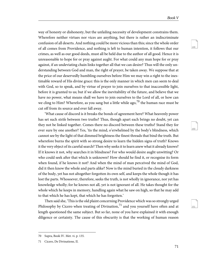<span id="page-74-1"></span><span id="page-74-0"></span>150

<span id="page-74-2"></span>151

way of honesty or dishonesty, but the unfailing necessity of development constrains them. Wherefore neither virtues nor vices are anything, but there is rather an indiscriminate confusion of all deserts. And nothing could be more vicious than this; since the whole order of all comes from Providence, and nothing is left to human intention, it follows that our crimes, as well as our good deeds, must all be held due to the author of all good. Hence it is unreasonable to hope for or pray against aught. For what could any man hope for or pray against, if an undeviating chain links together all that we can desire? Thus will the only understanding between God and man, the right of prayer, be taken away. We suppose that at the price of our deservedly humbling ourselves before Him we may win a right to the inestimable reward of His divine grace: this is the only manner in which men can seem to deal with God, so to speak, and by virtue of prayer to join ourselves to that inaccessible light, before it is granted to us; but if we allow the inevitability of the future, and believe that we have no power, what means shall we have to join ourselves to the Lord of all, or how can we cling to Him? Wherefore, as you sang but a little while ago,<sup>70</sup> the human race must be cut off from its source and ever fall away.

'What cause of discord is it breaks the bonds of agreement here? What heavenly power has set such strife between two truths? Thus, though apart each brings no doubt, yet can they not be linked together. Comes there no discord between these truths? Stand they for ever sure by one another? Yes, 'tis the mind, o'erwhelmed by the body's blindness, which cannot see by the light of that dimmed brightness the finest threads that bind the truth. But wherefore burns the spirit with so strong desire to learn the hidden signs of truth? Knows it the very object of its careful search? Then why seeks it to learn anew what it already knows? If it knows it not, why searches it in blindness? For who would desire aught unwitting? Or who could seek after that which is unknown? How should he find it, or recognise its form when found, if he knows it not? And when the mind of man perceived the mind of God, did it then know the whole and parts alike? Now is the mind buried in the cloudy darkness of the body, yet has not altogether forgotten its own self, and keeps the whole though it has lost the parts. Whosoever, therefore, seeks the truth, is not wholly in ignorance, nor yet has knowledge wholly; for he knows not all, yet is not ignorant of all. He takes thought for the whole which he keeps in memory, handling again what he saw on high, so that he may add to that which he has kept, that which he has forgotten.'

Then said she, 'This is the old plaint concerning Providence which was so strongly urged Philosophy by Cicero when treating of Divination, $^{71}$  and you yourself have often and at length questioned the same subject. But so far, none of you have explained it with enough diligence or certainty. The cause of this obscurity is that the working of human reason

<sup>70</sup> Supra, Book IV. Met. vi. p. 135.

<sup>71</sup> Cicero, De Divinatione, II.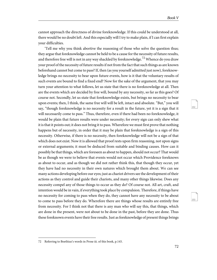<span id="page-75-1"></span><span id="page-75-0"></span>153

cannot approach the directness of divine foreknowledge. If this could be understood at all, there would be no doubt left. And this especially will I try to make plain, if I can first explain your difficulties.

'Tell me why you think abortive the reasoning of those who solve the question thus; they argue that foreknowledge cannot be held to be a cause for the necessity of future results, and therefore free will is not in any way shackled by foreknowledge.<sup>72</sup> Whence do you draw your proof of the necessity of future results if not from the fact that such things as are known beforehand cannot but come to pass? If, then (as you yourself admitted just now), foreknowledge brings no necessity to bear upon future events, how is it that the voluntary results of such events are bound to find a fixed end? Now for the sake of the argument, that you may turn your attention to what follows, let us state that there is no foreknowledge at all. Then are the events which are decided by free will, bound by any necessity, so far as this goes? Of course not. Secondly, let us state that foreknowledge exists, but brings no necessity to bear upon events; then, I think, the same free will will be left, intact and absolute. "But," you will say, "though foreknowledge is no necessity for a result in the future, yet it is a sign that it will necessarily come to pass." Thus, therefore, even if there had been no foreknowledge, it would be plain that future results were under necessity; for every sign can only shew what it is that it points out; it does not bring it to pass. Wherefore we must first prove that nothing happens but of necessity, in order that it may be plain that foreknowledge is a sign of this necessity. Otherwise, if there is no necessity, then foreknowledge will not be a sign of that which does not exist. Now it is allowed that proof rests upon firm reasoning, not upon signs or external arguments; it must be deduced from suitable and binding causes. How can it possibly be that things, which are foreseen as about to happen, should not occur? That would be as though we were to believe that events would not occur which Providence foreknows as about to occur, and as though we did not rather think this, that though they occur, yet they have had no necessity in their own natures which brought them about. We can see many actions developing before our eyes; just as chariot drivers see the development of their actions as they control and guide their chariots, and many other things likewise. Does any necessity compel any of those things to occur as they do? Of course not. All art, craft, and intention would be in vain, if everything took place by compulsion. Therefore, if things have no necessity for coming to pass when they do, they cannot have any necessity to be about to come to pass before they do. Wherefore there are things whose results are entirely free from necessity. For I think not that there is any man who will say this, that things, which are done in the present, were not about to be done in the past, before they are done. Thus these foreknown events have their free results. Just as foreknowledge of present things brings

<sup>72</sup> Referring to Boethius's words in Prose iii. of this book, p.145.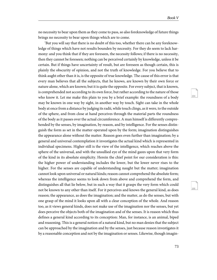<span id="page-76-1"></span><span id="page-76-0"></span>155

no necessity to bear upon them as they come to pass, so also foreknowledge of future things brings no necessity to bear upon things which are to come.

'But you will say that there is no doubt of this too, whether there can be any foreknowledge of things which have not results bounden by necessity. For they do seem to lack harmony: and you think that if they are foreseen, the necessity follows; if there is no necessity, then they cannot be foreseen; nothing can be perceived certainly by knowledge, unless it be certain. But if things have uncertainty of result, but are foreseen as though certain, this is plainly the obscurity of opinion, and not the truth of knowledge. For you believe that to think aught other than it is, is the opposite of true knowledge. The cause of this error is that every man believes that all the subjects, that he knows, are known by their own force or nature alone, which are known; but it is quite the opposite. For every subject, that is known, is comprehended not according to its own force, but rather according to the nature of those who know it. Let me make this plain to you by a brief example: the roundness of a body may be known in one way by sight, in another way by touch. Sight can take in the whole body at once from a distance by judging its radii, while touch clings, as it were, to the outside of the sphere, and from close at hand perceives through the material parts the roundness of the body as it passes over the actual circumference. A man himself is differently comprehended by the senses, by imagination, by reason, and by intelligence. For the senses distinguish the form as set in the matter operated upon by the form; imagination distinguishes the appearance alone without the matter. Reason goes even further than imagination; by a general and universal contemplation it investigates the actual kind which is represented in individual specimens. Higher still is the view of the intelligence, which reaches above the sphere of the universal, and with the unsullied eye of the mind gazes upon that very form of the kind in its absolute simplicity. Herein the chief point for our consideration is this: the higher power of understanding includes the lower, but the lower never rises to the higher. For the senses are capable of understanding naught but the matter; imagination cannot look upon universal or natural kinds; reason cannot comprehend the absolute form; whereas the intelligence seems to look down from above and comprehend the form, and distinguishes all that lie below, but in such a way that it grasps the very form which could not be known to any other than itself. For it perceives and knows the general kind, as does reason; the appearance, as does the imagination; and the matter, as do the senses, but with one grasp of the mind it looks upon all with a clear conception of the whole. And reason too, as it views general kinds, does not make use of the imagination nor the senses, but yet does perceive the objects both of the imagination and of the senses. It is reason which thus defines a general kind according to its conception: Man, for instance, is an animal, biped and reasoning. This is a general notion of a natural kind, but no man denies that the subject can be approached by the imagination and by the senses, just because reason investigates it by a reasonable conception and not by the imagination or senses. Likewise, though imagin-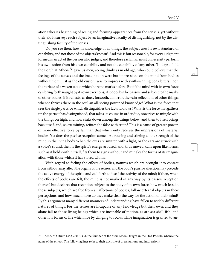<span id="page-77-1"></span><span id="page-77-0"></span>157

ation takes its beginning of seeing and forming appearances from the sense s, yet without their aid it surveys each subject by an imaginative faculty of distinguishing, not by the distinguishing faculty of the senses.

'Do you see then, how in knowledge of all things, the subject uses its own standard of capability, and not those of the objects known? And this is but reasonable, for every judgment formed is an act of the person who judges, and therefore each man must of necessity perform his own action from his own capability and not the capability of any other. 'In days of old the Porch at Athens<sup>73</sup> gave us men, seeing dimly as in old age, who could believe that the feelings of the senses and the imagination were but impressions on the mind from bodies without them, just as the old custom was to impress with swift-running pens letters upon the surface of a waxen tablet which bore no marks before. But if the mind with its own force can bring forth naught by its own exertions; if it does but lie passive and subject to the marks of other bodies; if it reflects, as does, forsooth, a mirror, the vain reflections of other things; whence thrives there in the soul an all-seeing power of knowledge? What is the force that sees the single parts, or which distinguishes the facts it knows? What is the force that gathers up the parts it has distinguished, that takes its course in order due, now rises to mingle with the things on high, and now sinks down among the things below, and then to itself brings back itself, and, so examining, refutes the false with truth? This is a cause of greater power, of more effective force by far than that which only receives the impressions of material bodies. Yet does the passive reception come first, rousing and stirring all the strength of the mind in the living body When the eyes are smitten with a light, or the ears are struck with a voice's sound, then is the spirit's energy aroused, and, thus moved, calls upon like forms, such as it holds within itself, fits them to signs without and mingles the forms of its imagination with those which it has stored within.

'With regard to feeling the effects of bodies, natures which are brought into contact from without may affect the organs of the senses, and the body's passive affection may precede the active energy of the spirit, and call forth to itself the activity of the mind; if then, when the effects of bodies are felt, the mind is not marked in any way by its passive reception thereof, but declares that reception subject to the body of its own force, how much less do those subjects, which are free from all affections of bodies, follow external objects in their perceptions, and how much more do they make clear the way for the action of their mind? By this argument many different manners of understanding have fallen to widely different natures of things. For the senses are incapable of any knowledge but their own, and they alone fall to those living beings which are incapable of motion, as are sea shell-fish, and other low forms of life which live by clinging to rocks; while imagination is granted to an-

<sup>73</sup> Zeno, of Citium (342-270 B. C.), the founder of the Stoic school, taught in the Stoa Poekile, whence the name of the school. The following lines refer to their doctrine of presentations and impressions.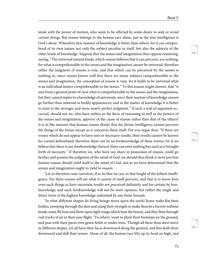<span id="page-78-1"></span><span id="page-78-0"></span>159

<span id="page-78-2"></span>160

imals with the power of motion, who seem to be affected by some desire to seek or avoid certain things. But reason belongs to the human race alone, just as the true intelligence is God's alone. Wherefore that manner of knowledge is better than others, for it can comprehend of its own nature not only the subject peculiar to itself, but also the subjects of the other kinds of knowledge. Suppose that the senses and imagination thus oppose reasoning, saying, "The universal natural kinds, which reason believes that it can perceive, are nothing; for what is comprehensible to the senses and the imagination cannot be universal: therefore either the judgment of reason is true, and that which can be perceived by the senses is nothing or, since reason knows well that there are many subjects comprehensible to the senses and imagination, the conception of reason is vain, for it holds to be universal what is an individual matter comprehensible to the senses." To this reason might answer, that "it sees from a general point of view what is comprehensible to the senses and the imagination, but they cannot aspire to a knowledge of universals, since their manner of knowledge cannot go further than material or bodily appearances; and in the matter of knowledge it is better to trust to the stronger and more nearly perfect judgment." If such a trial of argument occurred, should not we, who have within us the force of reasoning as well as the powers of the senses and imagination, approve of the cause of reason rather than that of the others? It is in like manner that human reason thinks that the divine intelligence cannot perceive the things of the future except as it conceives them itself. For you argue thus: "If there are events which do not appear to have sure or necessary results, their results cannot be known for certain beforehand: therefore there can be no foreknowledge of these events; for if we believe that there is any foreknowledge thereof, there can exist nothing but such as is brought forth of necessity." If therefore we, who have our share in possession of reason, could go further and possess the judgment of the mind of God, we should then think it most just that human reason should yield itself to the mind of God, just as we have determined that the senses and imagination ought to yield to reason.

'Let us therefore raise ourselves, if so be that we can, to that height of the loftiest intelligence. For there reason will see what it cannot of itself perceive, and that is to know how even such things as have uncertain results are perceived definitely and for certain by foreknowledge; and such foreknowledge will not be mere opinion, but rather the single and direct form of the highest knowledge unlimited by any finite bounds.

'In what different shapes do living beings move upon the earth! Some make flat their bodies, sweeping through the dust and using their strength to make therein a furrow without break; some flit here and there upon light wings which beat the breeze, and they float through vast tracks of air in their easy flight. 'Tis others' wont to plant their footsteps on the ground, and pass with their paces over green fields or under trees. Though all these thou seest move in different shapes, yet all have their faces downward along the ground, and this doth draw downward and dull their senses. Alone of all, the human race lifts up its head on high, and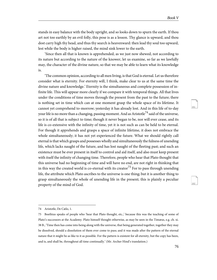<span id="page-79-1"></span><span id="page-79-0"></span>162

stands in easy balance with the body upright, and so looks down to spurn the earth. If thou art not too earthly by an evil folly, this pose is as a lesson. Thy glance is upward, and thou dost carry high thy head, and thus thy search is heavenward: then lead thy soul too upward, lest while the body is higher raised, the mind sink lower to the earth.

'Since then all that is known is apprehended, as we just now shewed, not according to its nature but according to the nature of the knower, let us examine, so far as we lawfully may, the character of the divine nature, so that we may be able to learn what its knowledge is.

'The common opinion, according to all men living, is that God is eternal. Let us therefore consider what is eternity. For eternity will, I think, make clear to us at the same time the divine nature and knowledge.' Eternity is the simultaneous and complete possession of infinite life. This will appear more clearly if we compare it with temporal things. All that lives under the conditions of time moves through the present from the past to the future; there is nothing set in time which can at one moment grasp the whole space of its lifetime. It cannot yet comprehend to-morrow; yesterday it has already lost. And in this life of to-day your life is no more than a changing, passing moment. And as Aristotle $^{74}$  said of the universe, so it is of all that is subject to time; though it never began to be, nor will ever cease, and its life is co-extensive with the infinity of time, yet it is not such as can be held to be eternal. For though it apprehends and grasps a space of infinite lifetime, it does not embrace the whole simultaneously; it has not yet experienced the future. What we should rightly call eternal is that which grasps and possesses wholly and simultaneously the fulness of unending life, which lacks naught of the future, and has lost naught of the fleeting past; and such an existence must be ever present in itself to control and aid itself, and also must keep present with itself the infinity of changing time. Therefore, people who hear that Plato thought that this universe had no beginning of time and will have no end, are not right in thinking that in this way the created world is co-eternal with its creator<sup>75</sup> For to pass through unending life, the attribute which Plato ascribes to the universe is one thing; but it is another thing to grasp simultaneously the whole of unending life in the present; this is plainly a peculiar property of the mind of God.

<sup>74</sup> Aristotle, De Cælo, 1.

<sup>75</sup> Boethius speaks of people who 'hear that Plato thought, etc.,' because this was the teaching of some of Plato's successors at the Academy. Plato himself thought otherwise, as may be seen in the Timæus, e.g. ch. xi. 38 B., 'Time then has come into being along with the universe, that being generated together, together they may be dissolved, should a dissolution of them ever come to pass; and it was made after the pattern of the eternal nature that it might be as like to it as possible. For the pattern is existent for all eternity, but the copy has been, and is, and shall be, throughout all time continually.' (Mr. Archer Hind's translation.)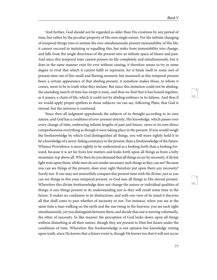<span id="page-80-1"></span><span id="page-80-0"></span>164

'And further, God should not be regarded as older than His creations by any period of time, but rather by the peculiar property of His own single nature. For the infinite changing of temporal things tries to imitate the ever simultaneously present immutability of His life: it cannot succeed in imitating or equalling this, but sinks from immutability into change, and falls from the single directness of the present into an infinite space of future and past. And since this temporal state cannot possess its life completely and simultaneously, but it does in the same manner exist for ever without ceasing, it therefore seems to try in some degree to rival that which it cannot fulfil or represent, for it binds itself to some sort of present time out of this small and fleeting moment; but inasmuch as this temporal present bears a certain appearance of that abiding present, it somehow makes those, to whom it comes, seem to be in truth what they imitate. But since this imitation could not be abiding, the unending march of time has swept it away, and thus we find that it has bound together, as it passes, a chain of life, which it could not by abiding embrace in its fulness. And thus if we would apply proper epithets to those subjects, we can say, following Plato, that God is eternal, but the universe is continual.

'Since then all judgment apprehends the subjects of its thought according to its own nature, and God has a condition of ever-present eternity, His knowledge, which passes over every change of time, embracing infinite lengths of past and future, views in its own direct comprehension everything as though it were taking place in the present. If you would weigh the foreknowledge by which God distinguishes all things, you will more rightly hold it to be a knowledge of a never-failing constancy in the present, than a foreknowledge of the future. Whence Providence is more rightly to be understood as a looking forth than a looking forward, because it is set far from low matters and looks forth upon all things as from a lofty mountain-top above all. Why then do you demand that all things occur by necessity, if divine light rests upon them, while men do not render necessary such things as they can see? Because you can see things of the present, does your sight therefore put upon them any necessity? Surely not. If one may not unworthily compare this present time with the divine, just as you can see things in this your temporal present, so God sees all things in His eternal present. Wherefore this divine foreknowledge does not change the nature or individual qualities of things: it sees things present in its understanding just as they will result some time in the future. It makes no confusion in its distinctions, and with one view of its mind it discerns all that shall come to pass whether of necessity or not. For instance, when you see at the same time a man walking on the earth and the sun rising in the heavens, you see each sight simultaneously, yet you distinguish between them, and decide that one is moving voluntarily, the other of necessity. In like manner the perception of God looks down upon all things without disturbing at all their nature, though they are present to Him but future under the conditions of time. Wherefore this foreknowledge is not opinion but knowledge resting upon truth, since He knows that a future event is, though He knows too that it will not occur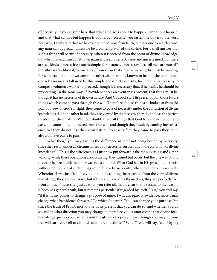<span id="page-81-1"></span><span id="page-81-0"></span>166

of necessity. If you answer here that what God sees about to happen, cannot but happen, and that what cannot but happen is bound by necessity, you fasten me down to the word necessity, I will grant that we have a matter of most firm truth, but it is one to which scarce any man can approach unless he be a contemplator of the divine. For I shall answer that such a thing will occur of necessity, when it is viewed from the point of divine knowledge; but when it is examined in its own nature, it seems perfectly free and unrestrained. For there are two kinds of necessities; one is simple: for instance, a necessary fact, "all men are mortal"; the other is conditional; for instance, if you know that a man is walking, he must be walking: for what each man knows cannot be otherwise than it is known to be; but the conditional one is by no means followed by this simple and direct necessity; for there is no necessity to compel a voluntary walker to proceed, though it is necessary that, if he walks, he should be proceeding. In the same way, if Providence sees an event in its present, that thing must be, though it has no necessity of its own nature. And God looks in His present upon those future things which come to pass through free will. Therefore if these things be looked at from the point of view of God's insight, they come to pass of necessity under the condition of divine knowledge; if, on the other hand, they are viewed by themselves, they do not lose the perfect freedom of their nature. Without doubt, then, all things that God foreknows do come to pass, but some of them proceed from free will; and though they result by coming into existence, yet they do not lose their own nature, because before they came to pass they could also not have come to pass.

'"What then," you may ask, "is the difference in their not being bound by necessity, since they result under all circumstances as by necessity, on account of the condition of divine knowledge?" This is the difference, as I just now put forward: take the sun rising and a man walking; while these operations are occurring, they cannot but occur: but the one was bound to occur before it did; the other was not so bound. What God has in His present, does exist without doubt; but of such things some follow by necessity, others by their authors' wills. Wherefore I was justified in saying that if these things be regarded from the view of divine knowledge, they are necessary, but if they are viewed by themselves, they are perfectly free from all ties of necessity: just as when you refer all, that is clear to the senses, to the reason, it becomes general truth, but it remains particular if regarded by itself. "But," you will say, "if it is in my power to change a purpose of mine, I will disregard Providence, since I may change what Providence foresees." To which I answer, "You can change your purpose, but since the truth of Providence knows in its present that you can do so, and whether you do so, and in what direction you may change it, therefore you cannot escape that divine foreknowledge: just as you cannot avoid the glance of a present eye, though you may by your free will turn yourself to all kinds of different actions." "What?" you will say, "can I by my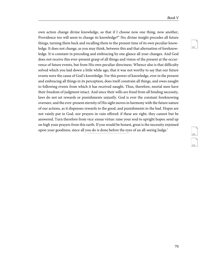<span id="page-82-2"></span><span id="page-82-1"></span><span id="page-82-0"></span>168

169

own action change divine knowledge, so that if I choose now one thing, now another, Providence too will seem to change its knowledge?" No; divine insight precedes all future things, turning them back and recalling them to the present time of its own peculiar knowledge. It does not change, as you may think, between this and that alternation of foreknowledge. It is constant in preceding and embracing by one glance all your changes. And God does not receive this ever-present grasp of all things and vision of the present at the occurrence of future events, but from His own peculiar directness. Whence also is that difficulty solved which you laid down a little while ago, that it was not worthy to say that our future events were the cause of God's knowledge. For this power of knowledge, ever in the present and embracing all things in its perception, does itself constrain all things, and owes naught to following events from which it has received naught. Thus, therefore, mortal men have their freedom of judgment intact. And since their wills are freed from all binding necessity, laws do not set rewards or punishments unjustly. God is ever the constant foreknowing overseer, and the ever-present eternity of His sight moves in harmony with the future nature of our actions, as it dispenses rewards to the good, and punishments to the bad. Hopes are not vainly put in God, nor prayers in vain offered: if these are right, they cannot but be answered. Turn therefore from vice: ensue virtue: raise your soul to upright hopes: send up on high your prayers from this earth. If you would be honest, great is the necessity enjoined upon your goodness, since all you do is done before the eyes of an all-seeing Judge.'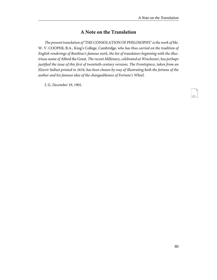### <span id="page-83-0"></span>**A Note on the Translation**

The present translation of 'THE CONSOLATION OF PHILOSOPHY' is the work of Mr. W. V. COOPER, B.A., King's College, Cambridge, who has thus carried on the tradition of English renderings of Boethius's famous work, the list of translators beginning with the illustrious name of Alfred the Great. The recent Millenary, celebrated at Winchester, has perhaps justified the issue of this first of twentieth-century versions. The Frontispiece, taken from an Elzevir Sallust printed in 1634, has been chosen by way of illustrating both the fortune of the author and his famous idea of the changeableness of Fortune's Wheel.

I. G. December 19, 1901.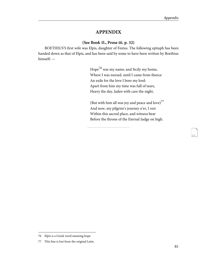#### **APPENDIX**

#### **(See Book 1l., Prose iii. p. 32)**

BOETHIUS'S first wife was Elpis, daughter of Festus. The following epitaph has been handed down as that of Elpis, and has been said by some to have been written by Boethius himself: —

> Hope<sup>76</sup> was my name, and Sicily my home, Where I was nursed, until I came from thence An exile for the love I bore my lord: Apart from him my time was full of tears, Heavy the day, laden with care the night,

<span id="page-84-0"></span>(But with him all was joy and peace and love)  $^{77}$ And now, my pilgrim's journey o'er, I rest Within this sacred place, and witness bear Before the throne of the Eternal Judge on high.

<sup>76</sup> Elpis is a Greek word meaning hope

<sup>77</sup> This line is lost from the original Latin.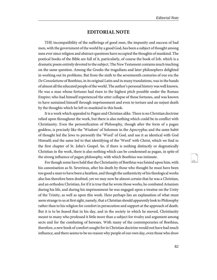#### **EDITORIAL NOTE**

THE incompatibility of the sufferings of good men, the impunity and success of bad men, with the government of the world by a good God, has been a subject of thought among men ever since religion and abstract questions have occupied the thoughts of mankind. The poetical books of the Bible are full of it, particularly, of course the book of Job, which is a dramatic poem entirely devoted to the subject. The New Testament contains much teaching on the same question. Among the Greeks the tragedians and later philosophers delighted in working out its problems. But from the sixth to the seventeenth centuries of our era the De Consolatione of Boethius, in its original Latin and in many translations, was in the hands of almost all the educated people of the world. The author's personal history was well known. He was a man whose fortunes had risen to the highest pitch possible under the Roman Empire; who had himself experienced the utter collapse of those fortunes, and was known to have sustained himself through imprisonment and even to torture and an unjust death by the thoughts which he left to mankind in this book.

It is a work which appealed to Pagan and Christian alike. There is no Christian doctrine relied upon throughout the work, but there is also nothing which could be in conflict with Christianity. Even the personification of Philosophy, though after the form of a pagan goddess, is precisely like the 'Wisdom' of Solomon in the Apocrypha; and the same habit of thought led the Jews to personify the 'Word' of God, and use it as identical with God Himself; and the same led to that identifying of the 'Word' with Christ, which we find in the first chapter of St. John's Gospel. So, if there is nothing distinctly or dogmatically Christian in the work, there is also nothing which can be condemned as pagan, in spite of the strong influence of pagan philosophy, with which Boethius was intimate.

<span id="page-85-0"></span>For though some have held that the Christianity of Boethius was foisted upon him, with his canonisation as St. Severinus, after his death by those who thought he must have been too good a man to have been a heathen, and though the authenticity of his theological works also has therefore been doubted, yet we may now be almost certain that he was a Christian, and an orthodox Christian, for if it is true that he wrote those works, he combated Arianism during his life, and during his imprisonment he was engaged upon a treatise on the Unity of the Trinity, as well as upon this work. Here perhaps lies an explanation of what must seem strange to us at first sight, namely, that a Christian should apparently look to Philosophy rather than to his religion for comfort in persecution and support at the approach of death. But it is to be feared that in his day, and in the society in which he moved, Christianity meant to many who professed it little more than a subject for rivalry and argument among sects and for the combating of heresies. With many of the contemporaries of Boethius, therefore, a new book of comfort sought for in Christian doctrine would not have had much influence, and there seems to be no reason why people of our own day, even those who draw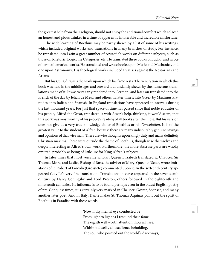the greatest help from their religion, should not enjoy the additional comfort which solaced an honest and pious thinker in a time of apparently intolerable and incredible misfortune.

The wide learning of Boethius may be partly shewn by a list of some of his writings, which included original works and translations in many branches of study. For instance, he translated into Latin a great number of Aristotle's works on different subjects, such as those on Rhetoric, Logic, the Categories, etc. He translated three books of Euclid, and wrote other mathematical works. He translated and wrote books upon Music and Mechanics, and one upon Astronomy. His theological works included treatises against the Nestorians and Arians.

<span id="page-86-0"></span>But his Consolation is the work upon which his fame rests. The veneration in which this book was held in the middle ages and onward is abundantly shewn by the numerous translations made of it. It was very early rendered into German, and later on translated into the French of the day by Jehan de Meun and others in later times; into Greek by Maximus Planudes, into Italian and Spanish. In England translations have appeared at intervals during the last thousand years. For just that space of time has passed since that noble educator of his people, Alfred the Great, translated it with Asser's help, thinking, it would seem, that this work was most worthy of his people's reading of all books after the Bible. But his version does not give us a very true knowledge either of Boethius or his Consolation. It is of the greatest value to the student of Alfred, because there are many indisputably genuine sayings and opinions of that wise man. There are wise thoughts upon kingly duty and many definitely Christian maxims. These were outside the theme of Boethius, though wise themselves and deeply interesting as Alfred's own work. Furthermore, the more abstruse parts are wholly omitted, probably as being of little use for King Alfred's subjects.

In later times that most versatile scholar, Queen Elizabeth translated it. Chaucer, Sir Thomas More, and Leslie , Bishop of Ross, the adviser of Mary, Queen of Scots, wrote imitations of it. Robert of Lincoln (Grosstête) commented upon it. In the sixteenth century appeared Colville's very fine translation. Translations in verse appeared in the seventeenth century by Harry Coningsby and Lord Preston; others followed in the eighteenth and nineteenth centuries. Its influence is to be found perhaps even in the oldest English poetry of pre-Conquest times; it is certainly very marked in Chaucer, Gower, Spenser, and many another later poet. And in Italy, Dante makes St. Thomas Aquinas point out the spirit of Boethius in Paradise with these words: —

> <span id="page-86-1"></span>'Now if thy mental eye conducted be. From light to light as I resound their fame, The eighth well worth attention thou wilt see. Within it dwells, all excellence beholding, The soul who pointed out the world's dark ways,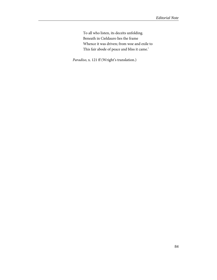To all who listen, its deceits unfolding. Beneath in Cieldauro lies the frame Whence it was driven; from woe and exile to This fair abode of peace and bliss it came.'

Paradiso, x. 121 ff (Wright's translation.)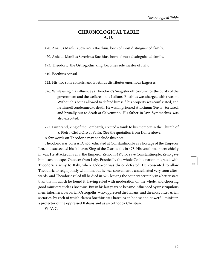#### **CHRONOLOGICAL TABLE A.D.**

470. Anicius Manlius Severinus Boethius, born of most distinguished family.

- 470. Anicius Manlius Severinus Boethius, born of most distinguished family.
- 493. Theodoric, the Ostrogothic king, becomes sole master of Italy.
- 510. Boethius consul.
- 522. His two sons consuls, and Boethius distributes enormous largesses.
- 526. While using his influence as Theodoric's 'magister officiorum' for the purity of the government and the welfare of the Italians, Boethius was charged with treason. Without his being allowed to defend himself, his property was confiscated, and he himself condemned to death. He was imprisoned at Ticinum (Pavia), tortured, and brutally put to death at Calvenzano. His father-in-law, Symmachus, was also executed.
- 722. Liutprand, king of the Lombards, erected a tomb to his memory in the Church of S. Pietro Ciel d'Oro at Pavia. (See the quotation from Dante above.)

<span id="page-88-0"></span>A few words on Theodoric may conclude this note.

Theodoric was born A.D. 455, educated at Constantinople as a hostage of the Emperor Leo, and succeeded his father as King of the Ostrogoths in 475. His youth was spent chiefly in war. He attacked his ally, the Emperor Zeno, in 487. To save Constantinople, Zeno gave him leave to expel Odoacer from Italy. Practically the whole Gothic nation migrated with Theodoric's army to Italy, where Odoacer was thrice defeated. He consented to allow Theodoric to reign jointly with him, but he was conveniently assassinated very soon afterwards, and Theodoric ruled till he died in 526, leaving the country certainly in a better state than that in which he found it, having ruled with moderation on the whole, and choosing good ministers such as Boethius. But in his last years he became influenced by unscrupulous men, informers, barbarian Ostrogoths, who oppressed the Italians, and the most bitter Arian sectaries, by each of which classes Boethius was hated as an honest and powerful minister, a protector of the oppressed Italians and as an orthodox Christian.

W. V. C.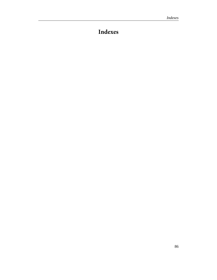# **Indexes**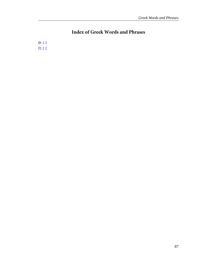## **Index of Greek Words and Phrases**

Θ: [2](#page-5-0) [2](#page-5-1) Π: [2](#page-5-0) [2](#page-5-1)